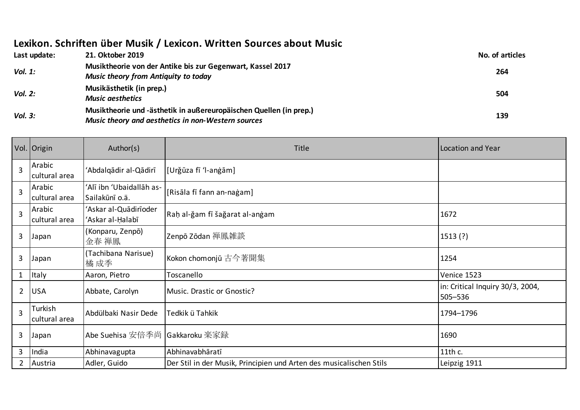## **Lexikon. Schriften über Musik / Lexicon. Written Sources about Music**

| Last update: | 21. Oktober 2019                                                                                                         | No. of articles |
|--------------|--------------------------------------------------------------------------------------------------------------------------|-----------------|
| Vol. 1:      | Musiktheorie von der Antike bis zur Gegenwart, Kassel 2017<br><b>Music theory from Antiquity to today</b>                | 264             |
| Vol. 2:      | Musikästhetik (in prep.)<br><b>Music aesthetics</b>                                                                      | 504             |
| Vol. 3:      | Musiktheorie und -ästhetik in außereuropäischen Quellen (in prep.)<br>Music theory and aesthetics in non-Western sources | 139             |

|                | Vol. Origin              | Author(s)                                  | Title                                                               | Location and Year                           |
|----------------|--------------------------|--------------------------------------------|---------------------------------------------------------------------|---------------------------------------------|
| $\overline{3}$ | Arabic<br>cultural area  | 'Abdalqādir al-Qādirī                      | [Urğūza fī 'l-anġām]                                                |                                             |
| $\overline{3}$ | Arabic<br>cultural area  | 'Alī ibn 'Ubaidallāh as-<br>Sailakūnī o.ä. | [Risāla fī fann an-naġam]                                           |                                             |
| 3              | Arabic<br>cultural area  | 'Askar al-Quādirīoder<br>'Askar al-Ḥalabī  | Raḥ al-ğam fī šağarat al-anġam                                      | 1672                                        |
| 3              | Japan                    | (Konparu, Zenpō)<br>金春 禅鳳                  | Zenpō Zōdan 禅鳳雑談                                                    | 1513(?)                                     |
| 3              | Japan                    | (Tachibana Narisue)<br>橘 成季                | Kokon chomonjū 古今著聞集                                                | 1254                                        |
| $\mathbf{1}$   | Italy                    | Aaron, Pietro                              | Toscanello                                                          | Venice 1523                                 |
| $\overline{2}$ | <b>USA</b>               | Abbate, Carolyn                            | Music. Drastic or Gnostic?                                          | in: Critical Inquiry 30/3, 2004,<br>505-536 |
| $\overline{3}$ | Turkish<br>cultural area | Abdülbaki Nasir Dede                       | Tedkik ü Tahkik                                                     | 1794-1796                                   |
| 3              | Japan                    | Abe Suehisa 安倍季尚                           | Gakkaroku 楽家録                                                       | 1690                                        |
| 3              | India                    | Abhinavagupta                              | Abhinavabhāratī                                                     | 11th c.                                     |
| $\overline{2}$ | Austria                  | Adler, Guido                               | Der Stil in der Musik, Principien und Arten des musicalischen Stils | Leipzig 1911                                |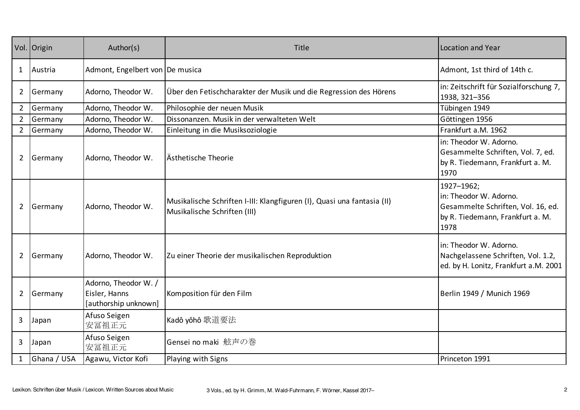|                | Vol. Origin | Author(s)                                                     | Title                                                                                                   | <b>Location and Year</b>                                                                                               |
|----------------|-------------|---------------------------------------------------------------|---------------------------------------------------------------------------------------------------------|------------------------------------------------------------------------------------------------------------------------|
| 1              | Austria     | Admont, Engelbert von De musica                               |                                                                                                         | Admont, 1st third of 14th c.                                                                                           |
| $\overline{2}$ | Germany     | Adorno, Theodor W.                                            | Über den Fetischcharakter der Musik und die Regression des Hörens                                       | in: Zeitschrift für Sozialforschung 7,<br>1938, 321-356                                                                |
| $\overline{2}$ | Germany     | Adorno, Theodor W.                                            | Philosophie der neuen Musik                                                                             | Tübingen 1949                                                                                                          |
| $\overline{2}$ | Germany     | Adorno, Theodor W.                                            | Dissonanzen. Musik in der verwalteten Welt                                                              | Göttingen 1956                                                                                                         |
| $\overline{2}$ | Germany     | Adorno, Theodor W.                                            | Einleitung in die Musiksoziologie                                                                       | Frankfurt a.M. 1962                                                                                                    |
| $\overline{2}$ | Germany     | Adorno, Theodor W.                                            | Ästhetische Theorie                                                                                     | in: Theodor W. Adorno.<br>Gesammelte Schriften, Vol. 7, ed.<br>by R. Tiedemann, Frankfurt a. M.<br>1970                |
| $\overline{2}$ | Germany     | Adorno, Theodor W.                                            | Musikalische Schriften I-III: Klangfiguren (I), Quasi una fantasia (II)<br>Musikalische Schriften (III) | 1927-1962;<br>in: Theodor W. Adorno.<br>Gesammelte Schriften, Vol. 16, ed.<br>by R. Tiedemann, Frankfurt a. M.<br>1978 |
| $\overline{2}$ | Germany     | Adorno, Theodor W.                                            | Zu einer Theorie der musikalischen Reproduktion                                                         | in: Theodor W. Adorno.<br>Nachgelassene Schriften, Vol. 1.2,<br>ed. by H. Lonitz, Frankfurt a.M. 2001                  |
| $\overline{2}$ | Germany     | Adorno, Theodor W. /<br>Eisler, Hanns<br>[authorship unknown] | Komposition für den Film                                                                                | Berlin 1949 / Munich 1969                                                                                              |
| 3              | Japan       | Afuso Seigen<br>安冨祖正元                                         | Kadô yôhô 歌道要法                                                                                          |                                                                                                                        |
| 3              | Japan       | Afuso Seigen<br>安冨祖正元                                         | Gensei no maki 舷声の巻                                                                                     |                                                                                                                        |
|                | Ghana / USA | Agawu, Victor Kofi                                            | Playing with Signs                                                                                      | Princeton 1991                                                                                                         |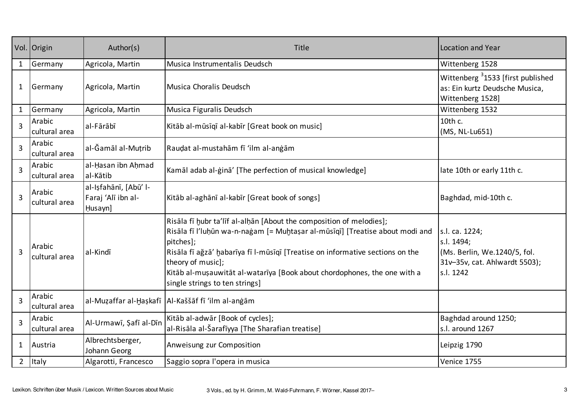|                | Vol. Origin             | Author(s)                                              | Title                                                                                                                                                                                                                                                                                                                                                                                | Location and Year                                                                                          |
|----------------|-------------------------|--------------------------------------------------------|--------------------------------------------------------------------------------------------------------------------------------------------------------------------------------------------------------------------------------------------------------------------------------------------------------------------------------------------------------------------------------------|------------------------------------------------------------------------------------------------------------|
| $\mathbf{1}$   | Germany                 | Agricola, Martin                                       | Musica Instrumentalis Deudsch                                                                                                                                                                                                                                                                                                                                                        | Wittenberg 1528                                                                                            |
| $\mathbf{1}$   | Germany                 | Agricola, Martin                                       | Musica Choralis Deudsch                                                                                                                                                                                                                                                                                                                                                              | Wittenberg 31533 [first published<br>as: Ein kurtz Deudsche Musica,<br>Wittenberg 1528]                    |
| $\mathbf{1}$   | Germany                 | Agricola, Martin                                       | Musica Figuralis Deudsch                                                                                                                                                                                                                                                                                                                                                             | Wittenberg 1532                                                                                            |
| 3              | Arabic<br>cultural area | al-Fārābī                                              | Kitāb al-mūsīgī al-kabīr [Great book on music]                                                                                                                                                                                                                                                                                                                                       | 10th c.<br>(MS, NL-Lu651)                                                                                  |
| 3              | Arabic<br>cultural area | al-Ğamāl al-Mutrib                                     | Raudat al-mustahām fī 'ilm al-anġām                                                                                                                                                                                                                                                                                                                                                  |                                                                                                            |
| 3              | Arabic<br>cultural area | al-Hasan ibn Ahmad<br>al-Kātib                         | Kamāl adab al-ġinā' [The perfection of musical knowledge]                                                                                                                                                                                                                                                                                                                            | late 10th or early 11th c.                                                                                 |
| 3              | Arabic<br>cultural area | al-Işfahānī, [Abū' l-<br>Faraj 'Alī ibn al-<br>Husayn] | Kitāb al-aghānī al-kabīr [Great book of songs]                                                                                                                                                                                                                                                                                                                                       | Baghdad, mid-10th c.                                                                                       |
| $\overline{3}$ | Arabic<br>cultural area | al-Kindī                                               | Risāla fī hubr ta'līf al-alhān [About the composition of melodies];<br>Risāla fī l'luḥūn wa-n-naġam [= Muḥtaṣar al-mūsīqī] [Treatise about modi and<br>pitches];<br>Risāla fī ağzā' habarīya fī l-mūsīqī [Treatise on informative sections on the<br>theory of music];<br>Kitāb al-mușauwitāt al-watarīya [Book about chordophones, the one with a<br>single strings to ten strings] | s.l. ca. 1224;<br>s.l. 1494;<br>(Ms. Berlin, We.1240/5, fol.<br>31v-35v, cat. Ahlwardt 5503);<br>s.l. 1242 |
| 3              | Arabic<br>cultural area |                                                        | al-Muzaffar al-Haşkafī   Al-Kaššāf fī 'ilm al-angām                                                                                                                                                                                                                                                                                                                                  |                                                                                                            |
| $\overline{3}$ | Arabic<br>cultural area | Al-Urmawī, Şafī al-Dīn                                 | Kitāb al-adwār [Book of cycles];<br>al-Risāla al-Šarafīyya [The Sharafian treatise]                                                                                                                                                                                                                                                                                                  | Baghdad around 1250;<br>s.l. around 1267                                                                   |
| $\mathbf{1}$   | Austria                 | Albrechtsberger,<br>Johann Georg                       | Anweisung zur Composition                                                                                                                                                                                                                                                                                                                                                            | Leipzig 1790                                                                                               |
| $\overline{2}$ | <b>Italy</b>            | Algarotti, Francesco                                   | Saggio sopra l'opera in musica                                                                                                                                                                                                                                                                                                                                                       | Venice 1755                                                                                                |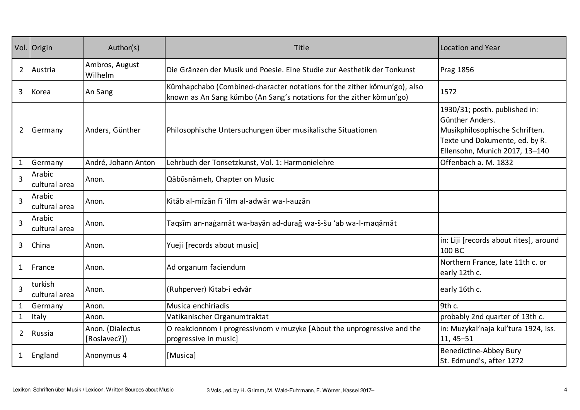|                | Vol. Origin              | Author(s)                        | Title                                                                                                                                            | Location and Year                                                                                                                                      |
|----------------|--------------------------|----------------------------------|--------------------------------------------------------------------------------------------------------------------------------------------------|--------------------------------------------------------------------------------------------------------------------------------------------------------|
| $\overline{2}$ | Austria                  | Ambros, August<br>Wilhelm        | Die Gränzen der Musik und Poesie. Eine Studie zur Aesthetik der Tonkunst                                                                         | <b>Prag 1856</b>                                                                                                                                       |
| 3              | Korea                    | An Sang                          | Kümhapchabo (Combined-character notations for the zither kŏmun'go), also<br>known as An Sang kŭmbo (An Sang's notations for the zither kŏmun'go) | 1572                                                                                                                                                   |
| $\overline{2}$ | Germany                  | Anders, Günther                  | Philosophische Untersuchungen über musikalische Situationen                                                                                      | 1930/31; posth. published in:<br>Günther Anders.<br>Musikphilosophische Schriften.<br>Texte und Dokumente, ed. by R.<br>Ellensohn, Munich 2017, 13-140 |
| $\mathbf{1}$   | Germany                  | André, Johann Anton              | Lehrbuch der Tonsetzkunst, Vol. 1: Harmonielehre                                                                                                 | Offenbach a. M. 1832                                                                                                                                   |
| 3              | Arabic<br>cultural area  | Anon.                            | Qābūsnāmeh, Chapter on Music                                                                                                                     |                                                                                                                                                        |
| 3              | Arabic<br>cultural area  | Anon.                            | Kitāb al-mīzān fī 'ilm al-adwār wa-l-auzān                                                                                                       |                                                                                                                                                        |
| 3              | Arabic<br>cultural area  | Anon.                            | Taqsīm an-naġamāt wa-bayān ad-duraǧ wa-š-šu 'ab wa-l-maqāmāt                                                                                     |                                                                                                                                                        |
| 3              | China                    | Anon.                            | Yueji [records about music]                                                                                                                      | in: Liji [records about rites], around<br>100 BC                                                                                                       |
| $\mathbf{1}$   | France                   | Anon.                            | Ad organum faciendum                                                                                                                             | Northern France, late 11th c. or<br>early 12th c.                                                                                                      |
| 3              | turkish<br>cultural area | Anon.                            | (Ruhperver) Kitab-i edvâr                                                                                                                        | early 16th c.                                                                                                                                          |
| $\mathbf{1}$   | Germany                  | Anon.                            | Musica enchiriadis                                                                                                                               | 9th c.                                                                                                                                                 |
| $\mathbf{1}$   | Italy                    | Anon.                            | Vatikanischer Organumtraktat                                                                                                                     | probably 2nd quarter of 13th c.                                                                                                                        |
| $\overline{2}$ | Russia                   | Anon. (Dialectus<br>[Roslavec?]) | O reakcionnom i progressivnom v muzyke [About the unprogressive and the<br>progressive in music]                                                 | in: Muzykal'naja kul'tura 1924, Iss.<br>11, 45-51                                                                                                      |
| $\mathbf{1}$   | England                  | Anonymus 4                       | [Musica]                                                                                                                                         | Benedictine-Abbey Bury<br>St. Edmund's, after 1272                                                                                                     |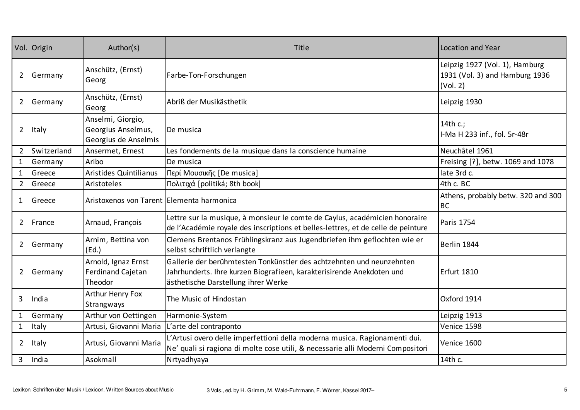|                | Vol. Origin  | Author(s)                                                       | Title                                                                                                                                                                                 | Location and Year                                                            |
|----------------|--------------|-----------------------------------------------------------------|---------------------------------------------------------------------------------------------------------------------------------------------------------------------------------------|------------------------------------------------------------------------------|
| $\overline{2}$ | Germany      | Anschütz, (Ernst)<br>Georg                                      | Farbe-Ton-Forschungen                                                                                                                                                                 | Leipzig 1927 (Vol. 1), Hamburg<br>1931 (Vol. 3) and Hamburg 1936<br>(Vol. 2) |
| $\overline{2}$ | Germany      | Anschütz, (Ernst)<br>Georg                                      | Abriß der Musikästhetik                                                                                                                                                               | Leipzig 1930                                                                 |
| $\overline{2}$ | <b>Italy</b> | Anselmi, Giorgio,<br>Georgius Anselmus,<br>Georgius de Anselmis | De musica                                                                                                                                                                             | 14th c.;<br>I-Ma H 233 inf., fol. 5r-48r                                     |
| $\overline{2}$ | Switzerland  | Ansermet, Ernest                                                | Les fondements de la musique dans la conscience humaine                                                                                                                               | Neuchâtel 1961                                                               |
| $\mathbf{1}$   | Germany      | Aribo                                                           | De musica                                                                                                                                                                             | Freising [?], betw. 1069 and 1078                                            |
| $\mathbf{1}$   | Greece       | Aristides Quintilianus                                          | Περί Μουσικῆς [De musica]                                                                                                                                                             | late 3rd c.                                                                  |
| $\overline{2}$ | Greece       | Aristoteles                                                     | Πολιτιχά [politiká; 8th book]                                                                                                                                                         | 4th c. BC                                                                    |
| $\mathbf{1}$   | Greece       | Aristoxenos von Tarent   Elementa harmonica                     |                                                                                                                                                                                       | Athens, probably betw. 320 and 300<br><b>BC</b>                              |
| $\overline{2}$ | France       | Arnaud, François                                                | Lettre sur la musique, à monsieur le comte de Caylus, académicien honoraire<br>de l'Académie royale des inscriptions et belles-lettres, et de celle de peinture                       | Paris 1754                                                                   |
| $\overline{2}$ | Germany      | Arnim, Bettina von<br>(Ed.)                                     | Clemens Brentanos Frühlingskranz aus Jugendbriefen ihm geflochten wie er<br>selbst schriftlich verlangte                                                                              | Berlin 1844                                                                  |
| $\overline{2}$ | Germany      | Arnold, Ignaz Ernst<br><b>Ferdinand Cajetan</b><br>Theodor      | Gallerie der berühmtesten Tonkünstler des achtzehnten und neunzehnten<br>Jahrhunderts. Ihre kurzen Biografieen, karakterisirende Anekdoten und<br>ästhetische Darstellung ihrer Werke | <b>Erfurt 1810</b>                                                           |
| 3              | India        | Arthur Henry Fox<br>Strangways                                  | The Music of Hindostan                                                                                                                                                                | Oxford 1914                                                                  |
| $\mathbf{1}$   | Germany      | Arthur von Oettingen                                            | Harmonie-System                                                                                                                                                                       | Leipzig 1913                                                                 |
| $\mathbf{1}$   | Italy        | Artusi, Giovanni Maria                                          | L'arte del contraponto                                                                                                                                                                | Venice 1598                                                                  |
| $\overline{2}$ | Italy        | Artusi, Giovanni Maria                                          | L'Artusi overo delle imperfettioni della moderna musica. Ragionamenti dui.<br>Ne' quali si ragiona di molte cose utili, & necessarie alli Moderni Compositori                         | Venice 1600                                                                  |
| 3              | India        | Asokmall                                                        | Nrtyadhyaya                                                                                                                                                                           | 14th c.                                                                      |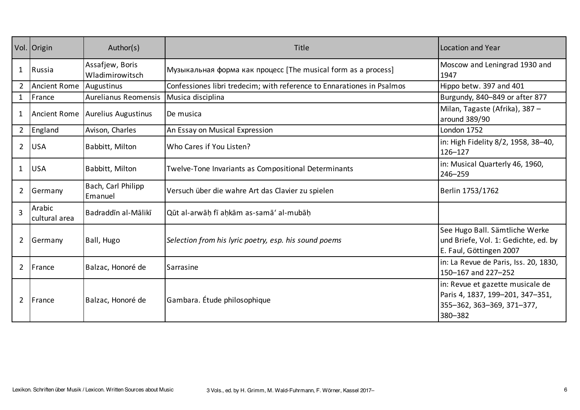|                | Vol. Origin             | Author(s)                          | Title                                                                  | Location and Year                                                                                             |
|----------------|-------------------------|------------------------------------|------------------------------------------------------------------------|---------------------------------------------------------------------------------------------------------------|
| $\mathbf{1}$   | Russia                  | Assafjew, Boris<br>Wladimirowitsch | Музыкальная форма как процесс [The musical form as a process]          | Moscow and Leningrad 1930 and<br>1947                                                                         |
| $\overline{2}$ | <b>Ancient Rome</b>     | Augustinus                         | Confessiones libri tredecim; with reference to Ennarationes in Psalmos | Hippo betw. 397 and 401                                                                                       |
| $\mathbf{1}$   | France                  | <b>Aurelianus Reomensis</b>        | Musica disciplina                                                      | Burgundy, 840-849 or after 877                                                                                |
| 1              | <b>Ancient Rome</b>     | Aurelius Augustinus                | De musica                                                              | Milan, Tagaste (Afrika), 387 -<br>around 389/90                                                               |
| $\overline{2}$ | England                 | Avison, Charles                    | An Essay on Musical Expression                                         | London 1752                                                                                                   |
| $\overline{2}$ | <b>USA</b>              | Babbitt, Milton                    | Who Cares if You Listen?                                               | in: High Fidelity 8/2, 1958, 38-40,<br>$126 - 127$                                                            |
| $\mathbf{1}$   | <b>USA</b>              | Babbitt, Milton                    | Twelve-Tone Invariants as Compositional Determinants                   | in: Musical Quarterly 46, 1960,<br>246-259                                                                    |
| $\overline{2}$ | Germany                 | Bach, Carl Philipp<br>Emanuel      | Versuch über die wahre Art das Clavier zu spielen                      | Berlin 1753/1762                                                                                              |
| 3              | Arabic<br>cultural area | Badraddīn al-Mālikī                | Qūt al-arwāḥ fī aḥkām as-samā' al-mubāḥ                                |                                                                                                               |
| $\overline{2}$ | Germany                 | Ball, Hugo                         | Selection from his lyric poetry, esp. his sound poems                  | See Hugo Ball. Sämtliche Werke<br>und Briefe, Vol. 1: Gedichte, ed. by<br>E. Faul, Göttingen 2007             |
| $\overline{2}$ | France                  | Balzac, Honoré de                  | Sarrasine                                                              | in: La Revue de Paris, Iss. 20, 1830,<br>150-167 and 227-252                                                  |
| $\overline{2}$ | France                  | Balzac, Honoré de                  | Gambara. Étude philosophique                                           | in: Revue et gazette musicale de<br>Paris 4, 1837, 199-201, 347-351,<br>355-362, 363-369, 371-377,<br>380-382 |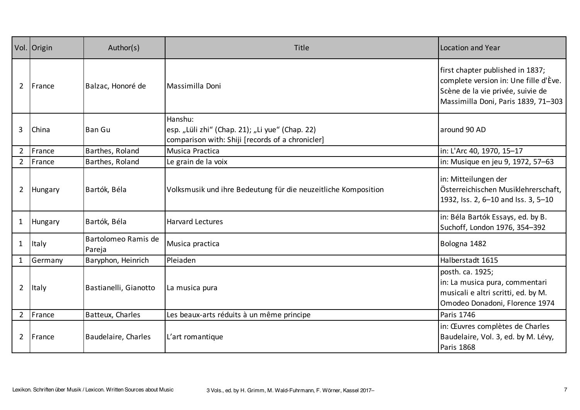|                | Vol. Origin  | Author(s)                     | Title                                                                                                          | <b>Location and Year</b>                                                                                                                              |
|----------------|--------------|-------------------------------|----------------------------------------------------------------------------------------------------------------|-------------------------------------------------------------------------------------------------------------------------------------------------------|
| $\overline{2}$ | France       | Balzac, Honoré de             | Massimilla Doni                                                                                                | first chapter published in 1837;<br>complete version in: Une fille d'Ève.<br>Scène de la vie privée, suivie de<br>Massimilla Doni, Paris 1839, 71-303 |
| 3              | China        | <b>Ban Gu</b>                 | Hanshu:<br>esp. "Lüli zhi" (Chap. 21); "Li yue" (Chap. 22)<br>comparison with: Shiji [records of a chronicler] | around 90 AD                                                                                                                                          |
| $2^{\circ}$    | France       | Barthes, Roland               | Musica Practica                                                                                                | in: L'Arc 40, 1970, 15-17                                                                                                                             |
|                | 2   France   | Barthes, Roland               | Le grain de la voix                                                                                            | in: Musique en jeu 9, 1972, 57-63                                                                                                                     |
| $\overline{2}$ | Hungary      | Bartók, Béla                  | Volksmusik und ihre Bedeutung für die neuzeitliche Komposition                                                 | in: Mitteilungen der<br>Österreichischen Musiklehrerschaft,<br>1932, Iss. 2, 6-10 and Iss. 3, 5-10                                                    |
| $\mathbf{1}$   | Hungary      | Bartók, Béla                  | <b>Harvard Lectures</b>                                                                                        | in: Béla Bartók Essays, ed. by B.<br>Suchoff, London 1976, 354-392                                                                                    |
| $\mathbf{1}$   | Italy        | Bartolomeo Ramis de<br>Pareja | Musica practica                                                                                                | Bologna 1482                                                                                                                                          |
| 1              | Germany      | Baryphon, Heinrich            | Pleiaden                                                                                                       | Halberstadt 1615                                                                                                                                      |
| $2^{\circ}$    | <b>Italy</b> | Bastianelli, Gianotto         | La musica pura                                                                                                 | posth. ca. 1925;<br>in: La musica pura, commentari<br>musicali e altri scritti, ed. by M.<br>Omodeo Donadoni, Florence 1974                           |
|                | 2   France   | Batteux, Charles              | Les beaux-arts réduits à un même principe                                                                      | Paris 1746                                                                                                                                            |
| $\overline{2}$ | France       | Baudelaire, Charles           | L'art romantique                                                                                               | in: Œuvres complètes de Charles<br>Baudelaire, Vol. 3, ed. by M. Lévy,<br>Paris 1868                                                                  |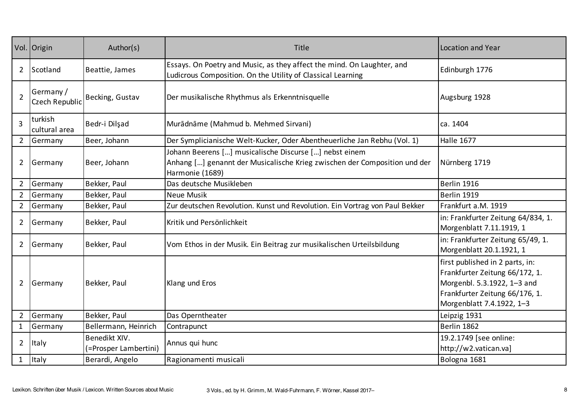|                | Vol. Origin                 | Author(s)                              | <b>Title</b>                                                                                                                                           | Location and Year                                                                                                                                               |
|----------------|-----------------------------|----------------------------------------|--------------------------------------------------------------------------------------------------------------------------------------------------------|-----------------------------------------------------------------------------------------------------------------------------------------------------------------|
| $\overline{2}$ | Scotland                    | Beattie, James                         | Essays. On Poetry and Music, as they affect the mind. On Laughter, and<br>Ludicrous Composition. On the Utility of Classical Learning                  | Edinburgh 1776                                                                                                                                                  |
| $\overline{2}$ | Germany /<br>Czech Republic | Becking, Gustav                        | Der musikalische Rhythmus als Erkenntnisquelle                                                                                                         | Augsburg 1928                                                                                                                                                   |
| 3              | turkish<br>cultural area    | Bedr-i Dilşad                          | Murādnāme (Mahmud b. Mehmed Sirvani)                                                                                                                   | ca. 1404                                                                                                                                                        |
| $2^{\circ}$    | Germany                     | Beer, Johann                           | Der Symplicianische Welt-Kucker, Oder Abentheuerliche Jan Rebhu (Vol. 1)                                                                               | <b>Halle 1677</b>                                                                                                                                               |
| $\overline{2}$ | Germany                     | Beer, Johann                           | Johann Beerens [] musicalische Discurse [] nebst einem<br>Anhang [] genannt der Musicalische Krieg zwischen der Composition und der<br>Harmonie (1689) | Nürnberg 1719                                                                                                                                                   |
| $\overline{2}$ | Germany                     | Bekker, Paul                           | Das deutsche Musikleben                                                                                                                                | Berlin 1916                                                                                                                                                     |
| $\overline{2}$ | Germany                     | Bekker, Paul                           | Neue Musik                                                                                                                                             | Berlin 1919                                                                                                                                                     |
| $2^{\circ}$    | Germany                     | Bekker, Paul                           | Zur deutschen Revolution. Kunst und Revolution. Ein Vortrag von Paul Bekker                                                                            | Frankfurt a.M. 1919                                                                                                                                             |
| $\overline{2}$ | Germany                     | Bekker, Paul                           | Kritik und Persönlichkeit                                                                                                                              | in: Frankfurter Zeitung 64/834, 1.<br>Morgenblatt 7.11.1919, 1                                                                                                  |
| $\overline{2}$ | Germany                     | Bekker, Paul                           | Vom Ethos in der Musik. Ein Beitrag zur musikalischen Urteilsbildung                                                                                   | in: Frankfurter Zeitung 65/49, 1.<br>Morgenblatt 20.1.1921, 1                                                                                                   |
| $\overline{2}$ | Germany                     | Bekker, Paul                           | Klang und Eros                                                                                                                                         | first published in 2 parts, in:<br>Frankfurter Zeitung 66/172, 1.<br>Morgenbl. 5.3.1922, 1-3 and<br>Frankfurter Zeitung 66/176, 1.<br>Morgenblatt 7.4.1922, 1-3 |
| $\overline{2}$ | Germany                     | Bekker, Paul                           | Das Operntheater                                                                                                                                       | Leipzig 1931                                                                                                                                                    |
| $\mathbf{1}$   | Germany                     | Bellermann, Heinrich                   | Contrapunct                                                                                                                                            | Berlin 1862                                                                                                                                                     |
| $\overline{2}$ | Italy                       | Benedikt XIV.<br>(=Prosper Lambertini) | Annus qui hunc                                                                                                                                         | 19.2.1749 [see online:<br>http://w2.vatican.va]                                                                                                                 |
| $\mathbf{1}$   | Italy                       | Berardi, Angelo                        | Ragionamenti musicali                                                                                                                                  | Bologna 1681                                                                                                                                                    |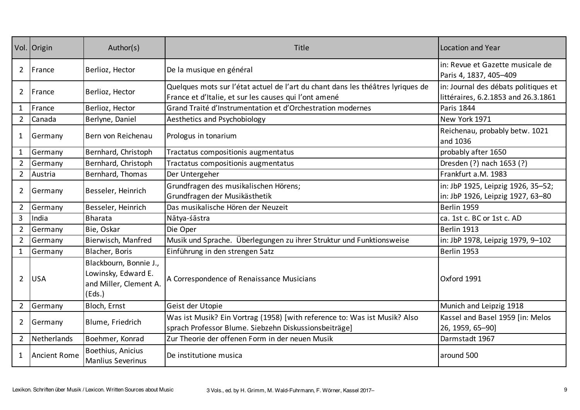|                | Vol. Origin         | Author(s)                                                                         | Title                                                                                                                                    | <b>Location and Year</b>                                                    |
|----------------|---------------------|-----------------------------------------------------------------------------------|------------------------------------------------------------------------------------------------------------------------------------------|-----------------------------------------------------------------------------|
| 2              | France              | Berlioz, Hector                                                                   | De la musique en général                                                                                                                 | in: Revue et Gazette musicale de<br>Paris 4, 1837, 405-409                  |
| $\mathbf{2}$   | France              | Berlioz, Hector                                                                   | Quelques mots sur l'état actuel de l'art du chant dans les théâtres lyriques de<br>France et d'Italie, et sur les causes qui l'ont amené | in: Journal des débats politiques et<br>littéraires, 6.2.1853 and 26.3.1861 |
| $\mathbf{1}$   | France              | Berlioz, Hector                                                                   | Grand Traité d'Instrumentation et d'Orchestration modernes                                                                               | <b>Paris 1844</b>                                                           |
| $\overline{2}$ | Canada              | Berlyne, Daniel                                                                   | Aesthetics and Psychobiology                                                                                                             | New York 1971                                                               |
| $\mathbf{1}$   | Germany             | Bern von Reichenau                                                                | Prologus in tonarium                                                                                                                     | Reichenau, probably betw. 1021<br>and 1036                                  |
| $\mathbf{1}$   | Germany             | Bernhard, Christoph                                                               | Tractatus compositionis augmentatus                                                                                                      | probably after 1650                                                         |
| $\overline{2}$ | Germany             | Bernhard, Christoph                                                               | Tractatus compositionis augmentatus                                                                                                      | Dresden (?) nach 1653 (?)                                                   |
| $2^{\circ}$    | Austria             | Bernhard, Thomas                                                                  | Der Untergeher                                                                                                                           | Frankfurt a.M. 1983                                                         |
| $\mathbf{2}$   | Germany             | Besseler, Heinrich                                                                | Grundfragen des musikalischen Hörens;<br>Grundfragen der Musikästhetik                                                                   | in: JbP 1925, Leipzig 1926, 35-52;<br>in: JbP 1926, Leipzig 1927, 63-80     |
| $2^{\circ}$    | Germany             | Besseler, Heinrich                                                                | Das musikalische Hören der Neuzeit                                                                                                       | Berlin 1959                                                                 |
| 3              | India               | <b>Bharata</b>                                                                    | Nātya-śāstra                                                                                                                             | ca. 1st c. BC or 1st c. AD                                                  |
| $2^{\circ}$    | Germany             | Bie, Oskar                                                                        | Die Oper                                                                                                                                 | Berlin 1913                                                                 |
| $\overline{2}$ | Germany             | Bierwisch, Manfred                                                                | Musik und Sprache. Überlegungen zu ihrer Struktur und Funktionsweise                                                                     | in: JbP 1978, Leipzig 1979, 9-102                                           |
| $\mathbf{1}$   | Germany             | Blacher, Boris                                                                    | Einführung in den strengen Satz                                                                                                          | Berlin 1953                                                                 |
| $\overline{2}$ | <b>USA</b>          | Blackbourn, Bonnie J.,<br>Lowinsky, Edward E.<br>and Miller, Clement A.<br>(Eds.) | A Correspondence of Renaissance Musicians                                                                                                | Oxford 1991                                                                 |
| $2^{\circ}$    | Germany             | Bloch, Ernst                                                                      | Geist der Utopie                                                                                                                         | Munich and Leipzig 1918                                                     |
| $\overline{2}$ | Germany             | Blume, Friedrich                                                                  | Was ist Musik? Ein Vortrag (1958) [with reference to: Was ist Musik? Also<br>sprach Professor Blume. Siebzehn Diskussionsbeiträge]       | Kassel and Basel 1959 [in: Melos<br>26, 1959, 65-90]                        |
| $2^{\circ}$    | Netherlands         | Boehmer, Konrad                                                                   | Zur Theorie der offenen Form in der neuen Musik                                                                                          | Darmstadt 1967                                                              |
| 1              | <b>Ancient Rome</b> | Boethius, Anicius<br><b>Manlius Severinus</b>                                     | De institutione musica                                                                                                                   | around 500                                                                  |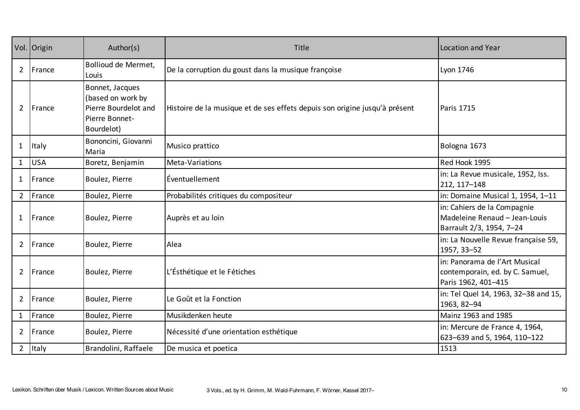|                | Vol. Origin | Author(s)                                                                                    | Title                                                                      | Location and Year                                                                        |
|----------------|-------------|----------------------------------------------------------------------------------------------|----------------------------------------------------------------------------|------------------------------------------------------------------------------------------|
| $\mathbf{2}$   | France      | Bollioud de Mermet,<br>Louis                                                                 | De la corruption du goust dans la musique françoise                        | Lyon 1746                                                                                |
| $\overline{2}$ | France      | Bonnet, Jacques<br>(based on work by<br>Pierre Bourdelot and<br>Pierre Bonnet-<br>Bourdelot) | Histoire de la musique et de ses effets depuis son origine jusqu'à présent | Paris 1715                                                                               |
| $\mathbf{1}$   | Italy       | Bononcini, Giovanni<br>Maria                                                                 | Musico prattico                                                            | Bologna 1673                                                                             |
| $\mathbf{1}$   | <b>USA</b>  | Boretz, Benjamin                                                                             | Meta-Variations                                                            | Red Hook 1995                                                                            |
| $\mathbf{1}$   | France      | Boulez, Pierre                                                                               | Éventuellement                                                             | in: La Revue musicale, 1952, Iss.<br>212, 117-148                                        |
| $2^{\circ}$    | France      | Boulez, Pierre                                                                               | Probabilités critiques du compositeur                                      | in: Domaine Musical 1, 1954, 1-11                                                        |
| $\mathbf{1}$   | France      | Boulez, Pierre                                                                               | Auprès et au loin                                                          | in: Cahiers de la Compagnie<br>Madeleine Renaud - Jean-Louis<br>Barrault 2/3, 1954, 7-24 |
| $\overline{2}$ | France      | Boulez, Pierre                                                                               | Alea                                                                       | in: La Nouvelle Revue française 59,<br>1957, 33-52                                       |
| $\overline{2}$ | France      | Boulez, Pierre                                                                               | L'Ésthétique et le Fétiches                                                | in: Panorama de l'Art Musical<br>contemporain, ed. by C. Samuel,<br>Paris 1962, 401-415  |
| $\overline{2}$ | France      | Boulez, Pierre                                                                               | Le Goût et la Fonction                                                     | in: Tel Quel 14, 1963, 32-38 and 15,<br>1963, 82-94                                      |
| $\mathbf{1}$   | France      | Boulez, Pierre                                                                               | Musikdenken heute                                                          | Mainz 1963 and 1985                                                                      |
| $\overline{2}$ | France      | Boulez, Pierre                                                                               | Nécessité d'une orientation esthétique                                     | in: Mercure de France 4, 1964,<br>623-639 and 5, 1964, 110-122                           |
| $\overline{2}$ | Italy       | Brandolini, Raffaele                                                                         | De musica et poetica                                                       | 1513                                                                                     |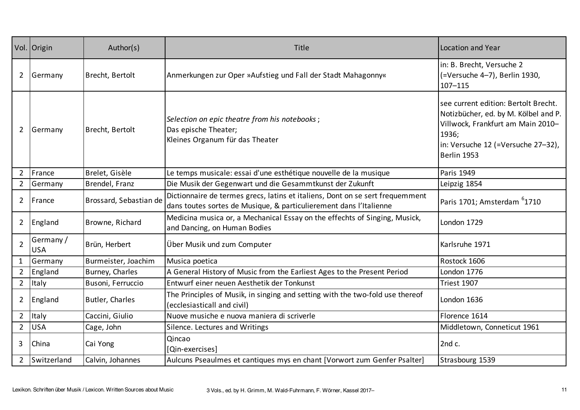|                | Vol. Origin             | Author(s)              | Title                                                                                                                                               | <b>Location and Year</b>                                                                                                                                                        |
|----------------|-------------------------|------------------------|-----------------------------------------------------------------------------------------------------------------------------------------------------|---------------------------------------------------------------------------------------------------------------------------------------------------------------------------------|
| $\overline{2}$ | Germany                 | Brecht, Bertolt        | Anmerkungen zur Oper »Aufstieg und Fall der Stadt Mahagonny«                                                                                        | in: B. Brecht, Versuche 2<br>(=Versuche 4-7), Berlin 1930,<br>$107 - 115$                                                                                                       |
| $\overline{2}$ | Germany                 | Brecht, Bertolt        | Selection on epic theatre from his notebooks;<br>Das epische Theater;<br>Kleines Organum für das Theater                                            | see current edition: Bertolt Brecht.<br>Notizbücher, ed. by M. Kölbel and P.<br>Villwock, Frankfurt am Main 2010-<br>1936;<br>in: Versuche 12 (=Versuche 27-32),<br>Berlin 1953 |
| $\overline{2}$ | France                  | Brelet, Gisèle         | Le temps musicale: essai d'une esthétique nouvelle de la musique                                                                                    | Paris 1949                                                                                                                                                                      |
| $2^{\circ}$    | Germany                 | Brendel, Franz         | Die Musik der Gegenwart und die Gesammtkunst der Zukunft                                                                                            | Leipzig 1854                                                                                                                                                                    |
| $\overline{2}$ | France                  | Brossard, Sebastian de | Dictionnaire de termes grecs, latins et italiens, Dont on se sert frequemment<br>dans toutes sortes de Musique, & particulierement dans l'Italienne | Paris 1701; Amsterdam <sup>6</sup> 1710                                                                                                                                         |
| $\overline{2}$ | England                 | Browne, Richard        | Medicina musica or, a Mechanical Essay on the effechts of Singing, Musick,<br>and Dancing, on Human Bodies                                          | London 1729                                                                                                                                                                     |
| $\overline{2}$ | Germany /<br><b>USA</b> | Brün, Herbert          | Über Musik und zum Computer                                                                                                                         | Karlsruhe 1971                                                                                                                                                                  |
| $\mathbf{1}$   | Germany                 | Burmeister, Joachim    | Musica poetica                                                                                                                                      | Rostock 1606                                                                                                                                                                    |
| $2^{\circ}$    | England                 | Burney, Charles        | A General History of Music from the Earliest Ages to the Present Period                                                                             | London 1776                                                                                                                                                                     |
| $2^{\circ}$    | Italy                   | Busoni, Ferruccio      | Entwurf einer neuen Aesthetik der Tonkunst                                                                                                          | Triest 1907                                                                                                                                                                     |
| $\overline{2}$ | England                 | Butler, Charles        | The Principles of Musik, in singing and setting with the two-fold use thereof<br>(ecclesiasticall and civil)                                        | London 1636                                                                                                                                                                     |
| $2^{\circ}$    | Italy                   | Caccini, Giulio        | Nuove musiche e nuova maniera di scriverle                                                                                                          | Florence 1614                                                                                                                                                                   |
| $2^{\circ}$    | <b>USA</b>              | Cage, John             | Silence. Lectures and Writings                                                                                                                      | Middletown, Conneticut 1961                                                                                                                                                     |
| 3              | China                   | Cai Yong               | Qincao<br>[Qin-exercises]                                                                                                                           | 2nd c.                                                                                                                                                                          |
|                | 2 Switzerland           | Calvin, Johannes       | Aulcuns Pseaulmes et cantiques mys en chant [Vorwort zum Genfer Psalter]                                                                            | Strasbourg 1539                                                                                                                                                                 |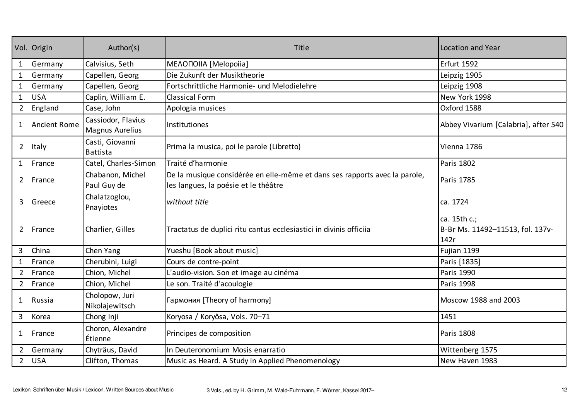|                | Vol. Origin         | Author(s)                             | Title                                                                                                              | Location and Year                                        |
|----------------|---------------------|---------------------------------------|--------------------------------------------------------------------------------------------------------------------|----------------------------------------------------------|
| 1              | Germany             | Calvisius, Seth                       | MEAONOIIA [Melopoiia]                                                                                              | Erfurt 1592                                              |
| $\mathbf{1}$   | Germany             | Capellen, Georg                       | Die Zukunft der Musiktheorie                                                                                       | Leipzig 1905                                             |
| 1              | Germany             | Capellen, Georg                       | Fortschrittliche Harmonie- und Melodielehre                                                                        | Leipzig 1908                                             |
| $\mathbf{1}$   | <b>USA</b>          | Caplin, William E.                    | <b>Classical Form</b>                                                                                              | New York 1998                                            |
| $\overline{2}$ | England             | Case, John                            | Apologia musices                                                                                                   | Oxford 1588                                              |
| 1              | <b>Ancient Rome</b> | Cassiodor, Flavius<br>Magnus Aurelius | Institutiones                                                                                                      | Abbey Vivarium [Calabria], after 540                     |
| $\overline{2}$ | Italy               | Casti, Giovanni<br><b>Battista</b>    | Prima la musica, poi le parole (Libretto)                                                                          | Vienna 1786                                              |
| $\mathbf{1}$   | France              | Catel, Charles-Simon                  | Traité d'harmonie                                                                                                  | <b>Paris 1802</b>                                        |
| $\overline{2}$ | France              | Chabanon, Michel<br>Paul Guy de       | De la musique considérée en elle-même et dans ses rapports avec la parole,<br>les langues, la poésie et le théâtre | Paris 1785                                               |
| 3              | Greece              | Chalatzoglou,<br>Pnayiotes            | without title                                                                                                      | ca. 1724                                                 |
| $\overline{2}$ | France              | Charlier, Gilles                      | Tractatus de duplici ritu cantus ecclesiastici in divinis officiia                                                 | ca. 15th c.;<br>B-Br Ms. 11492-11513, fol. 137v-<br>142r |
| 3              | China               | Chen Yang                             | Yueshu [Book about music]                                                                                          | Fujian 1199                                              |
|                | France              | Cherubini, Luigi                      | Cours de contre-point                                                                                              | Paris [1835]                                             |
| $\overline{2}$ | France              | Chion, Michel                         | L'audio-vision. Son et image au cinéma                                                                             | <b>Paris 1990</b>                                        |
| $\overline{2}$ | France              | Chion, Michel                         | Le son. Traité d'acoulogie                                                                                         | <b>Paris 1998</b>                                        |
| $\mathbf{1}$   | Russia              | Cholopow, Juri<br>Nikolajewitsch      | Гармония [Theory of harmony]                                                                                       | Moscow 1988 and 2003                                     |
| $\mathbf{3}$   | Korea               | Chong Inji                            | Koryosa / Koryŏsa, Vols. 70-71                                                                                     | 1451                                                     |
| $\mathbf{1}$   | France              | Choron, Alexandre<br>Étienne          | Principes de composition                                                                                           | <b>Paris 1808</b>                                        |
| $\overline{2}$ | Germany             | Chyträus, David                       | In Deuteronomium Mosis enarratio                                                                                   | Wittenberg 1575                                          |
| $\overline{2}$ | <b>USA</b>          | Clifton, Thomas                       | Music as Heard. A Study in Applied Phenomenology                                                                   | New Haven 1983                                           |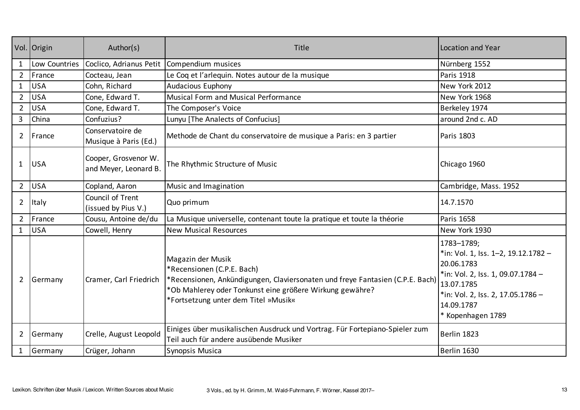|                | Vol. Origin   | Author(s)                                     | Title                                                                                                                                                                                                                                | Location and Year                                                                                                                                                                          |
|----------------|---------------|-----------------------------------------------|--------------------------------------------------------------------------------------------------------------------------------------------------------------------------------------------------------------------------------------|--------------------------------------------------------------------------------------------------------------------------------------------------------------------------------------------|
| $\mathbf{1}$   | Low Countries | Coclico, Adrianus Petit                       | Compendium musices                                                                                                                                                                                                                   | Nürnberg 1552                                                                                                                                                                              |
| $\overline{2}$ | France        | Cocteau, Jean                                 | Le Coq et l'arlequin. Notes autour de la musique                                                                                                                                                                                     | <b>Paris 1918</b>                                                                                                                                                                          |
| $\mathbf{1}$   | <b>USA</b>    | Cohn, Richard                                 | Audacious Euphony                                                                                                                                                                                                                    | New York 2012                                                                                                                                                                              |
| $2^{\circ}$    | <b>USA</b>    | Cone, Edward T.                               | <b>Musical Form and Musical Performance</b>                                                                                                                                                                                          | New York 1968                                                                                                                                                                              |
| $\overline{2}$ | <b>USA</b>    | Cone, Edward T.                               | The Composer's Voice                                                                                                                                                                                                                 | Berkeley 1974                                                                                                                                                                              |
| $\overline{3}$ | China         | Confuzius?                                    | Lunyu [The Analects of Confucius]                                                                                                                                                                                                    | around 2nd c. AD                                                                                                                                                                           |
| $\overline{2}$ | France        | Conservatoire de<br>Musique à Paris (Ed.)     | Methode de Chant du conservatoire de musique a Paris: en 3 partier                                                                                                                                                                   | Paris 1803                                                                                                                                                                                 |
| $\mathbf{1}$   | <b>USA</b>    | Cooper, Grosvenor W.<br>and Meyer, Leonard B. | The Rhythmic Structure of Music                                                                                                                                                                                                      | Chicago 1960                                                                                                                                                                               |
| $2^{\circ}$    | <b>USA</b>    | Copland, Aaron                                | Music and Imagination                                                                                                                                                                                                                | Cambridge, Mass. 1952                                                                                                                                                                      |
| $\overline{2}$ | Italy         | Council of Trent<br>(issued by Pius V.)       | Quo primum                                                                                                                                                                                                                           | 14.7.1570                                                                                                                                                                                  |
| $2^{\circ}$    | France        | Cousu, Antoine de/du                          | La Musique universelle, contenant toute la pratique et toute la théorie                                                                                                                                                              | Paris 1658                                                                                                                                                                                 |
| $\mathbf{1}$   | <b>USA</b>    | Cowell, Henry                                 | <b>New Musical Resources</b>                                                                                                                                                                                                         | New York 1930                                                                                                                                                                              |
| $\overline{2}$ | Germany       | Cramer, Carl Friedrich                        | Magazin der Musik<br>*Recensionen (C.P.E. Bach)<br>*Recensionen, Ankündigungen, Claviersonaten und freye Fantasien (C.P.E. Bach)<br>*Ob Mahlerey oder Tonkunst eine größere Wirkung gewähre?<br>*Fortsetzung unter dem Titel »Musik« | 1783-1789;<br>*in: Vol. 1, Iss. 1-2, 19.12.1782 -<br>20.06.1783<br>*in: Vol. 2, Iss. 1, 09.07.1784 -<br>13.07.1785<br>*in: Vol. 2, Iss. 2, 17.05.1786 -<br>14.09.1787<br>* Kopenhagen 1789 |
| 2              | Germany       | Crelle, August Leopold                        | Einiges über musikalischen Ausdruck und Vortrag. Für Fortepiano-Spieler zum<br>Teil auch für andere ausübende Musiker                                                                                                                | Berlin 1823                                                                                                                                                                                |
|                | Germany       | Crüger, Johann                                | Synopsis Musica                                                                                                                                                                                                                      | Berlin 1630                                                                                                                                                                                |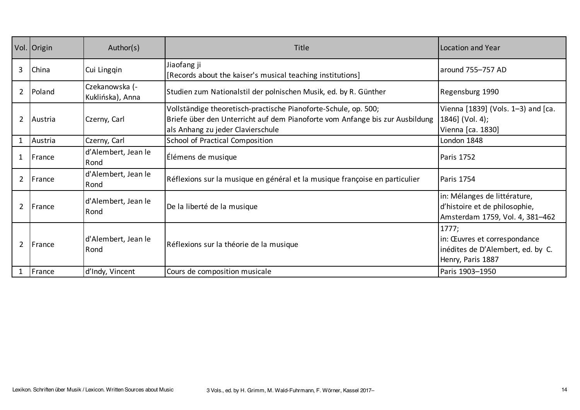|                | Vol. Origin    | Author(s)                          | Title                                                                                                                                                                                | Location and Year                                                                                |
|----------------|----------------|------------------------------------|--------------------------------------------------------------------------------------------------------------------------------------------------------------------------------------|--------------------------------------------------------------------------------------------------|
| 3              | China          | Cui Lingqin                        | Jiaofang ji<br>[Records about the kaiser's musical teaching institutions]                                                                                                            | around 755-757 AD                                                                                |
| $\overline{2}$ | Poland         | Czekanowska (-<br>Kuklińska), Anna | Studien zum Nationalstil der polnischen Musik, ed. by R. Günther                                                                                                                     | Regensburg 1990                                                                                  |
| $\overline{2}$ | Austria        | Czerny, Carl                       | Vollständige theoretisch-practische Pianoforte-Schule, op. 500;<br>Briefe über den Unterricht auf dem Pianoforte vom Anfange bis zur Ausbildung<br>als Anhang zu jeder Clavierschule | Vienna [1839] (Vols. 1-3) and [ca.<br>1846] (Vol. 4);<br>Vienna [ca. 1830]                       |
| $\mathbf{1}$   | Austria        | Czerny, Carl                       | School of Practical Composition                                                                                                                                                      | London 1848                                                                                      |
| $\mathbf{1}$   | France         | d'Alembert, Jean le<br>Rond        | Élémens de musique                                                                                                                                                                   | <b>Paris 1752</b>                                                                                |
| $\overline{2}$ | France         | d'Alembert, Jean le<br>Rond        | Réflexions sur la musique en général et la musique françoise en particulier                                                                                                          | Paris 1754                                                                                       |
| $\overline{2}$ | <b>IFrance</b> | d'Alembert, Jean le<br>Rond        | De la liberté de la musique                                                                                                                                                          | in: Mélanges de littérature,<br>d'histoire et de philosophie,<br>Amsterdam 1759, Vol. 4, 381-462 |
| $\overline{2}$ | France         | d'Alembert, Jean le<br>Rond        | Réflexions sur la théorie de la musique                                                                                                                                              | 1777;<br>in: Œuvres et correspondance<br>inédites de D'Alembert, ed. by C.<br>Henry, Paris 1887  |
| 1              | France         | d'Indy, Vincent                    | Cours de composition musicale                                                                                                                                                        | Paris 1903-1950                                                                                  |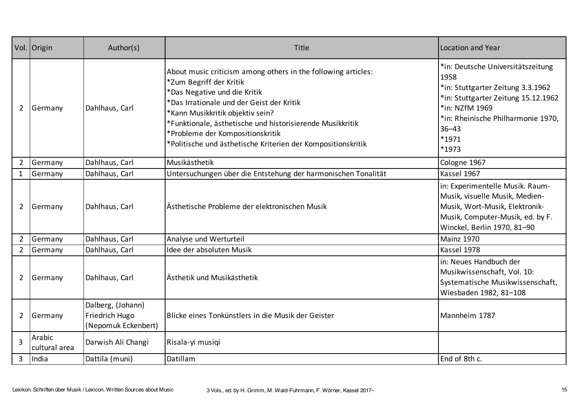|                | Vol. Origin             | Author(s)                                                  | Title                                                                                                                                                                                                                                                                                                                                                                      | Location and Year                                                                                                                                                                                            |
|----------------|-------------------------|------------------------------------------------------------|----------------------------------------------------------------------------------------------------------------------------------------------------------------------------------------------------------------------------------------------------------------------------------------------------------------------------------------------------------------------------|--------------------------------------------------------------------------------------------------------------------------------------------------------------------------------------------------------------|
| $\overline{2}$ | Germany                 | Dahlhaus, Carl                                             | About music criticism among others in the following articles:<br>*Zum Begriff der Kritik<br>*Das Negative und die Kritik<br>*Das Irrationale und der Geist der Kritik<br>*Kann Musikkritik objektiv sein?<br>*Funktionale, ästhetische und historisierende Musikkritik<br>*Probleme der Kompositionskritik<br>*Politische und ästhetische Kriterien der Kompositionskritik | *in: Deutsche Universitätszeitung<br>1958<br>*in: Stuttgarter Zeitung 3.3.1962<br>*in: Stuttgarter Zeitung 15.12.1962<br>*in: NZfM 1969<br>*in: Rheinische Philharmonie 1970,<br>$36 - 43$<br>*1971<br>*1973 |
| $\overline{2}$ | Germany                 | Dahlhaus, Carl                                             | Musikästhetik                                                                                                                                                                                                                                                                                                                                                              | Cologne 1967                                                                                                                                                                                                 |
| $\mathbf{1}$   | Germany                 | Dahlhaus, Carl                                             | Untersuchungen über die Entstehung der harmonischen Tonalität                                                                                                                                                                                                                                                                                                              | Kassel 1967                                                                                                                                                                                                  |
| $2^{\circ}$    | Germany                 | Dahlhaus, Carl                                             | Ästhetische Probleme der elektronischen Musik                                                                                                                                                                                                                                                                                                                              | in: Experimentelle Musik. Raum-<br>Musik, visuelle Musik, Medien-<br>Musik, Wort-Musik, Elektronik-<br>Musik, Computer-Musik, ed. by F.<br>Winckel, Berlin 1970, 81-90                                       |
| $\overline{2}$ | Germany                 | Dahlhaus, Carl                                             | Analyse und Werturteil                                                                                                                                                                                                                                                                                                                                                     | <b>Mainz 1970</b>                                                                                                                                                                                            |
| $\overline{2}$ | Germany                 | Dahlhaus, Carl                                             | Idee der absoluten Musik                                                                                                                                                                                                                                                                                                                                                   | Kassel 1978                                                                                                                                                                                                  |
| $\overline{2}$ | Germany                 | Dahlhaus, Carl                                             | Ästhetik und Musikästhetik                                                                                                                                                                                                                                                                                                                                                 | in: Neues Handbuch der<br>Musikwissenschaft, Vol. 10:<br>Systematische Musikwissenschaft,<br>Wiesbaden 1982, 81-108                                                                                          |
| $\overline{2}$ | Germany                 | Dalberg, (Johann)<br>Friedrich Hugo<br>(Nepomuk Eckenbert) | Blicke eines Tonkünstlers in die Musik der Geister                                                                                                                                                                                                                                                                                                                         | Mannheim 1787                                                                                                                                                                                                |
| $\overline{3}$ | Arabic<br>cultural area | Darwish Ali Changi                                         | Risala-yi musiqi                                                                                                                                                                                                                                                                                                                                                           |                                                                                                                                                                                                              |
| $\overline{3}$ | India                   | Dattila (muni)                                             | Datillam                                                                                                                                                                                                                                                                                                                                                                   | End of 8th c.                                                                                                                                                                                                |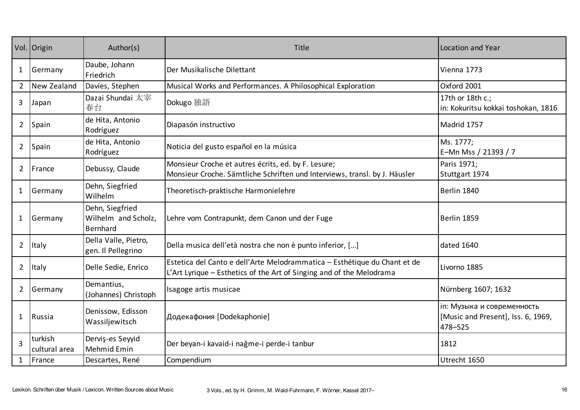|                | Vol. Origin              | Author(s)                                          | Title                                                                                                                                             | Location and Year                                                           |
|----------------|--------------------------|----------------------------------------------------|---------------------------------------------------------------------------------------------------------------------------------------------------|-----------------------------------------------------------------------------|
| $\mathbf{1}$   | Germany                  | Daube, Johann<br>Friedrich                         | Der Musikalische Dilettant                                                                                                                        | Vienna 1773                                                                 |
| $\overline{2}$ | New Zealand              | Davies, Stephen                                    | Musical Works and Performances. A Philosophical Exploration                                                                                       | Oxford 2001                                                                 |
| 3              | Japan                    | Dazai Shundai 太宰<br>春台                             | Dokugo 独語                                                                                                                                         | 17th or 18th c.;<br>in: Kokuritsu kokkai toshokan, 1816                     |
| $\overline{2}$ | Spain                    | de Hita, Antonio<br>Rodríguez                      | Diapasón instructivo                                                                                                                              | Madrid 1757                                                                 |
| $\overline{2}$ | Spain                    | de Hita, Antonio<br>Rodríguez                      | Noticia del gusto español en la música                                                                                                            | Ms. 1777;<br>E-Mn Mss / 21393 / 7                                           |
| $\mathbf{2}$   | France                   | Debussy, Claude                                    | Monsieur Croche et autres écrits, ed. by F. Lesure;<br>Monsieur Croche. Sämtliche Schriften und Interviews, transl. by J. Häusler                 | Paris 1971;<br>Stuttgart 1974                                               |
| $\mathbf{1}$   | Germany                  | Dehn, Siegfried<br>Wilhelm                         | Theoretisch-praktische Harmonielehre                                                                                                              | Berlin 1840                                                                 |
| 1              | Germany                  | Dehn, Siegfried<br>Wilhelm and Scholz,<br>Bernhard | Lehre vom Contrapunkt, dem Canon und der Fuge                                                                                                     | Berlin 1859                                                                 |
| $\overline{2}$ | Italy                    | Della Valle, Pietro,<br>gen. Il Pellegrino         | Della musica dell'età nostra che non è punto inferior, []                                                                                         | dated 1640                                                                  |
| $\overline{2}$ | Italy                    | Delle Sedie, Enrico                                | Estetica del Canto e dell'Arte Melodrammatica - Esthétique du Chant et de<br>L'Art Lyrique - Esthetics of the Art of Singing and of the Melodrama | Livorno 1885                                                                |
| $\overline{2}$ | Germany                  | Demantius,<br>(Johannes) Christoph                 | Isagoge artis musicae                                                                                                                             | Nürnberg 1607; 1632                                                         |
| 1              | Russia                   | Denissow, Edisson<br>Wassiljewitsch                | Додекафония [Dodekaphonie]                                                                                                                        | in: Музыка и современность<br>[Music and Present], Iss. 6, 1969,<br>478-525 |
| 3              | turkish<br>cultural area | Dervis-es Seyyid<br>Mehmid Emin                    | Der beyan-i kavaid-i nağme-i perde-i tanbur                                                                                                       | 1812                                                                        |
| $\mathbf{1}$   | France                   | Descartes, René                                    | Compendium                                                                                                                                        | Utrecht 1650                                                                |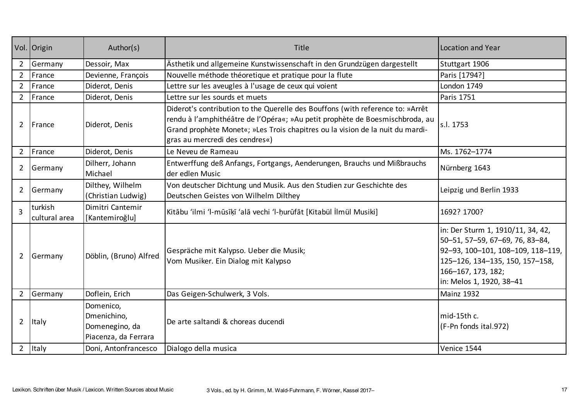|                | Vol. Origin              | Author(s)                                                          | <b>Title</b>                                                                                                                                                                                                                                                                      | Location and Year                                                                                                                                                                              |
|----------------|--------------------------|--------------------------------------------------------------------|-----------------------------------------------------------------------------------------------------------------------------------------------------------------------------------------------------------------------------------------------------------------------------------|------------------------------------------------------------------------------------------------------------------------------------------------------------------------------------------------|
| $2^{\circ}$    | Germany                  | Dessoir, Max                                                       | Ästhetik und allgemeine Kunstwissenschaft in den Grundzügen dargestellt                                                                                                                                                                                                           | Stuttgart 1906                                                                                                                                                                                 |
| $\overline{2}$ | France                   | Devienne, François                                                 | Nouvelle méthode théoretique et pratique pour la flute                                                                                                                                                                                                                            | Paris [1794?]                                                                                                                                                                                  |
| $2^{\circ}$    | France                   | Diderot, Denis                                                     | Lettre sur les aveugles à l'usage de ceux qui voient                                                                                                                                                                                                                              | London 1749                                                                                                                                                                                    |
| $2^{\circ}$    | France                   | Diderot, Denis                                                     | Lettre sur les sourds et muets                                                                                                                                                                                                                                                    | Paris 1751                                                                                                                                                                                     |
| $\overline{2}$ | France                   | Diderot, Denis                                                     | Diderot's contribution to the Querelle des Bouffons (with reference to: »Arrêt<br>rendu à l'amphithéâtre de l'Opéra«; »Au petit prophète de Boesmischbroda, au<br>Grand prophète Monet«; »Les Trois chapitres ou la vision de la nuit du mardi-<br>gras au mercredi des cendres«) | s.l. 1753                                                                                                                                                                                      |
| $\overline{2}$ | France                   | Diderot, Denis                                                     | Le Neveu de Rameau                                                                                                                                                                                                                                                                | Ms. 1762-1774                                                                                                                                                                                  |
| $\overline{2}$ | Germany                  | Dilherr, Johann<br>Michael                                         | Entwerffung deß Anfangs, Fortgangs, Aenderungen, Brauchs und Mißbrauchs<br>der edlen Music                                                                                                                                                                                        | Nürnberg 1643                                                                                                                                                                                  |
| $\overline{2}$ | Germany                  | Dilthey, Wilhelm<br>(Christian Ludwig)                             | Von deutscher Dichtung und Musik. Aus den Studien zur Geschichte des<br>Deutschen Geistes von Wilhelm Dilthey                                                                                                                                                                     | Leipzig und Berlin 1933                                                                                                                                                                        |
| $\overline{3}$ | turkish<br>cultural area | Dimitri Cantemir<br>[Kantemiroğlu]                                 | Kitābu 'ilmi 'l-mūsīķī 'alā vechi 'l-hurūfāt [Kitabül İlmül Musiki]                                                                                                                                                                                                               | 1692? 1700?                                                                                                                                                                                    |
| $\overline{2}$ | Germany                  | Döblin, (Bruno) Alfred                                             | Gespräche mit Kalypso. Ueber die Musik;<br>Vom Musiker. Ein Dialog mit Kalypso                                                                                                                                                                                                    | in: Der Sturm 1, 1910/11, 34, 42,<br>50-51, 57-59, 67-69, 76, 83-84,<br>92-93, 100-101, 108-109, 118-119,<br>125-126, 134-135, 150, 157-158,<br>166-167, 173, 182;<br>in: Melos 1, 1920, 38-41 |
| $2^{\circ}$    | Germany                  | Doflein, Erich                                                     | Das Geigen-Schulwerk, 3 Vols.                                                                                                                                                                                                                                                     | <b>Mainz 1932</b>                                                                                                                                                                              |
| $\overline{2}$ | Italy                    | Domenico,<br>Dmenichino,<br>Domenegino, da<br>Piacenza, da Ferrara | De arte saltandi & choreas ducendi                                                                                                                                                                                                                                                | mid-15th c.<br>(F-Pn fonds ital.972)                                                                                                                                                           |
| $\overline{2}$ | Italy                    | Doni, Antonfrancesco                                               | Dialogo della musica                                                                                                                                                                                                                                                              | Venice 1544                                                                                                                                                                                    |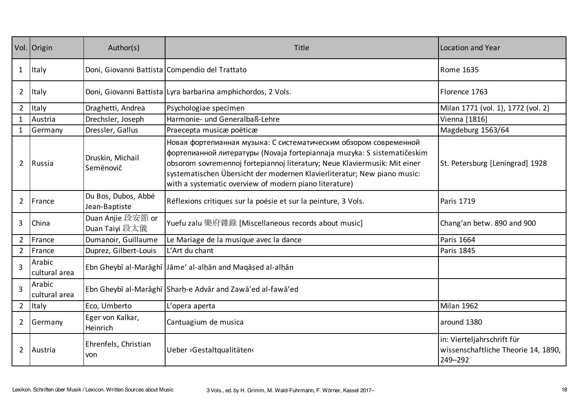|                | Vol. Origin             | Author(s)                            | Title                                                                                                                                                                                                                                                                                                                                                          | <b>Location and Year</b>                                                     |
|----------------|-------------------------|--------------------------------------|----------------------------------------------------------------------------------------------------------------------------------------------------------------------------------------------------------------------------------------------------------------------------------------------------------------------------------------------------------------|------------------------------------------------------------------------------|
| $\mathbf{1}$   | <b>Italy</b>            |                                      | Doni, Giovanni Battista   Compendio del Trattato                                                                                                                                                                                                                                                                                                               | <b>Rome 1635</b>                                                             |
| $\overline{2}$ | Italy                   |                                      | Doni, Giovanni Battista Lyra barbarina amphichordos, 2 Vols.                                                                                                                                                                                                                                                                                                   | Florence 1763                                                                |
| $2^{\circ}$    | Italy                   | Draghetti, Andrea                    | Psychologiae specimen                                                                                                                                                                                                                                                                                                                                          | Milan 1771 (vol. 1), 1772 (vol. 2)                                           |
| $\mathbf{1}$   | Austria                 | Drechsler, Joseph                    | Harmonie- und Generalbaß-Lehre                                                                                                                                                                                                                                                                                                                                 | Vienna [1816]                                                                |
| $\mathbf{1}$   | Germany                 | Dressler, Gallus                     | Praecepta musicæ poëticæ                                                                                                                                                                                                                                                                                                                                       | Magdeburg 1563/64                                                            |
| $\overline{2}$ | Russia                  | Druskin, Michail<br>Semënovič        | Новая фортепианная музыка: С систематическим обзором современной<br>фортепианной литературы (Novaja fortepiannaja muzyka: S sistematičeskim<br>obsorom sovremennoj fortepiannoj literatury; Neue Klaviermusik: Mit einer<br>systematischen Übersicht der modernen Klavierliteratur; New piano music:<br>with a systematic overview of modern piano literature) | St. Petersburg [Leningrad] 1928                                              |
| $2^{\circ}$    | France                  | Du Bos, Dubos, Abbé<br>Jean-Baptiste | Réflexions critiques sur la poésie et sur la peinture, 3 Vols.                                                                                                                                                                                                                                                                                                 | <b>Paris 1719</b>                                                            |
| 3              | China                   | Duan Anjie 段安節 or<br>Duan Taiyi 段太儀  | Yuefu zalu 樂府雜錄 [Miscellaneous records about music]                                                                                                                                                                                                                                                                                                            | Chang'an betw. 890 and 900                                                   |
|                | 2   France              | Dumanoir, Guillaume                  | Le Mariage de la musique avec la dance                                                                                                                                                                                                                                                                                                                         | Paris 1664                                                                   |
|                | 2 France                | Duprez, Gilbert-Louis                | L'Art du chant                                                                                                                                                                                                                                                                                                                                                 | <b>Paris 1845</b>                                                            |
| $\overline{3}$ | Arabic<br>cultural area |                                      | Ebn Gheybī al-Marāghī Jāme' al-alḥān and Maqāṣed al-alḥān                                                                                                                                                                                                                                                                                                      |                                                                              |
| $\overline{3}$ | Arabic<br>cultural area |                                      | Ebn Gheybī al-Marāghī   Sharḥ-e Advār and Zawā'ed al-fawā'ed                                                                                                                                                                                                                                                                                                   |                                                                              |
|                | 2 Italy                 | Eco, Umberto                         | L'opera aperta                                                                                                                                                                                                                                                                                                                                                 | Milan 1962                                                                   |
| $2^{\circ}$    | Germany                 | Eger von Kalkar,<br>Heinrich         | Cantuagium de musica                                                                                                                                                                                                                                                                                                                                           | around 1380                                                                  |
| $\mathbf{2}$   | Austria                 | Ehrenfels, Christian<br>von          | Ueber >Gestaltqualitäten‹                                                                                                                                                                                                                                                                                                                                      | in: Vierteljahrschrift für<br>wissenschaftliche Theorie 14, 1890,<br>249-292 |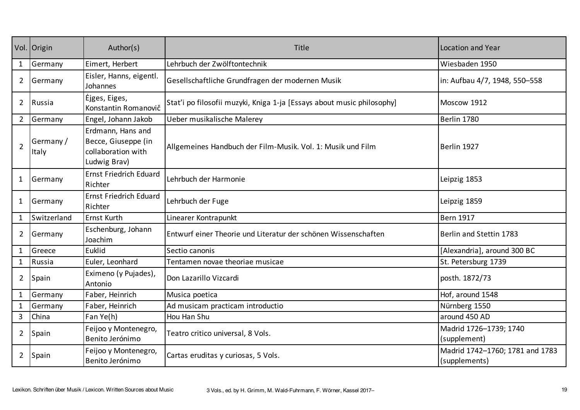|                | Vol. Origin        | Author(s)                                                                      | Title                                                                  | Location and Year                                |
|----------------|--------------------|--------------------------------------------------------------------------------|------------------------------------------------------------------------|--------------------------------------------------|
| $\mathbf{1}$   | Germany            | Eimert, Herbert                                                                | Lehrbuch der Zwölftontechnik                                           | Wiesbaden 1950                                   |
| $\overline{2}$ | Germany            | Eisler, Hanns, eigentl.<br>Johannes                                            | Gesellschaftliche Grundfragen der modernen Musik                       | in: Aufbau 4/7, 1948, 550-558                    |
| $2^{\circ}$    | Russia             | Ėjges, Eiges,<br>Konstantin Romanovič                                          | Stat'i po filosofii muzyki, Kniga 1-ja [Essays about music philosophy] | Moscow 1912                                      |
| $\overline{2}$ | Germany            | Engel, Johann Jakob                                                            | Ueber musikalische Malerey                                             | Berlin 1780                                      |
| $\overline{2}$ | Germany /<br>Italy | Erdmann, Hans and<br>Becce, Giuseppe (in<br>collaboration with<br>Ludwig Brav) | Allgemeines Handbuch der Film-Musik. Vol. 1: Musik und Film            | Berlin 1927                                      |
| $\mathbf{1}$   | Germany            | <b>Ernst Friedrich Eduard</b><br>Richter                                       | Lehrbuch der Harmonie                                                  | Leipzig 1853                                     |
| $\mathbf{1}$   | Germany            | <b>Ernst Friedrich Eduard</b><br>Richter                                       | Lehrbuch der Fuge                                                      | Leipzig 1859                                     |
| $\mathbf{1}$   | Switzerland        | <b>Ernst Kurth</b>                                                             | Linearer Kontrapunkt                                                   | <b>Bern 1917</b>                                 |
| $\overline{2}$ | Germany            | Eschenburg, Johann<br>Joachim                                                  | Entwurf einer Theorie und Literatur der schönen Wissenschaften         | Berlin and Stettin 1783                          |
| $\mathbf{1}$   | Greece             | Euklid                                                                         | Sectio canonis                                                         | [Alexandria], around 300 BC                      |
| $\mathbf{1}$   | Russia             | Euler, Leonhard                                                                | Tentamen novae theoriae musicae                                        | St. Petersburg 1739                              |
| $\overline{2}$ | Spain              | Eximeno (y Pujades),<br>Antonio                                                | Don Lazarillo Vizcardi                                                 | posth. 1872/73                                   |
| $\mathbf{1}$   | Germany            | Faber, Heinrich                                                                | Musica poetica                                                         | Hof, around 1548                                 |
| $\mathbf{1}$   | Germany            | Faber, Heinrich                                                                | Ad musicam practicam introductio                                       | Nürnberg 1550                                    |
| 3              | China              | Fan Ye(h)                                                                      | Hou Han Shu                                                            | around 450 AD                                    |
| $\overline{2}$ | Spain              | Feijoo y Montenegro,<br>Benito Jerónimo                                        | Teatro critico universal, 8 Vols.                                      | Madrid 1726-1739; 1740<br>(supplement)           |
| $\overline{2}$ | Spain              | Feijoo y Montenegro,<br>Benito Jerónimo                                        | Cartas eruditas y curiosas, 5 Vols.                                    | Madrid 1742-1760; 1781 and 1783<br>(supplements) |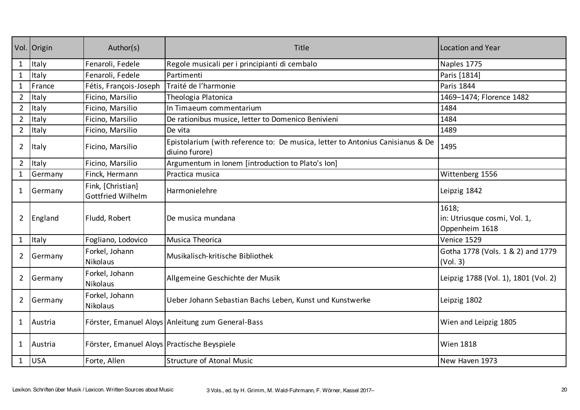|                | Vol. Origin | Author(s)                                     | Title                                                                                            | Location and Year                                       |
|----------------|-------------|-----------------------------------------------|--------------------------------------------------------------------------------------------------|---------------------------------------------------------|
| $\mathbf{1}$   | Italy       | Fenaroli, Fedele                              | Regole musicali per i principianti di cembalo                                                    | Naples 1775                                             |
| $\mathbf{1}$   | Italy       | Fenaroli, Fedele                              | Partimenti                                                                                       | Paris [1814]                                            |
| $\mathbf{1}$   | France      | Fétis, François-Joseph                        | Traité de l'harmonie                                                                             | Paris 1844                                              |
| $\overline{2}$ | Italy       | Ficino, Marsilio                              | Theologia Platonica                                                                              | 1469-1474; Florence 1482                                |
| $\overline{2}$ | Italy       | Ficino, Marsilio                              | In Timaeum commentarium                                                                          | 1484                                                    |
| $\overline{2}$ | Italy       | Ficino, Marsilio                              | De rationibus musice, letter to Domenico Benivieni                                               | 1484                                                    |
| $\overline{2}$ | Italy       | Ficino, Marsilio                              | De vita                                                                                          | 1489                                                    |
| $\overline{2}$ | Italy       | Ficino, Marsilio                              | Epistolarium (with reference to: De musica, letter to Antonius Canisianus & De<br>diuino furore) | 1495                                                    |
| $2^{\circ}$    | Italy       | Ficino, Marsilio                              | Argumentum in Ionem [introduction to Plato's Ion]                                                |                                                         |
| $\mathbf{1}$   | Germany     | Finck, Hermann                                | Practica musica                                                                                  | Wittenberg 1556                                         |
| $\mathbf{1}$   | Germany     | Fink, [Christian]<br><b>Gottfried Wilhelm</b> | Harmonielehre                                                                                    | Leipzig 1842                                            |
| $\overline{2}$ | England     | Fludd, Robert                                 | De musica mundana                                                                                | 1618;<br>in: Utriusque cosmi, Vol. 1,<br>Oppenheim 1618 |
| $\mathbf{1}$   | Italy       | Fogliano, Lodovico                            | Musica Theorica                                                                                  | Venice 1529                                             |
| $\overline{2}$ | Germany     | Forkel, Johann<br><b>Nikolaus</b>             | Musikalisch-kritische Bibliothek                                                                 | Gotha 1778 (Vols. 1 & 2) and 1779<br>(Vol. 3)           |
| $\overline{2}$ | Germany     | Forkel, Johann<br>Nikolaus                    | Allgemeine Geschichte der Musik                                                                  | Leipzig 1788 (Vol. 1), 1801 (Vol. 2)                    |
| $\overline{2}$ | Germany     | Forkel, Johann<br><b>Nikolaus</b>             | Ueber Johann Sebastian Bachs Leben, Kunst und Kunstwerke                                         | Leipzig 1802                                            |
| $\mathbf{1}$   | Austria     |                                               | Förster, Emanuel Aloys Anleitung zum General-Bass                                                | Wien and Leipzig 1805                                   |
| $\mathbf{1}$   | Austria     | Förster, Emanuel Aloys Practische Beyspiele   |                                                                                                  | <b>Wien 1818</b>                                        |
| $\mathbf{1}$   | <b>USA</b>  | Forte, Allen                                  | <b>Structure of Atonal Music</b>                                                                 | New Haven 1973                                          |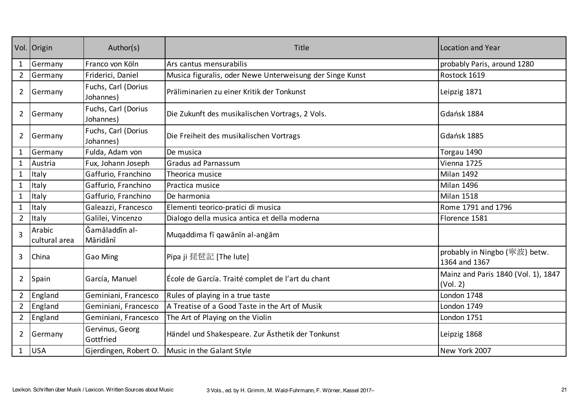|                | Vol. Origin             | Author(s)                        | Title                                                    | Location and Year                               |
|----------------|-------------------------|----------------------------------|----------------------------------------------------------|-------------------------------------------------|
| $\mathbf{1}$   | Germany                 | Franco von Köln                  | Ars cantus mensurabilis                                  | probably Paris, around 1280                     |
| $\overline{2}$ | Germany                 | Friderici, Daniel                | Musica figuralis, oder Newe Unterweisung der Singe Kunst | Rostock 1619                                    |
| $\overline{2}$ | Germany                 | Fuchs, Carl (Dorius<br>Johannes) | Präliminarien zu einer Kritik der Tonkunst               | Leipzig 1871                                    |
| $\overline{2}$ | Germany                 | Fuchs, Carl (Dorius<br>Johannes) | Die Zukunft des musikalischen Vortrags, 2 Vols.          | Gdańsk 1884                                     |
| $\overline{2}$ | Germany                 | Fuchs, Carl (Dorius<br>Johannes) | Die Freiheit des musikalischen Vortrags                  | Gdańsk 1885                                     |
| $\mathbf{1}$   | Germany                 | Fulda, Adam von                  | De musica                                                | Torgau 1490                                     |
| $\mathbf{1}$   | Austria                 | Fux, Johann Joseph               | Gradus ad Parnassum                                      | Vienna 1725                                     |
| $\mathbf{1}$   | Italy                   | Gaffurio, Franchino              | Theorica musice                                          | Milan 1492                                      |
| $\mathbf{1}$   | Italy                   | Gaffurio, Franchino              | Practica musice                                          | Milan 1496                                      |
| $\mathbf{1}$   | Italy                   | Gaffurio, Franchino              | De harmonia                                              | Milan 1518                                      |
| $\mathbf{1}$   | Italy                   | Galeazzi, Francesco              | Elementi teorico-pratici di musica                       | Rome 1791 and 1796                              |
| $\overline{2}$ | Italy                   | Galilei, Vincenzo                | Dialogo della musica antica et della moderna             | Florence 1581                                   |
| 3              | Arabic<br>cultural area | Ğamāladdīn al-<br>Māridānī       | Muqaddima fī qawānīn al-anġām                            |                                                 |
| 3              | China                   | Gao Ming                         | Pipa ji 琵琶記 [The lute]                                   | probably in Ningbo (寧波) betw.<br>1364 and 1367  |
| $\overline{2}$ | Spain                   | García, Manuel                   | École de García. Traité complet de l'art du chant        | Mainz and Paris 1840 (Vol. 1), 1847<br>(Vol. 2) |
| $\overline{2}$ | England                 | Geminiani, Francesco             | Rules of playing in a true taste                         | London 1748                                     |
| $\overline{2}$ | England                 | Geminiani, Francesco             | A Treatise of a Good Taste in the Art of Musik           | London 1749                                     |
| $\overline{2}$ | England                 | Geminiani, Francesco             | The Art of Playing on the Violin                         | London 1751                                     |
| $\overline{2}$ | Germany                 | Gervinus, Georg<br>Gottfried     | Händel und Shakespeare. Zur Ästhetik der Tonkunst        | Leipzig 1868                                    |
| $\mathbf{1}$   | USA                     | Gjerdingen, Robert O.            | Music in the Galant Style                                | New York 2007                                   |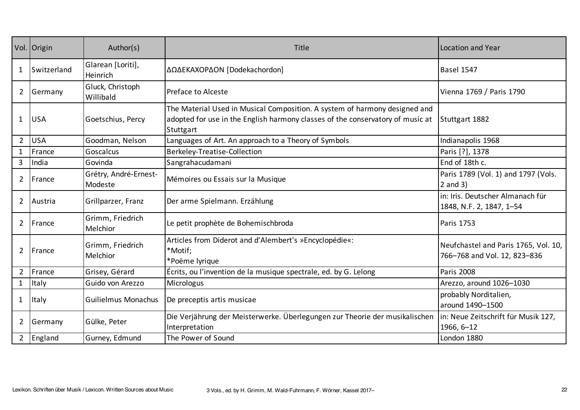|                | Vol. Origin  | Author(s)                        | Title                                                                                                                                                                     | Location and Year                                                    |
|----------------|--------------|----------------------------------|---------------------------------------------------------------------------------------------------------------------------------------------------------------------------|----------------------------------------------------------------------|
| 1              | Switzerland  | Glarean [Loriti],<br>Heinrich    | ΔΩΔΕΚΑΧΟΡΔΟΝ [Dodekachordon]                                                                                                                                              | <b>Basel 1547</b>                                                    |
| $\overline{2}$ | Germany      | Gluck, Christoph<br>Willibald    | Preface to Alceste                                                                                                                                                        | Vienna 1769 / Paris 1790                                             |
| $\mathbf{1}$   | <b>USA</b>   | Goetschius, Percy                | The Material Used in Musical Composition. A system of harmony designed and<br>adopted for use in the English harmony classes of the conservatory of music at<br>Stuttgart | Stuttgart 1882                                                       |
| $2^{\circ}$    | <b>USA</b>   | Goodman, Nelson                  | Languages of Art. An approach to a Theory of Symbols                                                                                                                      | Indianapolis 1968                                                    |
| $\mathbf{1}$   | France       | Goscalcus                        | Berkeley-Treatise-Collection                                                                                                                                              | Paris [?], 1378                                                      |
| $\overline{3}$ | India        | Govinda                          | Sangrahacudamani                                                                                                                                                          | End of 18th c.                                                       |
| $\mathbf{2}$   | France       | Grétry, André-Ernest-<br>Modeste | Mémoires ou Essais sur la Musique                                                                                                                                         | Paris 1789 (Vol. 1) and 1797 (Vols.<br>$2$ and $3)$                  |
| $2^{\circ}$    | Austria      | Grillparzer, Franz               | Der arme Spielmann. Erzählung                                                                                                                                             | in: Iris. Deutscher Almanach für<br>1848, N.F. 2, 1847, 1-54         |
| $\mathbf{2}$   | France       | Grimm, Friedrich<br>Melchior     | Le petit prophète de Bohemischbroda                                                                                                                                       | Paris 1753                                                           |
| $\overline{2}$ | France       | Grimm, Friedrich<br>Melchior     | Articles from Diderot and d'Alembert's »Encyclopédie«:<br>*Motif;<br>*Poëme lyrique                                                                                       | Neufchastel and Paris 1765, Vol. 10,<br>766-768 and Vol. 12, 823-836 |
| $2^{\circ}$    | France       | Grisey, Gérard                   | Écrits, ou l'invention de la musique spectrale, ed. by G. Lelong                                                                                                          | Paris 2008                                                           |
| $\mathbf{1}$   | <b>Italy</b> | Guido von Arezzo                 | Micrologus                                                                                                                                                                | Arezzo, around 1026-1030                                             |
| $\mathbf{1}$   | <b>Italy</b> | Guilielmus Monachus              | De preceptis artis musicae                                                                                                                                                | probably Norditalien,<br>around 1490-1500                            |
| $\overline{2}$ | Germany      | Gülke, Peter                     | Die Verjährung der Meisterwerke. Überlegungen zur Theorie der musikalischen<br>Interpretation                                                                             | in: Neue Zeitschrift für Musik 127,<br>1966, 6-12                    |
|                | 2 England    | Gurney, Edmund                   | The Power of Sound                                                                                                                                                        | London 1880                                                          |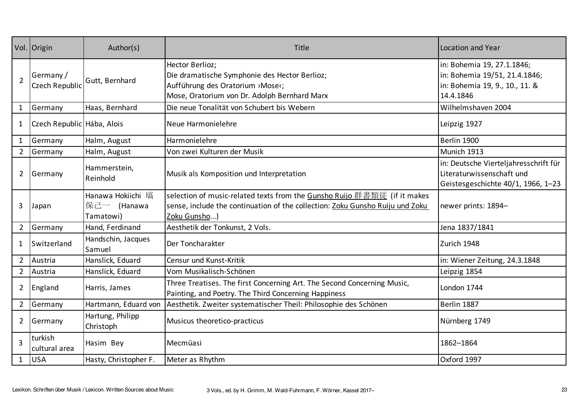|                | Vol. Origin                 | Author(s)                                     | Title                                                                                                                                                                     | <b>Location and Year</b>                                                                                   |
|----------------|-----------------------------|-----------------------------------------------|---------------------------------------------------------------------------------------------------------------------------------------------------------------------------|------------------------------------------------------------------------------------------------------------|
| $\overline{2}$ | Germany /<br>Czech Republic | Gutt, Bernhard                                | Hector Berlioz;<br>Die dramatische Symphonie des Hector Berlioz;<br>Aufführung des Oratorium ›Mose‹;<br>Mose, Oratorium von Dr. Adolph Bernhard Marx                      | in: Bohemia 19, 27.1.1846;<br>in: Bohemia 19/51, 21.4.1846;<br>in: Bohemia 19, 9., 10., 11. &<br>14.4.1846 |
| $\mathbf{1}$   | Germany                     | Haas, Bernhard                                | Die neue Tonalität von Schubert bis Webern                                                                                                                                | Wilhelmshaven 2004                                                                                         |
| $\mathbf{1}$   | Czech Republic Hába, Alois  |                                               | Neue Harmonielehre                                                                                                                                                        | Leipzig 1927                                                                                               |
| $\mathbf{1}$   | Germany                     | Halm, August                                  | Harmonielehre                                                                                                                                                             | Berlin 1900                                                                                                |
| $2^{\circ}$    | Germany                     | Halm, August                                  | Von zwei Kulturen der Musik                                                                                                                                               | Munich 1913                                                                                                |
| $\overline{2}$ | Germany                     | Hammerstein,<br>Reinhold                      | Musik als Komposition und Interpretation                                                                                                                                  | in: Deutsche Vierteljahresschrift für<br>Literaturwissenschaft und<br>Geistesgeschichte 40/1, 1966, 1-23   |
| 3              | Japan                       | Hanawa Hokiichi 塙<br>保己一 (Hanawa<br>Tamatowi) | selection of music-related texts from the Gunsho Ruijo 群書類従 (if it makes<br>sense, include the continuation of the collection: Zoku Gunsho Ruiju und Zoku<br>Zoku Gunsho) | newer prints: 1894-                                                                                        |
| $\overline{2}$ | Germany                     | Hand, Ferdinand                               | Aesthetik der Tonkunst, 2 Vols.                                                                                                                                           | Jena 1837/1841                                                                                             |
| 1              | Switzerland                 | Handschin, Jacques<br>Samuel                  | Der Toncharakter                                                                                                                                                          | Zurich 1948                                                                                                |
| $2^{\circ}$    | Austria                     | Hanslick, Eduard                              | Censur und Kunst-Kritik                                                                                                                                                   | in: Wiener Zeitung, 24.3.1848                                                                              |
| $2^{\circ}$    | Austria                     | Hanslick, Eduard                              | Vom Musikalisch-Schönen                                                                                                                                                   | Leipzig 1854                                                                                               |
| $\overline{2}$ | England                     | Harris, James                                 | Three Treatises. The first Concerning Art. The Second Concerning Music,<br>Painting, and Poetry. The Third Concerning Happiness                                           | London 1744                                                                                                |
| $2^{\circ}$    | Germany                     | Hartmann, Eduard von                          | Aesthetik. Zweiter systematischer Theil: Philosophie des Schönen                                                                                                          | Berlin 1887                                                                                                |
| $\overline{2}$ | Germany                     | Hartung, Philipp<br>Christoph                 | Musicus theoretico-practicus                                                                                                                                              | Nürnberg 1749                                                                                              |
| 3              | turkish<br>cultural area    | Hasim Bey                                     | Mecmūasi                                                                                                                                                                  | 1862-1864                                                                                                  |
| $\mathbf{1}$   | <b>USA</b>                  | Hasty, Christopher F.                         | Meter as Rhythm                                                                                                                                                           | Oxford 1997                                                                                                |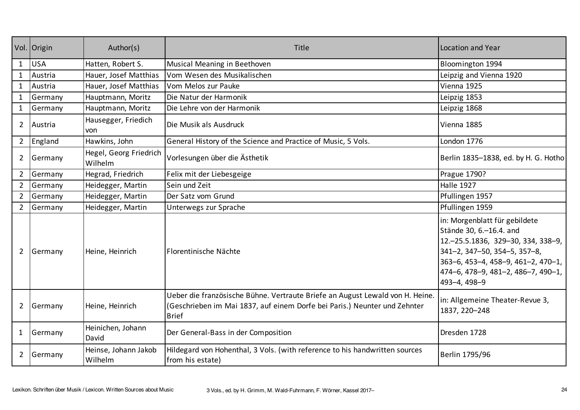|                | Vol. Origin | Author(s)                         | Title                                                                                                                                                                      | Location and Year                                                                                                                                                                                                                  |
|----------------|-------------|-----------------------------------|----------------------------------------------------------------------------------------------------------------------------------------------------------------------------|------------------------------------------------------------------------------------------------------------------------------------------------------------------------------------------------------------------------------------|
| 1              | <b>USA</b>  | Hatten, Robert S.                 | Musical Meaning in Beethoven                                                                                                                                               | Bloomington 1994                                                                                                                                                                                                                   |
| $\mathbf{1}$   | Austria     | Hauer, Josef Matthias             | Vom Wesen des Musikalischen                                                                                                                                                | Leipzig and Vienna 1920                                                                                                                                                                                                            |
| $\mathbf{1}$   | Austria     | Hauer, Josef Matthias             | Vom Melos zur Pauke                                                                                                                                                        | Vienna 1925                                                                                                                                                                                                                        |
| $\mathbf{1}$   | Germany     | Hauptmann, Moritz                 | Die Natur der Harmonik                                                                                                                                                     | Leipzig 1853                                                                                                                                                                                                                       |
| $\mathbf{1}$   | Germany     | Hauptmann, Moritz                 | Die Lehre von der Harmonik                                                                                                                                                 | Leipzig 1868                                                                                                                                                                                                                       |
| $2^{\circ}$    | Austria     | Hausegger, Friedich<br>von.       | Die Musik als Ausdruck                                                                                                                                                     | Vienna 1885                                                                                                                                                                                                                        |
| $2^{\circ}$    | England     | Hawkins, John                     | General History of the Science and Practice of Music, 5 Vols.                                                                                                              | London 1776                                                                                                                                                                                                                        |
| $\overline{2}$ | Germany     | Hegel, Georg Friedrich<br>Wilhelm | Vorlesungen über die Ästhetik                                                                                                                                              | Berlin 1835-1838, ed. by H. G. Hotho                                                                                                                                                                                               |
| $\overline{2}$ | Germany     | Hegrad, Friedrich                 | Felix mit der Liebesgeige                                                                                                                                                  | Prague 1790?                                                                                                                                                                                                                       |
| $2^{\circ}$    | Germany     | Heidegger, Martin                 | Sein und Zeit                                                                                                                                                              | <b>Halle 1927</b>                                                                                                                                                                                                                  |
| $\overline{2}$ | Germany     | Heidegger, Martin                 | Der Satz vom Grund                                                                                                                                                         | Pfullingen 1957                                                                                                                                                                                                                    |
| $\overline{2}$ | Germany     | Heidegger, Martin                 | Unterwegs zur Sprache                                                                                                                                                      | Pfullingen 1959                                                                                                                                                                                                                    |
| $\overline{2}$ | Germany     | Heine, Heinrich                   | Florentinische Nächte                                                                                                                                                      | in: Morgenblatt für gebildete<br>Stände 30, 6. - 16.4. and<br>12. - 25.5.1836, 329 - 30, 334, 338 - 9,<br>341-2, 347-50, 354-5, 357-8,<br>363-6, 453-4, 458-9, 461-2, 470-1,<br>474-6, 478-9, 481-2, 486-7, 490-1,<br>493-4, 498-9 |
| $\overline{2}$ | Germany     | Heine, Heinrich                   | Ueber die französische Bühne. Vertraute Briefe an August Lewald von H. Heine.<br>(Geschrieben im Mai 1837, auf einem Dorfe bei Paris.) Neunter und Zehnter<br><b>Brief</b> | in: Allgemeine Theater-Revue 3,<br>1837, 220-248                                                                                                                                                                                   |
| $\mathbf{1}$   | Germany     | Heinichen, Johann<br>David        | Der General-Bass in der Composition                                                                                                                                        | Dresden 1728                                                                                                                                                                                                                       |
| $\overline{2}$ | Germany     | Heinse, Johann Jakob<br>Wilhelm   | Hildegard von Hohenthal, 3 Vols. (with reference to his handwritten sources<br>from his estate)                                                                            | Berlin 1795/96                                                                                                                                                                                                                     |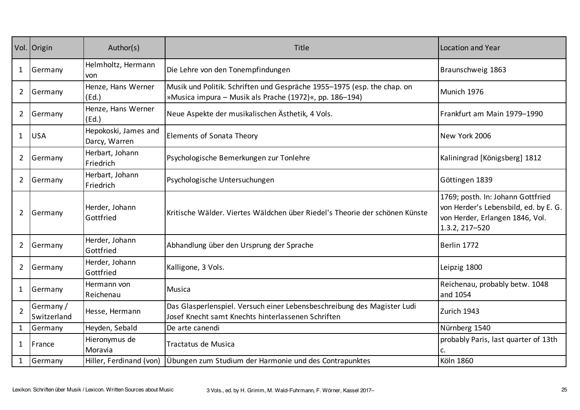|                | Vol. Origin              | Author(s)                             | Title                                                                                                                              | <b>Location and Year</b>                                                                                                        |
|----------------|--------------------------|---------------------------------------|------------------------------------------------------------------------------------------------------------------------------------|---------------------------------------------------------------------------------------------------------------------------------|
| 1              | Germany                  | Helmholtz, Hermann<br>von             | Die Lehre von den Tonempfindungen                                                                                                  | Braunschweig 1863                                                                                                               |
| $\overline{2}$ | Germany                  | Henze, Hans Werner<br>(Ed.)           | Musik und Politik. Schriften und Gespräche 1955-1975 (esp. the chap. on<br>»Musica impura – Musik als Prache (1972)«, pp. 186–194) | Munich 1976                                                                                                                     |
| $\overline{2}$ | Germany                  | Henze, Hans Werner<br>(Ed.)           | Neue Aspekte der musikalischen Ästhetik, 4 Vols.                                                                                   | Frankfurt am Main 1979-1990                                                                                                     |
| $\mathbf{1}$   | <b>USA</b>               | Hepokoski, James and<br>Darcy, Warren | <b>Elements of Sonata Theory</b>                                                                                                   | New York 2006                                                                                                                   |
| $\overline{2}$ | Germany                  | Herbart, Johann<br>Friedrich          | Psychologische Bemerkungen zur Tonlehre                                                                                            | Kaliningrad [Königsberg] 1812                                                                                                   |
| 2              | Germany                  | Herbart, Johann<br>Friedrich          | Psychologische Untersuchungen                                                                                                      | Göttingen 1839                                                                                                                  |
| $\overline{2}$ | Germany                  | Herder, Johann<br>Gottfried           | Kritische Wälder. Viertes Wäldchen über Riedel's Theorie der schönen Künste                                                        | 1769; posth. In: Johann Gottfried<br>von Herder's Lebensbild, ed. by E. G.<br>von Herder, Erlangen 1846, Vol.<br>1.3.2, 217-520 |
| $\overline{2}$ | Germany                  | Herder, Johann<br>Gottfried           | Abhandlung über den Ursprung der Sprache                                                                                           | Berlin 1772                                                                                                                     |
| $\overline{2}$ | Germany                  | Herder, Johann<br>Gottfried           | Kalligone, 3 Vols.                                                                                                                 | Leipzig 1800                                                                                                                    |
| $\mathbf{1}$   | Germany                  | Hermann von<br>Reichenau              | Musica                                                                                                                             | Reichenau, probably betw. 1048<br>and 1054                                                                                      |
| $\overline{2}$ | Germany /<br>Switzerland | Hesse, Hermann                        | Das Glasperlenspiel. Versuch einer Lebensbeschreibung des Magister Ludi<br>Josef Knecht samt Knechts hinterlassenen Schriften      | Zurich 1943                                                                                                                     |
|                | 1 Germany                | Heyden, Sebald                        | De arte canendi                                                                                                                    | Nürnberg 1540                                                                                                                   |
| $\mathbf{1}$   | France                   | Hieronymus de<br>Moravia              | Tractatus de Musica                                                                                                                | probably Paris, last quarter of 13th                                                                                            |
| $\mathbf{1}$   | Germany                  | Hiller, Ferdinand (von)               | Übungen zum Studium der Harmonie und des Contrapunktes                                                                             | <b>Köln 1860</b>                                                                                                                |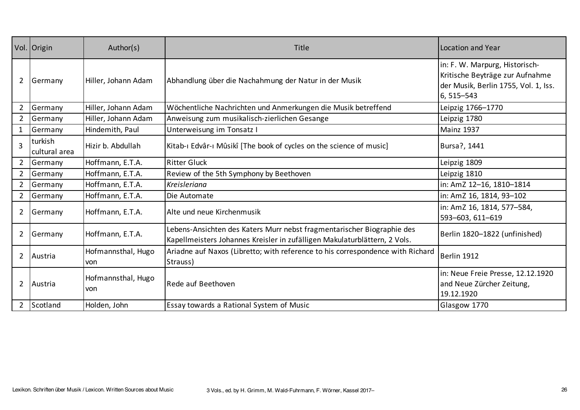|                | Vol. Origin              | Author(s)                 | Title                                                                                                                                               | <b>Location and Year</b>                                                                                                  |
|----------------|--------------------------|---------------------------|-----------------------------------------------------------------------------------------------------------------------------------------------------|---------------------------------------------------------------------------------------------------------------------------|
| $\overline{2}$ | Germany                  | Hiller, Johann Adam       | Abhandlung über die Nachahmung der Natur in der Musik                                                                                               | in: F. W. Marpurg, Historisch-<br>Kritische Beyträge zur Aufnahme<br>der Musik, Berlin 1755, Vol. 1, Iss.<br>6, 515 - 543 |
| $\overline{2}$ | Germany                  | Hiller, Johann Adam       | Wöchentliche Nachrichten und Anmerkungen die Musik betreffend                                                                                       | Leipzig 1766-1770                                                                                                         |
| $\overline{2}$ | Germany                  | Hiller, Johann Adam       | Anweisung zum musikalisch-zierlichen Gesange                                                                                                        | Leipzig 1780                                                                                                              |
| $\mathbf{1}$   | Germany                  | Hindemith, Paul           | Unterweisung im Tonsatz I                                                                                                                           | <b>Mainz 1937</b>                                                                                                         |
| $\overline{3}$ | turkish<br>cultural area | Hizir b. Abdullah         | Kitab-ı Edvâr-ı Mûsikî [The book of cycles on the science of music]                                                                                 | Bursa?, 1441                                                                                                              |
| $\overline{2}$ | Germany                  | Hoffmann, E.T.A.          | <b>Ritter Gluck</b>                                                                                                                                 | Leipzig 1809                                                                                                              |
| $\overline{2}$ | Germany                  | Hoffmann, E.T.A.          | Review of the 5th Symphony by Beethoven                                                                                                             | Leipzig 1810                                                                                                              |
| $\overline{2}$ | Germany                  | Hoffmann, E.T.A.          | <b>Kreisleriana</b>                                                                                                                                 | in: AmZ 12-16, 1810-1814                                                                                                  |
| $\overline{2}$ | Germany                  | Hoffmann, E.T.A.          | Die Automate                                                                                                                                        | in: AmZ 16, 1814, 93-102                                                                                                  |
| $\overline{2}$ | Germany                  | Hoffmann, E.T.A.          | Alte und neue Kirchenmusik                                                                                                                          | in: AmZ 16, 1814, 577-584,<br>593-603, 611-619                                                                            |
| $\overline{2}$ | Germany                  | Hoffmann, E.T.A.          | Lebens-Ansichten des Katers Murr nebst fragmentarischer Biographie des<br>Kapellmeisters Johannes Kreisler in zufälligen Makulaturblättern, 2 Vols. | Berlin 1820-1822 (unfinished)                                                                                             |
| $\overline{2}$ | Austria                  | Hofmannsthal, Hugo<br>von | Ariadne auf Naxos (Libretto; with reference to his correspondence with Richard<br>Strauss)                                                          | Berlin 1912                                                                                                               |
| $\overline{2}$ | Austria                  | Hofmannsthal, Hugo<br>von | Rede auf Beethoven                                                                                                                                  | in: Neue Freie Presse, 12.12.1920<br>and Neue Zürcher Zeitung,<br>19.12.1920                                              |
| $\overline{2}$ | Scotland                 | Holden, John              | Essay towards a Rational System of Music                                                                                                            | Glasgow 1770                                                                                                              |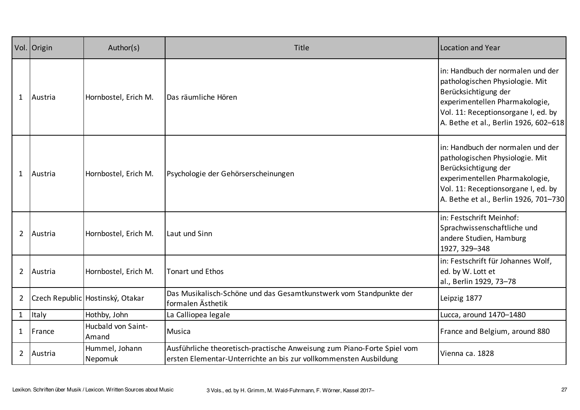|                | Vol. Origin | Author(s)                          | Title                                                                                                                                        | Location and Year                                                                                                                                                                                              |
|----------------|-------------|------------------------------------|----------------------------------------------------------------------------------------------------------------------------------------------|----------------------------------------------------------------------------------------------------------------------------------------------------------------------------------------------------------------|
| $\mathbf{1}$   | Austria     | Hornbostel, Erich M.               | Das räumliche Hören                                                                                                                          | in: Handbuch der normalen und der<br>pathologischen Physiologie. Mit<br>Berücksichtigung der<br>experimentellen Pharmakologie,<br>Vol. 11: Receptionsorgane I, ed. by<br>A. Bethe et al., Berlin 1926, 602-618 |
| $\mathbf{1}$   | Austria     | Hornbostel, Erich M.               | Psychologie der Gehörserscheinungen                                                                                                          | in: Handbuch der normalen und der<br>pathologischen Physiologie. Mit<br>Berücksichtigung der<br>experimentellen Pharmakologie,<br>Vol. 11: Receptionsorgane I, ed. by<br>A. Bethe et al., Berlin 1926, 701-730 |
| $\overline{2}$ | Austria     | Hornbostel, Erich M.               | Laut und Sinn                                                                                                                                | in: Festschrift Meinhof:<br>Sprachwissenschaftliche und<br>andere Studien, Hamburg<br>1927, 329-348                                                                                                            |
| $\overline{2}$ | Austria     | Hornbostel, Erich M.               | Tonart und Ethos                                                                                                                             | in: Festschrift für Johannes Wolf,<br>ed. by W. Lott et<br>al., Berlin 1929, 73-78                                                                                                                             |
| $\overline{2}$ |             | Czech Republic Hostinský, Otakar   | Das Musikalisch-Schöne und das Gesamtkunstwerk vom Standpunkte der<br>formalen Ästhetik                                                      | Leipzig 1877                                                                                                                                                                                                   |
| $\mathbf{1}$   | Italy       | Hothby, John                       | La Calliopea legale                                                                                                                          | Lucca, around 1470-1480                                                                                                                                                                                        |
| $\mathbf{1}$   | France      | <b>Hucbald von Saint-</b><br>Amand | Musica                                                                                                                                       | France and Belgium, around 880                                                                                                                                                                                 |
| $2^{\circ}$    | Austria     | Hummel, Johann<br>Nepomuk          | Ausführliche theoretisch-practische Anweisung zum Piano-Forte Spiel vom<br>ersten Elementar-Unterrichte an bis zur vollkommensten Ausbildung | Vienna ca. 1828                                                                                                                                                                                                |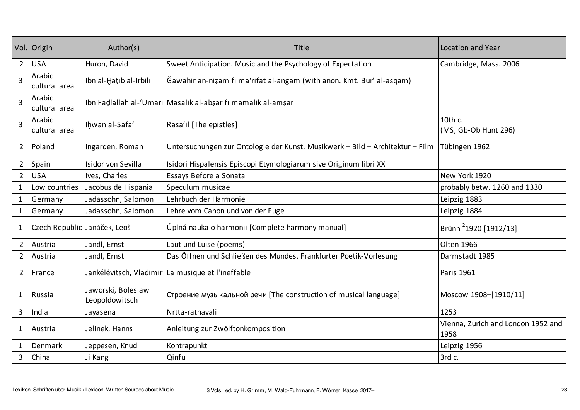|                | Vol. Origin                  | Author(s)                            | Title                                                                         | <b>Location and Year</b>                   |
|----------------|------------------------------|--------------------------------------|-------------------------------------------------------------------------------|--------------------------------------------|
| $2^{\circ}$    | <b>USA</b>                   | Huron, David                         | Sweet Anticipation. Music and the Psychology of Expectation                   | Cambridge, Mass. 2006                      |
| $\overline{3}$ | Arabic<br>cultural area      | Ibn al-Hațīb al-Irbilī               | Ğawāhir an-niẓām fī ma'rifat al-anġām (with anon. Kmt. Bur' al-asqām)         |                                            |
| $\overline{3}$ | Arabic<br>cultural area      |                                      | Ibn Fadlallāh al-'Umarī Masālik al-abşār fī mamālik al-amşār                  |                                            |
| $\overline{3}$ | Arabic<br>cultural area      | Ihwān al-Şafā'                       | Rasā'il [The epistles]                                                        | 10th c.<br>(MS, Gb-Ob Hunt 296)            |
| $\overline{2}$ | Poland                       | Ingarden, Roman                      | Untersuchungen zur Ontologie der Kunst. Musikwerk - Bild - Architektur - Film | Tübingen 1962                              |
| $\overline{2}$ | Spain                        | Isidor von Sevilla                   | Isidori Hispalensis Episcopi Etymologiarum sive Originum libri XX             |                                            |
| $2^{\circ}$    | <b>USA</b>                   | Ives, Charles                        | Essays Before a Sonata                                                        | New York 1920                              |
| $\mathbf{1}$   | Low countries                | Jacobus de Hispania                  | Speculum musicae                                                              | probably betw. 1260 and 1330               |
| $\mathbf{1}$   | Germany                      | Jadassohn, Salomon                   | Lehrbuch der Harmonie                                                         | Leipzig 1883                               |
| $\mathbf{1}$   | Germany                      | Jadassohn, Salomon                   | Lehre vom Canon und von der Fuge                                              | Leipzig 1884                               |
| $\mathbf{1}$   | Czech Republic Janáček, Leoš |                                      | Úplná nauka o harmonii [Complete harmony manual]                              | Brünn <sup>2</sup> 1920 [1912/13]          |
| $\overline{2}$ | Austria                      | Jandl, Ernst                         | Laut und Luise (poems)                                                        | Olten 1966                                 |
| $\overline{2}$ | Austria                      | Jandl, Ernst                         | Das Öffnen und Schließen des Mundes. Frankfurter Poetik-Vorlesung             | Darmstadt 1985                             |
| $\overline{2}$ | France                       |                                      | Jankélévitsch, Vladimir La musique et l'ineffable                             | Paris 1961                                 |
| $\mathbf{1}$   | Russia                       | Jaworski, Boleslaw<br>Leopoldowitsch | Строение музыкальной речи [The construction of musical language]              | Moscow 1908-[1910/11]                      |
| 3              | India                        | Jayasena                             | Nrtta-ratnavali                                                               | 1253                                       |
| 1              | Austria                      | Jelinek, Hanns                       | Anleitung zur Zwölftonkomposition                                             | Vienna, Zurich and London 1952 and<br>1958 |
| $\mathbf{1}$   | Denmark                      | Jeppesen, Knud                       | Kontrapunkt                                                                   | Leipzig 1956                               |
| 3              | China                        | Ji Kang                              | Qinfu                                                                         | 3rd c.                                     |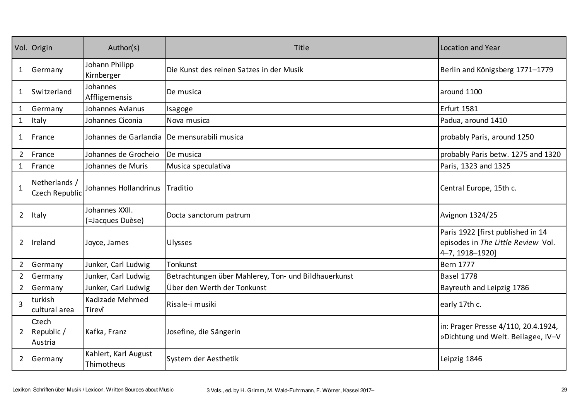|                | Vol. Origin                     | Author(s)                                     | Title                                                | <b>Location and Year</b>                                                                   |
|----------------|---------------------------------|-----------------------------------------------|------------------------------------------------------|--------------------------------------------------------------------------------------------|
| 1              | Germany                         | Johann Philipp<br>Kirnberger                  | Die Kunst des reinen Satzes in der Musik             | Berlin and Königsberg 1771-1779                                                            |
| 1              | Switzerland                     | Johannes<br>Affligemensis                     | De musica                                            | around 1100                                                                                |
| $\mathbf{1}$   | Germany                         | Johannes Avianus                              | Isagoge                                              | <b>Erfurt 1581</b>                                                                         |
| $\mathbf{1}$   | Italy                           | Johannes Ciconia                              | Nova musica                                          | Padua, around 1410                                                                         |
| 1              | France                          | Johannes de Garlandia   De mensurabili musica |                                                      | probably Paris, around 1250                                                                |
| $2^{\circ}$    | France                          | Johannes de Grocheio                          | De musica                                            | probably Paris betw. 1275 and 1320                                                         |
| $\mathbf{1}$   | France                          | Johannes de Muris                             | Musica speculativa                                   | Paris, 1323 and 1325                                                                       |
| $\mathbf{1}$   | Netherlands /<br>Czech Republic | Johannes Hollandrinus Traditio                |                                                      | Central Europe, 15th c.                                                                    |
| $\overline{2}$ | Italy                           | Johannes XXII.<br>(=Jacques Duèse)            | Docta sanctorum patrum                               | Avignon 1324/25                                                                            |
| $\overline{2}$ | Ireland                         | Joyce, James                                  | Ulysses                                              | Paris 1922 [first published in 14<br>episodes in The Little Review Vol.<br>4-7, 1918-1920] |
| $\overline{2}$ | Germany                         | Junker, Carl Ludwig                           | Tonkunst                                             | <b>Bern 1777</b>                                                                           |
| $\overline{2}$ | Germany                         | Junker, Carl Ludwig                           | Betrachtungen über Mahlerey, Ton- und Bildhauerkunst | <b>Basel 1778</b>                                                                          |
| $2^{\circ}$    | Germany                         | Junker, Carl Ludwig                           | Über den Werth der Tonkunst                          | Bayreuth and Leipzig 1786                                                                  |
| $\overline{3}$ | turkish<br>cultural area        | Kadizade Mehmed<br>Tirevî                     | Risale-i musiki                                      | early 17th c.                                                                              |
| $\overline{2}$ | Czech<br>Republic /<br>Austria  | Kafka, Franz                                  | Josefine, die Sängerin                               | in: Prager Presse 4/110, 20.4.1924,<br>»Dichtung und Welt. Beilage«, IV-V                  |
| $\overline{2}$ | Germany                         | Kahlert, Karl August<br>Thimotheus            | System der Aesthetik                                 | Leipzig 1846                                                                               |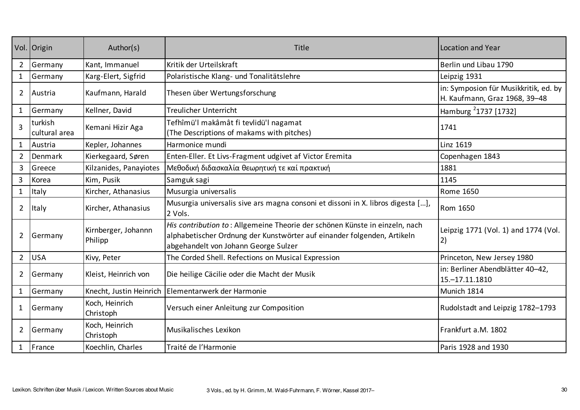|                | Vol. Origin              | Author(s)                      | Title                                                                                                                                                                                          | Location and Year                                                      |
|----------------|--------------------------|--------------------------------|------------------------------------------------------------------------------------------------------------------------------------------------------------------------------------------------|------------------------------------------------------------------------|
| $\overline{2}$ | Germany                  | Kant, Immanuel                 | Kritik der Urteilskraft                                                                                                                                                                        | Berlin und Libau 1790                                                  |
| $\mathbf{1}$   | Germany                  | Karg-Elert, Sigfrid            | Polaristische Klang- und Tonalitätslehre                                                                                                                                                       | Leipzig 1931                                                           |
| $\overline{2}$ | Austria                  | Kaufmann, Harald               | Thesen über Wertungsforschung                                                                                                                                                                  | in: Symposion für Musikkritik, ed. by<br>H. Kaufmann, Graz 1968, 39-48 |
| $\mathbf{1}$   | Germany                  | Kellner, David                 | <b>Treulicher Unterricht</b>                                                                                                                                                                   | Hamburg <sup>2</sup> 1737 [1732]                                       |
| $\overline{3}$ | turkish<br>cultural area | Kemani Hizir Aga               | Tefhîmü'l makâmât fi tevlidü'l nagamat<br>(The Descriptions of makams with pitches)                                                                                                            | 1741                                                                   |
| $\mathbf{1}$   | Austria                  | Kepler, Johannes               | Harmonice mundi                                                                                                                                                                                | Linz 1619                                                              |
| $\overline{2}$ | <b>Denmark</b>           | Kierkegaard, Søren             | Enten-Eller. Et Livs-Fragment udgivet af Victor Eremita                                                                                                                                        | Copenhagen 1843                                                        |
| 3              | Greece                   | Kilzanides, Panayiotes         | Μεθοδική διδασκαλία θεωρητική τε καί πρακτική                                                                                                                                                  | 1881                                                                   |
| $\overline{3}$ | Korea                    | Kim, Pusik                     | Samguk sagi                                                                                                                                                                                    | 1145                                                                   |
| $\mathbf{1}$   | Italy                    | Kircher, Athanasius            | Musurgia universalis                                                                                                                                                                           | <b>Rome 1650</b>                                                       |
| $\overline{2}$ | Italy                    | Kircher, Athanasius            | Musurgia universalis sive ars magna consoni et dissoni in X. libros digesta [],<br>2 Vols.                                                                                                     | Rom 1650                                                               |
| $\overline{2}$ | Germany                  | Kirnberger, Johannn<br>Philipp | His contribution to: Allgemeine Theorie der schönen Künste in einzeln, nach<br>alphabetischer Ordnung der Kunstwörter auf einander folgenden, Artikeln<br>abgehandelt von Johann George Sulzer | Leipzig 1771 (Vol. 1) and 1774 (Vol.<br>2)                             |
| $\overline{2}$ | <b>USA</b>               | Kivy, Peter                    | The Corded Shell. Refections on Musical Expression                                                                                                                                             | Princeton, New Jersey 1980                                             |
| $\overline{2}$ | Germany                  | Kleist, Heinrich von           | Die heilige Cäcilie oder die Macht der Musik                                                                                                                                                   | in: Berliner Abendblätter 40-42,<br>15. - 17.11.1810                   |
| $\mathbf{1}$   | Germany                  | Knecht, Justin Heinrich        | Elementarwerk der Harmonie                                                                                                                                                                     | Munich 1814                                                            |
| 1              | Germany                  | Koch, Heinrich<br>Christoph    | Versuch einer Anleitung zur Composition                                                                                                                                                        | Rudolstadt and Leipzig 1782-1793                                       |
| $\overline{2}$ | Germany                  | Koch, Heinrich<br>Christoph    | Musikalisches Lexikon                                                                                                                                                                          | Frankfurt a.M. 1802                                                    |
| $\mathbf{1}$   | France                   | Koechlin, Charles              | Traité de l'Harmonie                                                                                                                                                                           | Paris 1928 and 1930                                                    |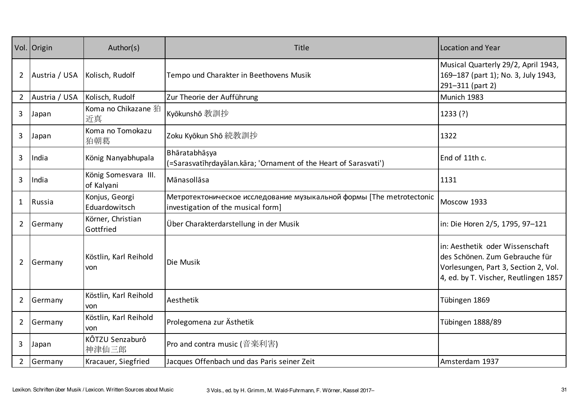|                | Vol. Origin   | Author(s)                          | Title                                                                                                      | Location and Year                                                                                                                                  |
|----------------|---------------|------------------------------------|------------------------------------------------------------------------------------------------------------|----------------------------------------------------------------------------------------------------------------------------------------------------|
| $\overline{2}$ | Austria / USA | Kolisch, Rudolf                    | Tempo und Charakter in Beethovens Musik                                                                    | Musical Quarterly 29/2, April 1943,<br>169-187 (part 1); No. 3, July 1943,<br>291-311 (part 2)                                                     |
| $2^{\circ}$    | Austria / USA | Kolisch, Rudolf                    | Zur Theorie der Aufführung                                                                                 | Munich 1983                                                                                                                                        |
| 3              | Japan         | Koma no Chikazane 狛<br>近真          | Kyōkunshō 教訓抄                                                                                              | 1233(?)                                                                                                                                            |
| 3              | Japan         | Koma no Tomokazu<br>狛朝葛            | Zoku Kyōkun Shō 続教訓抄                                                                                       | 1322                                                                                                                                               |
| 3              | India         | König Nanyabhupala                 | Bhāratabhāṣya<br>(=Sarasvatīhrdayālan.kāra; 'Ornament of the Heart of Sarasvati')                          | End of 11th c.                                                                                                                                     |
| 3              | India         | König Somesvara III.<br>of Kalyani | Mānasollāsa                                                                                                | 1131                                                                                                                                               |
| $\mathbf{1}$   | Russia        | Konjus, Georgi<br>Eduardowitsch    | Метротектоническое исследование музыкальной формы [The metrotectonic<br>investigation of the musical form] | Moscow 1933                                                                                                                                        |
| $\overline{2}$ | Germany       | Körner, Christian<br>Gottfried     | Über Charakterdarstellung in der Musik                                                                     | in: Die Horen 2/5, 1795, 97-121                                                                                                                    |
| $\overline{2}$ | Germany       | Köstlin, Karl Reihold<br>von       | Die Musik                                                                                                  | in: Aesthetik oder Wissenschaft<br>des Schönen. Zum Gebrauche für<br>Vorlesungen, Part 3, Section 2, Vol.<br>4, ed. by T. Vischer, Reutlingen 1857 |
| $\overline{2}$ | Germany       | Köstlin, Karl Reihold<br>von       | Aesthetik                                                                                                  | Tübingen 1869                                                                                                                                      |
| $\overline{2}$ | Germany       | Köstlin, Karl Reihold<br>von       | Prolegomena zur Ästhetik                                                                                   | Tübingen 1888/89                                                                                                                                   |
| 3              | Japan         | KÔTZU Senzaburô<br>神津仙三郎           | Pro and contra music (音楽利害)                                                                                |                                                                                                                                                    |
| $2^{\circ}$    | Germany       | Kracauer, Siegfried                | Jacques Offenbach und das Paris seiner Zeit                                                                | Amsterdam 1937                                                                                                                                     |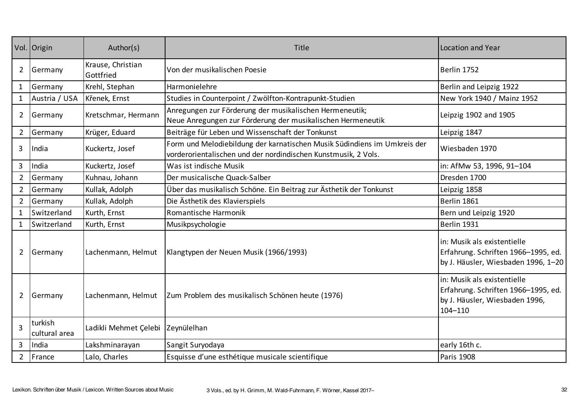|                | Vol. Origin              | Author(s)                      | <b>Title</b>                                                                                                                               | Location and Year                                                                                                   |
|----------------|--------------------------|--------------------------------|--------------------------------------------------------------------------------------------------------------------------------------------|---------------------------------------------------------------------------------------------------------------------|
| $\overline{2}$ | Germany                  | Krause, Christian<br>Gottfried | Von der musikalischen Poesie                                                                                                               | Berlin 1752                                                                                                         |
| $\mathbf{1}$   | Germany                  | Krehl, Stephan                 | Harmonielehre                                                                                                                              | Berlin and Leipzig 1922                                                                                             |
| $\mathbf{1}$   | Austria / USA            | Křenek, Ernst                  | Studies in Counterpoint / Zwölfton-Kontrapunkt-Studien                                                                                     | New York 1940 / Mainz 1952                                                                                          |
| $2^{\circ}$    | Germany                  | Kretschmar, Hermann            | Anregungen zur Förderung der musikalischen Hermeneutik;<br>Neue Anregungen zur Förderung der musikalischen Hermeneutik                     | Leipzig 1902 and 1905                                                                                               |
| $\overline{2}$ | Germany                  | Krüger, Eduard                 | Beiträge für Leben und Wissenschaft der Tonkunst                                                                                           | Leipzig 1847                                                                                                        |
| 3              | India                    | Kuckertz, Josef                | Form und Melodiebildung der karnatischen Musik Südindiens im Umkreis der<br>vorderorientalischen und der nordindischen Kunstmusik, 2 Vols. | Wiesbaden 1970                                                                                                      |
| 3              | India                    | Kuckertz, Josef                | Was ist indische Musik                                                                                                                     | in: AfMw 53, 1996, 91-104                                                                                           |
| $\overline{2}$ | Germany                  | Kuhnau, Johann                 | Der musicalische Quack-Salber                                                                                                              | Dresden 1700                                                                                                        |
| $\overline{2}$ | Germany                  | Kullak, Adolph                 | Über das musikalisch Schöne. Ein Beitrag zur Ästhetik der Tonkunst                                                                         | Leipzig 1858                                                                                                        |
| $\overline{2}$ | Germany                  | Kullak, Adolph                 | Die Ästhetik des Klavierspiels                                                                                                             | Berlin 1861                                                                                                         |
| $\mathbf{1}$   | Switzerland              | Kurth, Ernst                   | Romantische Harmonik                                                                                                                       | Bern und Leipzig 1920                                                                                               |
| $\mathbf{1}$   | Switzerland              | Kurth, Ernst                   | Musikpsychologie                                                                                                                           | Berlin 1931                                                                                                         |
| $2^{\circ}$    | Germany                  | Lachenmann, Helmut             | Klangtypen der Neuen Musik (1966/1993)                                                                                                     | in: Musik als existentielle<br>Erfahrung. Schriften 1966-1995, ed.<br>by J. Häusler, Wiesbaden 1996, 1-20           |
| $\overline{2}$ | Germany                  | Lachenmann, Helmut             | Zum Problem des musikalisch Schönen heute (1976)                                                                                           | in: Musik als existentielle<br>Erfahrung. Schriften 1966-1995, ed.<br>by J. Häusler, Wiesbaden 1996,<br>$104 - 110$ |
| $\overline{3}$ | turkish<br>cultural area | Ladikli Mehmet Çelebi          | Zeynülelhan                                                                                                                                |                                                                                                                     |
| 3              | India                    | Lakshminarayan                 | Sangit Suryodaya                                                                                                                           | early 16th c.                                                                                                       |
| $\overline{2}$ | France                   | Lalo, Charles                  | Esquisse d'une esthétique musicale scientifique                                                                                            | Paris 1908                                                                                                          |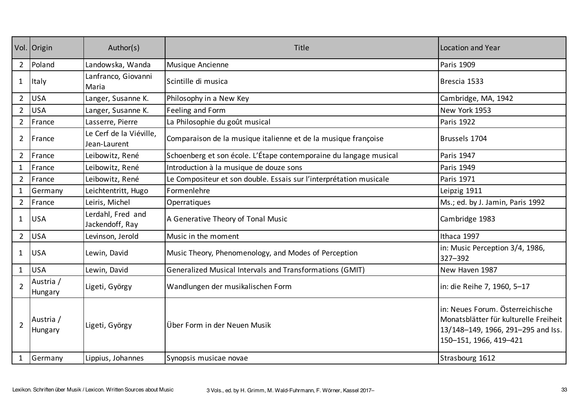|                | Vol. Origin          | Author(s)                               | Title                                                              | Location and Year                                                                                                                         |
|----------------|----------------------|-----------------------------------------|--------------------------------------------------------------------|-------------------------------------------------------------------------------------------------------------------------------------------|
| $\overline{2}$ | Poland               | Landowska, Wanda                        | Musique Ancienne                                                   | Paris 1909                                                                                                                                |
| $\mathbf{1}$   | Italy                | Lanfranco, Giovanni<br>Maria            | Scintille di musica                                                | Brescia 1533                                                                                                                              |
| $\overline{2}$ | <b>USA</b>           | Langer, Susanne K.                      | Philosophy in a New Key                                            | Cambridge, MA, 1942                                                                                                                       |
| $\overline{2}$ | <b>USA</b>           | Langer, Susanne K.                      | Feeling and Form                                                   | New York 1953                                                                                                                             |
| $\overline{2}$ | France               | Lasserre, Pierre                        | La Philosophie du goût musical                                     | Paris 1922                                                                                                                                |
| $\overline{2}$ | France               | Le Cerf de la Viéville,<br>Jean-Laurent | Comparaison de la musique italienne et de la musique françoise     | Brussels 1704                                                                                                                             |
| $\overline{2}$ | France               | Leibowitz, René                         | Schoenberg et son école. L'Étape contemporaine du langage musical  | Paris 1947                                                                                                                                |
| $\mathbf 1$    | France               | Leibowitz, René                         | Introduction à la musique de douze sons                            | <b>Paris 1949</b>                                                                                                                         |
| $\overline{2}$ | France               | Leibowitz, René                         | Le Compositeur et son double. Essais sur l'interprétation musicale | <b>Paris 1971</b>                                                                                                                         |
| 1              | Germany              | Leichtentritt, Hugo                     | Formenlehre                                                        | Leipzig 1911                                                                                                                              |
| $\overline{2}$ | France               | Leiris, Michel                          | Operratiques                                                       | Ms.; ed. by J. Jamin, Paris 1992                                                                                                          |
| $\mathbf{1}$   | <b>USA</b>           | Lerdahl, Fred and<br>Jackendoff, Ray    | A Generative Theory of Tonal Music                                 | Cambridge 1983                                                                                                                            |
| $\overline{2}$ | <b>USA</b>           | Levinson, Jerold                        | Music in the moment                                                | Ithaca 1997                                                                                                                               |
| 1              | <b>USA</b>           | Lewin, David                            | Music Theory, Phenomenology, and Modes of Perception               | in: Music Perception 3/4, 1986,<br>327-392                                                                                                |
| $\mathbf{1}$   | <b>USA</b>           | Lewin, David                            | Generalized Musical Intervals and Transformations (GMIT)           | New Haven 1987                                                                                                                            |
| $\overline{2}$ | Austria /<br>Hungary | Ligeti, György                          | Wandlungen der musikalischen Form                                  | in: die Reihe 7, 1960, 5-17                                                                                                               |
| $\overline{2}$ | Austria /<br>Hungary | Ligeti, György                          | Über Form in der Neuen Musik                                       | in: Neues Forum. Österreichische<br>Monatsblätter für kulturelle Freiheit<br>13/148-149, 1966, 291-295 and Iss.<br>150-151, 1966, 419-421 |
|                | Germany              | Lippius, Johannes                       | Synopsis musicae novae                                             | Strasbourg 1612                                                                                                                           |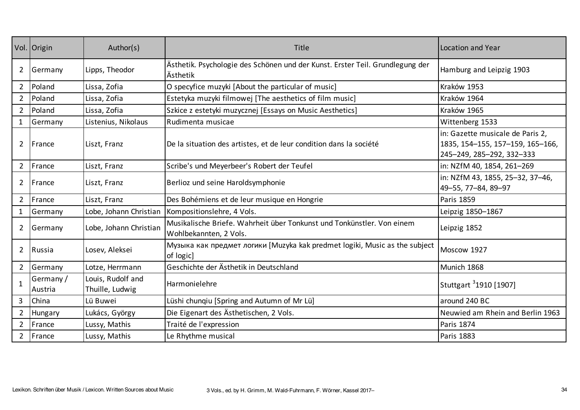|                | Vol. Origin          | Author(s)                            | Title                                                                                            | <b>Location and Year</b>                                                                          |
|----------------|----------------------|--------------------------------------|--------------------------------------------------------------------------------------------------|---------------------------------------------------------------------------------------------------|
| $\overline{2}$ | Germany              | Lipps, Theodor                       | Ästhetik. Psychologie des Schönen und der Kunst. Erster Teil. Grundlegung der<br>Ästhetik        | Hamburg and Leipzig 1903                                                                          |
| $\overline{2}$ | Poland               | Lissa, Zofia                         | O specyfice muzyki [About the particular of music]                                               | Kraków 1953                                                                                       |
| $\overline{2}$ | Poland               | Lissa, Zofia                         | Estetyka muzyki filmowej [The aesthetics of film music]                                          | Kraków 1964                                                                                       |
| $\overline{2}$ | Poland               | Lissa, Zofia                         | Szkice z estetyki muzycznej [Essays on Music Aesthetics]                                         | Kraków 1965                                                                                       |
| $\mathbf{1}$   | Germany              | Listenius, Nikolaus                  | Rudimenta musicae                                                                                | Wittenberg 1533                                                                                   |
| $\overline{2}$ | France               | Liszt, Franz                         | De la situation des artistes, et de leur condition dans la société                               | in: Gazette musicale de Paris 2,<br>1835, 154-155, 157-159, 165-166,<br>245-249, 285-292, 332-333 |
| $\overline{2}$ | France               | Liszt, Franz                         | Scribe's und Meyerbeer's Robert der Teufel                                                       | in: NZfM 40, 1854, 261-269                                                                        |
| $\overline{2}$ | France               | Liszt, Franz                         | Berlioz und seine Haroldsymphonie                                                                | in: NZfM 43, 1855, 25-32, 37-46,<br>49-55, 77-84, 89-97                                           |
| $2^{\circ}$    | France               | Liszt, Franz                         | Des Bohémiens et de leur musique en Hongrie                                                      | Paris 1859                                                                                        |
| $\mathbf{1}$   | Germany              | Lobe, Johann Christian               | Kompositionslehre, 4 Vols.                                                                       | Leipzig 1850-1867                                                                                 |
| $\overline{2}$ | Germany              | Lobe, Johann Christian               | Musikalische Briefe. Wahrheit über Tonkunst und Tonkünstler. Von einem<br>Wohlbekannten, 2 Vols. | Leipzig 1852                                                                                      |
| $\overline{2}$ | Russia               | Losev, Aleksei                       | Музыка как предмет логики [Muzyka kak predmet logiki, Music as the subject<br>of logic]          | Moscow 1927                                                                                       |
| $2^{\circ}$    | Germany              | Lotze, Herrmann                      | Geschichte der Ästhetik in Deutschland                                                           | Munich 1868                                                                                       |
| $\mathbf{1}$   | Germany /<br>Austria | Louis, Rudolf and<br>Thuille, Ludwig | Harmonielehre                                                                                    | Stuttgart 31910 [1907]                                                                            |
| $\overline{3}$ | China                | Lü Buwei                             | Lüshi chunqiu [Spring and Autumn of Mr Lü]                                                       | around 240 BC                                                                                     |
| $2^{\circ}$    | Hungary              | Lukács, György                       | Die Eigenart des Ästhetischen, 2 Vols.                                                           | Neuwied am Rhein and Berlin 1963                                                                  |
| $\overline{2}$ | France               | Lussy, Mathis                        | Traité de l'expression                                                                           | Paris 1874                                                                                        |
| $2^{\circ}$    | France               | Lussy, Mathis                        | Le Rhythme musical                                                                               | Paris 1883                                                                                        |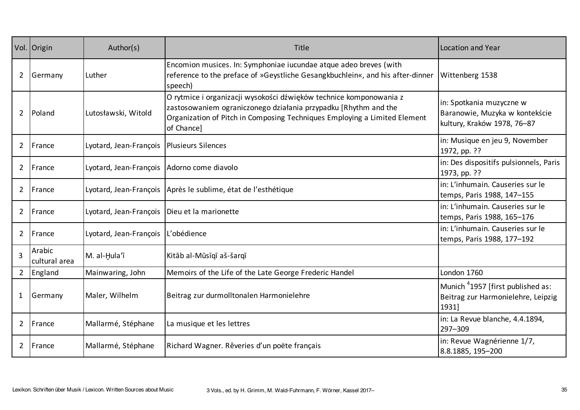|                | Vol. Origin             | Author(s)              | Title                                                                                                                                                                                                                            | Location and Year                                                                            |
|----------------|-------------------------|------------------------|----------------------------------------------------------------------------------------------------------------------------------------------------------------------------------------------------------------------------------|----------------------------------------------------------------------------------------------|
| $\overline{2}$ | Germany                 | Luther                 | Encomion musices. In: Symphoniae iucundae atque adeo breves (with<br>reference to the preface of »Geystliche Gesangkbuchlein«, and his after-dinner<br>speech)                                                                   | Wittenberg 1538                                                                              |
| $\overline{2}$ | Poland                  | Lutosławski, Witold    | O rytmice i organizacji wysokości dźwięków technice komponowania z<br>zastosowaniem ograniczonego działania przypadku [Rhythm and the<br>Organization of Pitch in Composing Techniques Employing a Limited Element<br>of Chance] | in: Spotkania muzyczne w<br>Baranowie, Muzyka w kontekście<br>kultury, Kraków 1978, 76-87    |
| $\overline{2}$ | France                  | Lyotard, Jean-François | <b>Plusieurs Silences</b>                                                                                                                                                                                                        | in: Musique en jeu 9, November<br>1972, pp. ??                                               |
| $\overline{2}$ | France                  | Lyotard, Jean-François | Adorno come diavolo                                                                                                                                                                                                              | in: Des dispositifs pulsionnels, Paris<br>1973, pp. ??                                       |
| $\overline{2}$ | France                  |                        | Lyotard, Jean-François   Après le sublime, état de l'esthétique                                                                                                                                                                  | in: L'inhumain. Causeries sur le<br>temps, Paris 1988, 147-155                               |
| $\overline{2}$ | France                  | Lyotard, Jean-François | Dieu et la marionette                                                                                                                                                                                                            | in: L'inhumain. Causeries sur le<br>temps, Paris 1988, 165-176                               |
| $\overline{2}$ | France                  | Lyotard, Jean-François | L'obédience                                                                                                                                                                                                                      | in: L'inhumain. Causeries sur le<br>temps, Paris 1988, 177-192                               |
| 3              | Arabic<br>cultural area | M. al-Hula'ī           | Kitāb al-Mūsīqī aš-šarqī                                                                                                                                                                                                         |                                                                                              |
| $2^{\circ}$    | England                 | Mainwaring, John       | Memoirs of the Life of the Late George Frederic Handel                                                                                                                                                                           | London 1760                                                                                  |
| $\mathbf{1}$   | Germany                 | Maler, Wilhelm         | Beitrag zur durmolltonalen Harmonielehre                                                                                                                                                                                         | Munich <sup>4</sup> 1957 [first published as:<br>Beitrag zur Harmonielehre, Leipzig<br>1931] |
| $\overline{2}$ | France                  | Mallarmé, Stéphane     | La musique et les lettres                                                                                                                                                                                                        | in: La Revue blanche, 4.4.1894,<br>297-309                                                   |
| $2^{\circ}$    | France                  | Mallarmé, Stéphane     | Richard Wagner. Rêveries d'un poëte français                                                                                                                                                                                     | in: Revue Wagnérienne 1/7,<br>8.8.1885, 195-200                                              |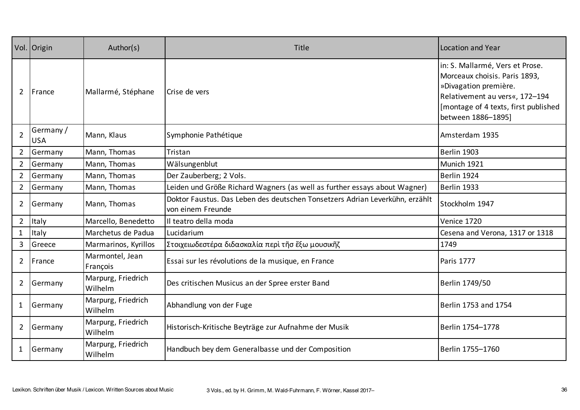|                | Vol. Origin             | Author(s)                     | Title                                                                                             | Location and Year                                                                                                                                                                         |
|----------------|-------------------------|-------------------------------|---------------------------------------------------------------------------------------------------|-------------------------------------------------------------------------------------------------------------------------------------------------------------------------------------------|
| $\overline{2}$ | France                  | Mallarmé, Stéphane            | Crise de vers                                                                                     | in: S. Mallarmé, Vers et Prose.<br>Morceaux choisis. Paris 1893,<br>»Divagation première.<br>Relativement au vers«, 172-194<br>[montage of 4 texts, first published<br>between 1886-1895] |
| $\overline{2}$ | Germany /<br><b>USA</b> | Mann, Klaus                   | Symphonie Pathétique                                                                              | Amsterdam 1935                                                                                                                                                                            |
| $2^{\circ}$    | Germany                 | Mann, Thomas                  | Tristan                                                                                           | Berlin 1903                                                                                                                                                                               |
| $\overline{2}$ | Germany                 | Mann, Thomas                  | Wälsungenblut                                                                                     | Munich 1921                                                                                                                                                                               |
| $\overline{2}$ | Germany                 | Mann, Thomas                  | Der Zauberberg; 2 Vols.                                                                           | Berlin 1924                                                                                                                                                                               |
| $2^{\circ}$    | Germany                 | Mann, Thomas                  | Leiden und Größe Richard Wagners (as well as further essays about Wagner)                         | Berlin 1933                                                                                                                                                                               |
| $\overline{2}$ | Germany                 | Mann, Thomas                  | Doktor Faustus. Das Leben des deutschen Tonsetzers Adrian Leverkühn, erzählt<br>von einem Freunde | Stockholm 1947                                                                                                                                                                            |
| $\overline{2}$ | Italy                   | Marcello, Benedetto           | Il teatro della moda                                                                              | Venice 1720                                                                                                                                                                               |
| $\mathbf{1}$   | Italy                   | Marchetus de Padua            | Lucidarium                                                                                        | Cesena and Verona, 1317 or 1318                                                                                                                                                           |
| $\overline{3}$ | Greece                  | Marmarinos, Kyrillos          | Στοιχειωδεστέρα διδασκαλία περὶ τῆσ ἔξω μουσικῆζ                                                  | 1749                                                                                                                                                                                      |
| $\overline{2}$ | France                  | Marmontel, Jean<br>François   | Essai sur les révolutions de la musique, en France                                                | Paris 1777                                                                                                                                                                                |
| $\overline{2}$ | Germany                 | Marpurg, Friedrich<br>Wilhelm | Des critischen Musicus an der Spree erster Band                                                   | Berlin 1749/50                                                                                                                                                                            |
| $\mathbf{1}$   | Germany                 | Marpurg, Friedrich<br>Wilhelm | Abhandlung von der Fuge                                                                           | Berlin 1753 and 1754                                                                                                                                                                      |
| $\overline{2}$ | Germany                 | Marpurg, Friedrich<br>Wilhelm | Historisch-Kritische Beyträge zur Aufnahme der Musik                                              | Berlin 1754-1778                                                                                                                                                                          |
| 1              | Germany                 | Marpurg, Friedrich<br>Wilhelm | Handbuch bey dem Generalbasse und der Composition                                                 | Berlin 1755-1760                                                                                                                                                                          |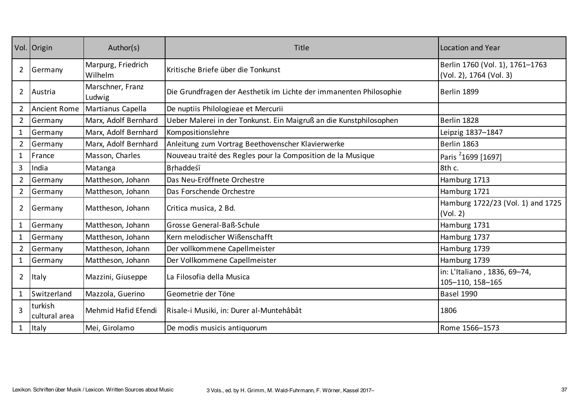|                | Vol. Origin              | Author(s)                     | <b>Title</b>                                                       | <b>Location and Year</b>                                   |
|----------------|--------------------------|-------------------------------|--------------------------------------------------------------------|------------------------------------------------------------|
| $\overline{2}$ | Germany                  | Marpurg, Friedrich<br>Wilhelm | Kritische Briefe über die Tonkunst                                 | Berlin 1760 (Vol. 1), 1761-1763<br>(Vol. 2), 1764 (Vol. 3) |
| $\overline{2}$ | Austria                  | Marschner, Franz<br>Ludwig    | Die Grundfragen der Aesthetik im Lichte der immanenten Philosophie | Berlin 1899                                                |
| $\overline{2}$ | <b>Ancient Rome</b>      | Martianus Capella             | De nuptiis Philologieae et Mercurii                                |                                                            |
| $\overline{2}$ | Germany                  | Marx, Adolf Bernhard          | Ueber Malerei in der Tonkunst. Ein Maigruß an die Kunstphilosophen | Berlin 1828                                                |
| $\mathbf{1}$   | Germany                  | Marx, Adolf Bernhard          | Kompositionslehre                                                  | Leipzig 1837–1847                                          |
| $\overline{2}$ | Germany                  | Marx, Adolf Bernhard          | Anleitung zum Vortrag Beethovenscher Klavierwerke                  | Berlin 1863                                                |
| $\mathbf{1}$   | France                   | Masson, Charles               | Nouveau traité des Regles pour la Composition de la Musique        | Paris <sup>2</sup> 1699 [1697]                             |
| 3              | India                    | Matanga                       | Brhaddeśī                                                          | 8th c.                                                     |
| $\overline{2}$ | Germany                  | Mattheson, Johann             | Das Neu-Eröffnete Orchestre                                        | Hamburg 1713                                               |
| $\overline{2}$ | Germany                  | Mattheson, Johann             | Das Forschende Orchestre                                           | Hamburg 1721                                               |
| $\overline{2}$ | Germany                  | Mattheson, Johann             | Critica musica, 2 Bd.                                              | Hamburg 1722/23 (Vol. 1) and 1725<br>(Vol. 2)              |
| $\mathbf{1}$   | Germany                  | Mattheson, Johann             | Grosse General-Baß-Schule                                          | Hamburg 1731                                               |
| $\mathbf{1}$   | Germany                  | Mattheson, Johann             | Kern melodischer Wißenschafft                                      | Hamburg 1737                                               |
| $\overline{2}$ | Germany                  | Mattheson, Johann             | Der vollkommene Capellmeister                                      | Hamburg 1739                                               |
| $\mathbf{1}$   | Germany                  | Mattheson, Johann             | Der Vollkommene Capellmeister                                      | Hamburg 1739                                               |
| $\overline{2}$ | Italy                    | Mazzini, Giuseppe             | La Filosofia della Musica                                          | in: L'Italiano, 1836, 69-74,<br>105-110, 158-165           |
| 1              | Switzerland              | Mazzola, Guerino              | Geometrie der Töne                                                 | <b>Basel 1990</b>                                          |
| 3              | turkish<br>cultural area | Mehmid Hafid Efendi           | Risale-i Musiki, in: Durer al-Muntehâbât                           | 1806                                                       |
| 1              | Italy                    | Mei, Girolamo                 | De modis musicis antiquorum                                        | Rome 1566-1573                                             |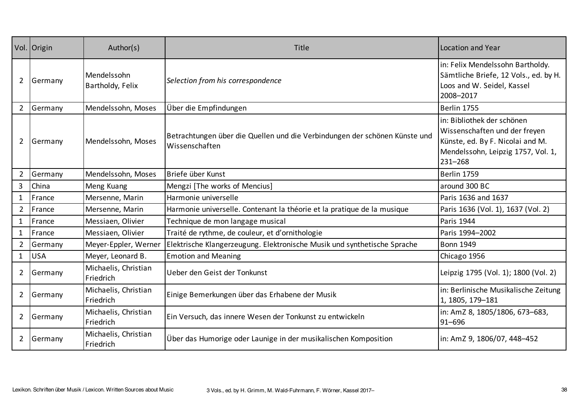|                | Vol. Origin | Author(s)                         | Title                                                                                        | <b>Location and Year</b>                                                                                                                         |
|----------------|-------------|-----------------------------------|----------------------------------------------------------------------------------------------|--------------------------------------------------------------------------------------------------------------------------------------------------|
| $\overline{2}$ | Germany     | Mendelssohn<br>Bartholdy, Felix   | Selection from his correspondence                                                            | in: Felix Mendelssohn Bartholdy.<br>Sämtliche Briefe, 12 Vols., ed. by H.<br>Loos and W. Seidel, Kassel<br>2008-2017                             |
| $\overline{2}$ | Germany     | Mendelssohn, Moses                | Über die Empfindungen                                                                        | Berlin 1755                                                                                                                                      |
| $\overline{2}$ | Germany     | Mendelssohn, Moses                | Betrachtungen über die Quellen und die Verbindungen der schönen Künste und<br>Wissenschaften | in: Bibliothek der schönen<br>Wissenschaften und der freyen<br>Künste, ed. By F. Nicolai and M.<br>Mendelssohn, Leipzig 1757, Vol. 1,<br>231-268 |
| $\overline{2}$ | Germany     | Mendelssohn, Moses                | Briefe über Kunst                                                                            | <b>Berlin 1759</b>                                                                                                                               |
| $\overline{3}$ | China       | Meng Kuang                        | Mengzi [The works of Mencius]                                                                | around 300 BC                                                                                                                                    |
| $\mathbf{1}$   | France      | Mersenne, Marin                   | Harmonie universelle                                                                         | Paris 1636 and 1637                                                                                                                              |
| $\overline{2}$ | France      | Mersenne, Marin                   | Harmonie universelle. Contenant la théorie et la pratique de la musique                      | Paris 1636 (Vol. 1), 1637 (Vol. 2)                                                                                                               |
| $\mathbf{1}$   | France      | Messiaen, Olivier                 | Technique de mon langage musical                                                             | Paris 1944                                                                                                                                       |
| $\mathbf{1}$   | France      | Messiaen, Olivier                 | Traité de rythme, de couleur, et d'ornithologie                                              | Paris 1994-2002                                                                                                                                  |
| $\overline{2}$ | Germany     | Meyer-Eppler, Werner              | Elektrische Klangerzeugung. Elektronische Musik und synthetische Sprache                     | <b>Bonn 1949</b>                                                                                                                                 |
| $\mathbf{1}$   | <b>USA</b>  | Meyer, Leonard B.                 | <b>Emotion and Meaning</b>                                                                   | Chicago 1956                                                                                                                                     |
| $\overline{2}$ | Germany     | Michaelis, Christian<br>Friedrich | Ueber den Geist der Tonkunst                                                                 | Leipzig 1795 (Vol. 1); 1800 (Vol. 2)                                                                                                             |
| $\overline{2}$ | Germany     | Michaelis, Christian<br>Friedrich | Einige Bemerkungen über das Erhabene der Musik                                               | in: Berlinische Musikalische Zeitung<br>1, 1805, 179-181                                                                                         |
| $2^{\circ}$    | Germany     | Michaelis, Christian<br>Friedrich | Ein Versuch, das innere Wesen der Tonkunst zu entwickeln                                     | in: AmZ 8, 1805/1806, 673-683,<br>91-696                                                                                                         |
| $\overline{2}$ | Germany     | Michaelis, Christian<br>Friedrich | Über das Humorige oder Launige in der musikalischen Komposition                              | in: AmZ 9, 1806/07, 448–452                                                                                                                      |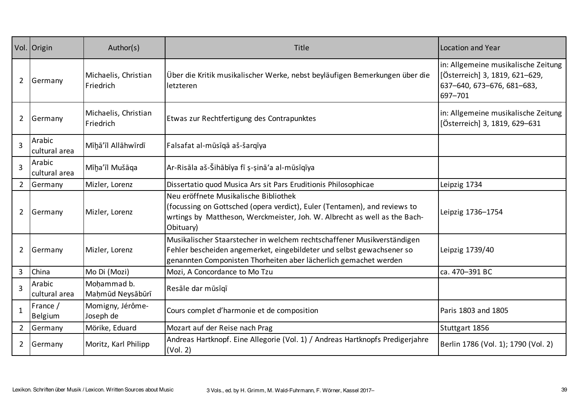|                | Vol. Origin             | Author(s)                         | <b>Title</b>                                                                                                                                                                                                         | Location and Year                                                                                              |
|----------------|-------------------------|-----------------------------------|----------------------------------------------------------------------------------------------------------------------------------------------------------------------------------------------------------------------|----------------------------------------------------------------------------------------------------------------|
| $\overline{2}$ | Germany                 | Michaelis, Christian<br>Friedrich | Über die Kritik musikalischer Werke, nebst beyläufigen Bemerkungen über die<br>letzteren                                                                                                                             | in: Allgemeine musikalische Zeitung<br>[Österreich] 3, 1819, 621-629,<br>637-640, 673-676, 681-683,<br>697-701 |
| $\overline{2}$ | Germany                 | Michaelis, Christian<br>Friedrich | Etwas zur Rechtfertigung des Contrapunktes                                                                                                                                                                           | in: Allgemeine musikalische Zeitung<br>[Österreich] 3, 1819, 629-631                                           |
| 3              | Arabic<br>cultural area | Mīḥā'īl Allāhwīrdī                | Falsafat al-mūsīgā aš-šargīya                                                                                                                                                                                        |                                                                                                                |
| $\overline{3}$ | Arabic<br>cultural area | Mīḫa'īl Mušāqa                    | Ar-Risāla aš-Šihābīya fī ș-șinā'a al-mūsīqīya                                                                                                                                                                        |                                                                                                                |
| $\overline{2}$ | Germany                 | Mizler, Lorenz                    | Dissertatio quod Musica Ars sit Pars Eruditionis Philosophicae                                                                                                                                                       | Leipzig 1734                                                                                                   |
| $\overline{2}$ | Germany                 | Mizler, Lorenz                    | Neu eröffnete Musikalische Bibliothek<br>(focussing on Gottsched (opera verdict), Euler (Tentamen), and reviews to<br>wrtings by Mattheson, Werckmeister, Joh. W. Albrecht as well as the Bach-<br>Obituary)         | Leipzig 1736-1754                                                                                              |
| $\overline{2}$ | Germany                 | Mizler, Lorenz                    | Musikalischer Staarstecher in welchem rechtschaffener Musikverständigen<br>Fehler bescheiden angemerket, eingebildeter und selbst gewachsener so<br>genannten Componisten Thorheiten aber lächerlich gemachet werden | Leipzig 1739/40                                                                                                |
| 3              | China                   | Mo Di (Mozi)                      | Mozi, A Concordance to Mo Tzu                                                                                                                                                                                        | ca. 470-391 BC                                                                                                 |
| $\overline{3}$ | Arabic<br>cultural area | Mohammad b.<br>Mahmūd Neysābūrī   | Resāle dar mūsīgī                                                                                                                                                                                                    |                                                                                                                |
| $\mathbf{1}$   | France /<br>Belgium     | Momigny, Jérôme-<br>Joseph de     | Cours complet d'harmonie et de composition                                                                                                                                                                           | Paris 1803 and 1805                                                                                            |
| $\overline{2}$ | Germany                 | Mörike, Eduard                    | Mozart auf der Reise nach Prag                                                                                                                                                                                       | Stuttgart 1856                                                                                                 |
| $\overline{2}$ | Germany                 | Moritz, Karl Philipp              | Andreas Hartknopf. Eine Allegorie (Vol. 1) / Andreas Hartknopfs Predigerjahre<br>(Vol. 2)                                                                                                                            | Berlin 1786 (Vol. 1); 1790 (Vol. 2)                                                                            |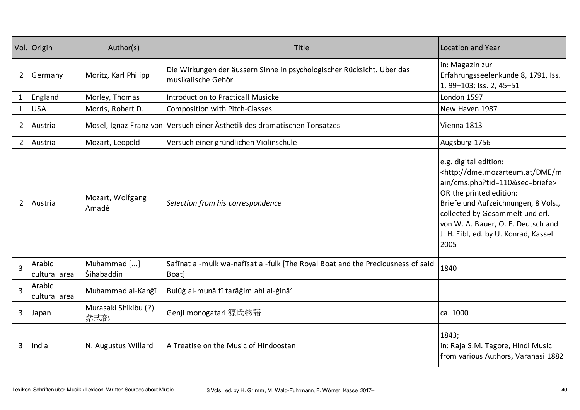|                | Vol. Origin             | Author(s)                   | Title                                                                                        | Location and Year                                                                                                                                                                                                                                                                                                  |
|----------------|-------------------------|-----------------------------|----------------------------------------------------------------------------------------------|--------------------------------------------------------------------------------------------------------------------------------------------------------------------------------------------------------------------------------------------------------------------------------------------------------------------|
| $\overline{2}$ | Germany                 | Moritz, Karl Philipp        | Die Wirkungen der äussern Sinne in psychologischer Rücksicht. Über das<br>musikalische Gehör | in: Magazin zur<br>Erfahrungsseelenkunde 8, 1791, Iss.<br>1, 99-103; Iss. 2, 45-51                                                                                                                                                                                                                                 |
| $\mathbf{1}$   | England                 | Morley, Thomas              | <b>Introduction to Practicall Musicke</b>                                                    | London 1597                                                                                                                                                                                                                                                                                                        |
| $\mathbf{1}$   | <b>USA</b>              | Morris, Robert D.           | Composition with Pitch-Classes                                                               | New Haven 1987                                                                                                                                                                                                                                                                                                     |
| $2^{\circ}$    | Austria                 |                             | Mosel, Ignaz Franz von Versuch einer Ästhetik des dramatischen Tonsatzes                     | Vienna 1813                                                                                                                                                                                                                                                                                                        |
| $2^{\circ}$    | Austria                 | Mozart, Leopold             | Versuch einer gründlichen Violinschule                                                       | Augsburg 1756                                                                                                                                                                                                                                                                                                      |
| $\overline{2}$ | Austria                 | Mozart, Wolfgang<br>Amadé   | Selection from his correspondence                                                            | e.g. digital edition:<br><http: dme="" dme.mozarteum.at="" m<br="">ain/cms.php?tid=110&amp;sec=briefe&gt;<br/>OR the printed edition:<br/>Briefe und Aufzeichnungen, 8 Vols.,<br/>collected by Gesammelt und erl.<br/>von W. A. Bauer, O. E. Deutsch and<br/>J. H. Eibl, ed. by U. Konrad, Kassel<br/>2005</http:> |
| 3              | Arabic<br>cultural area | Muḥammad []<br>Šihabaddin   | Safinat al-mulk wa-nafisat al-fulk [The Royal Boat and the Preciousness of said<br>Boat]     | 1840                                                                                                                                                                                                                                                                                                               |
| $\overline{3}$ | Arabic<br>cultural area | Muhammad al-Kanğī           | Bulūġ al-munā fī tarāğim ahl al-ġinā'                                                        |                                                                                                                                                                                                                                                                                                                    |
| 3              | Japan                   | Murasaki Shikibu (?)<br>紫式部 | Genji monogatari 源氏物語                                                                        | ca. 1000                                                                                                                                                                                                                                                                                                           |
| $\overline{3}$ | India                   | N. Augustus Willard         | A Treatise on the Music of Hindoostan                                                        | 1843;<br>in: Raja S.M. Tagore, Hindi Music<br>from various Authors, Varanasi 1882                                                                                                                                                                                                                                  |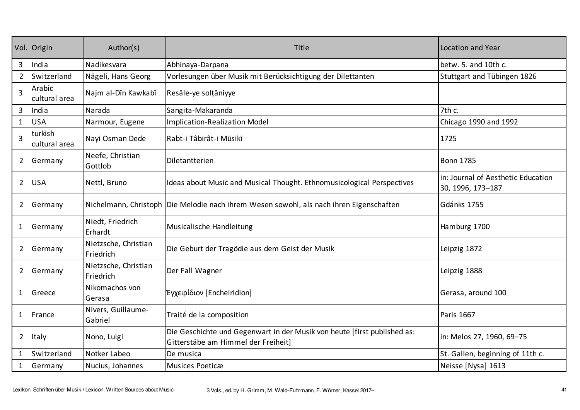|                | Vol. Origin              | Author(s)                         | Title                                                                                                           | <b>Location and Year</b>                                |
|----------------|--------------------------|-----------------------------------|-----------------------------------------------------------------------------------------------------------------|---------------------------------------------------------|
| 3              | India                    | Nadikesvara                       | Abhinaya-Darpana                                                                                                | betw. 5. and 10th c.                                    |
| $\overline{2}$ | Switzerland              | Nägeli, Hans Georg                | Vorlesungen über Musik mit Berücksichtigung der Dilettanten                                                     | Stuttgart and Tübingen 1826                             |
| $\overline{3}$ | Arabic<br>cultural area  | Najm al-Dīn Kawkabī               | Resāle-ye solțāniyye                                                                                            |                                                         |
| $\mathbf{3}$   | India                    | Narada                            | Sangita-Makaranda                                                                                               | 7th c.                                                  |
| $\mathbf{1}$   | <b>USA</b>               | Narmour, Eugene                   | <b>Implication-Realization Model</b>                                                                            | Chicago 1990 and 1992                                   |
| $\overline{3}$ | turkish<br>cultural area | Nayi Osman Dede                   | Rabt-i Tâbirât-i Mūsikī                                                                                         | 1725                                                    |
| $\overline{2}$ | Germany                  | Neefe, Christian<br>Gottlob       | Diletantterien                                                                                                  | <b>Bonn 1785</b>                                        |
| $\overline{2}$ | <b>USA</b>               | Nettl, Bruno                      | Ideas about Music and Musical Thought. Ethnomusicological Perspectives                                          | in: Journal of Aesthetic Education<br>30, 1996, 173-187 |
| $\overline{2}$ | Germany                  |                                   | Nichelmann, Christoph Die Melodie nach ihrem Wesen sowohl, als nach ihren Eigenschaften                         | Gdánks 1755                                             |
| 1              | Germany                  | Niedt, Friedrich<br>Erhardt       | Musicalische Handleitung                                                                                        | Hamburg 1700                                            |
| $\overline{2}$ | Germany                  | Nietzsche, Christian<br>Friedrich | Die Geburt der Tragödie aus dem Geist der Musik                                                                 | Leipzig 1872                                            |
| $\overline{2}$ | Germany                  | Nietzsche, Christian<br>Friedrich | Der Fall Wagner                                                                                                 | Leipzig 1888                                            |
| 1              | Greece                   | Nikomachos von<br>Gerasa          | Έγχειρίδιον [Encheiridion]                                                                                      | Gerasa, around 100                                      |
| 1              | France                   | Nivers, Guillaume-<br>Gabriel     | Traité de la composition                                                                                        | Paris 1667                                              |
| $\overline{2}$ | Italy                    | Nono, Luigi                       | Die Geschichte und Gegenwart in der Musik von heute [first published as:<br>Gitterstäbe am Himmel der Freiheit] | in: Melos 27, 1960, 69-75                               |
| $\mathbf{1}$   | Switzerland              | Notker Labeo                      | De musica                                                                                                       | St. Gallen, beginning of 11th c.                        |
| $\mathbf{1}$   | Germany                  | Nucius, Johannes                  | Musices Poeticæ                                                                                                 | Neisse [Nysa] 1613                                      |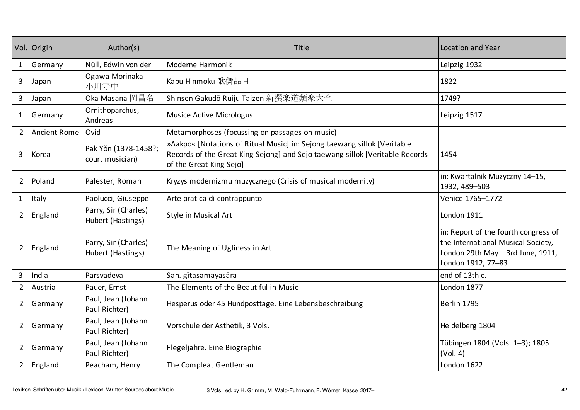|                | Vol. Origin         | Author(s)                                 | Title                                                                                                                                                                               | Location and Year                                                                                                                     |
|----------------|---------------------|-------------------------------------------|-------------------------------------------------------------------------------------------------------------------------------------------------------------------------------------|---------------------------------------------------------------------------------------------------------------------------------------|
| $\mathbf{1}$   | Germany             | Nüll, Edwin von der                       | Moderne Harmonik                                                                                                                                                                    | Leipzig 1932                                                                                                                          |
| 3              | Japan               | Ogawa Morinaka<br>小川守中                    | Kabu Hinmoku 歌儛品目                                                                                                                                                                   | 1822                                                                                                                                  |
| 3              | Japan               | Oka Masana 岡昌名                            | Shinsen Gakudō Ruiju Taizen 新撰楽道類聚大全                                                                                                                                                | 1749?                                                                                                                                 |
| $\mathbf{1}$   | Germany             | Ornithoparchus,<br>Andreas                | <b>Musice Active Micrologus</b>                                                                                                                                                     | Leipzig 1517                                                                                                                          |
| $\overline{2}$ | <b>Ancient Rome</b> | Ovid                                      | Metamorphoses (focussing on passages on music)                                                                                                                                      |                                                                                                                                       |
| 3              | Korea               | Pak Yŏn (1378-1458?;<br>court musician)   | »Aakpo« [Notations of Ritual Music] in: Sejong taewang sillok [Veritable<br>Records of the Great King Sejong] and Sejo taewang sillok [Veritable Records<br>of the Great King Sejo] | 1454                                                                                                                                  |
| $\overline{2}$ | Poland              | Palester, Roman                           | Kryzys modernizmu muzycznego (Crisis of musical modernity)                                                                                                                          | in: Kwartalnik Muzyczny 14-15,<br>1932, 489-503                                                                                       |
| $\mathbf{1}$   | Italy               | Paolucci, Giuseppe                        | Arte pratica di contrappunto                                                                                                                                                        | Venice 1765-1772                                                                                                                      |
| $\overline{2}$ | England             | Parry, Sir (Charles)<br>Hubert (Hastings) | Style in Musical Art                                                                                                                                                                | London 1911                                                                                                                           |
| $\overline{2}$ | England             | Parry, Sir (Charles)<br>Hubert (Hastings) | The Meaning of Ugliness in Art                                                                                                                                                      | in: Report of the fourth congress of<br>the International Musical Society,<br>London 29th May - 3rd June, 1911,<br>London 1912, 77-83 |
| 3              | India               | Parsvadeva                                | San. gītasamayasāra                                                                                                                                                                 | end of 13th c.                                                                                                                        |
| $\overline{2}$ | Austria             | Pauer, Ernst                              | The Elements of the Beautiful in Music                                                                                                                                              | London 1877                                                                                                                           |
| $\overline{2}$ | Germany             | Paul, Jean (Johann<br>Paul Richter)       | Hesperus oder 45 Hundposttage. Eine Lebensbeschreibung                                                                                                                              | Berlin 1795                                                                                                                           |
| $\overline{2}$ | Germany             | Paul, Jean (Johann<br>Paul Richter)       | Vorschule der Ästhetik, 3 Vols.                                                                                                                                                     | Heidelberg 1804                                                                                                                       |
| $\overline{2}$ | Germany             | Paul, Jean (Johann<br>Paul Richter)       | Flegeljahre. Eine Biographie                                                                                                                                                        | Tübingen 1804 (Vols. 1-3); 1805<br>(Vol. 4)                                                                                           |
| 2 <sup>1</sup> | England             | Peacham, Henry                            | The Compleat Gentleman                                                                                                                                                              | London 1622                                                                                                                           |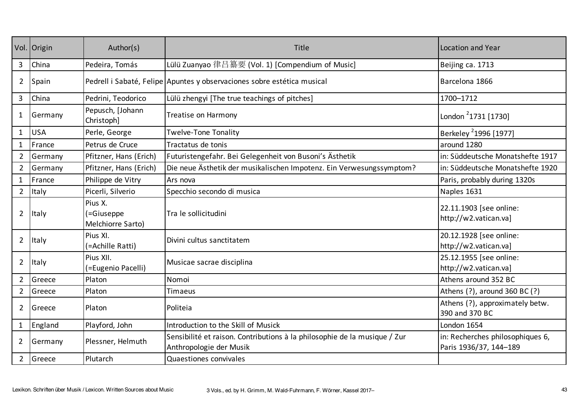|                | Vol. Origin | Author(s)                                  | Title                                                                                                | Location and Year                                          |
|----------------|-------------|--------------------------------------------|------------------------------------------------------------------------------------------------------|------------------------------------------------------------|
| 3              | China       | Pedeira, Tomás                             | Lülü Zuanyao 律吕纂要 (Vol. 1) [Compendium of Music]                                                     | Beijing ca. 1713                                           |
| $\overline{2}$ | Spain       |                                            | Pedrell i Sabaté, Felipe Apuntes y observaciones sobre estética musical                              | Barcelona 1866                                             |
| $\overline{3}$ | China       | Pedrini, Teodorico                         | Lülü zhengyi [The true teachings of pitches]                                                         | 1700-1712                                                  |
| $\mathbf{1}$   | Germany     | Pepusch, [Johann<br>Christoph]             | Treatise on Harmony                                                                                  | London <sup>2</sup> 1731 [1730]                            |
| $\mathbf{1}$   | <b>USA</b>  | Perle, George                              | <b>Twelve-Tone Tonality</b>                                                                          | Berkeley <sup>2</sup> 1996 [1977]                          |
| $\mathbf{1}$   | France      | Petrus de Cruce                            | Tractatus de tonis                                                                                   | around 1280                                                |
| $\overline{2}$ | Germany     | Pfitzner, Hans (Erich)                     | Futuristengefahr. Bei Gelegenheit von Busoni's Ästhetik                                              | in: Süddeutsche Monatshefte 1917                           |
| $\overline{2}$ | Germany     | Pfitzner, Hans (Erich)                     | Die neue Ästhetik der musikalischen Impotenz. Ein Verwesungssymptom?                                 | in: Süddeutsche Monatshefte 1920                           |
| $\mathbf{1}$   | France      | Philippe de Vitry                          | Ars nova                                                                                             | Paris, probably during 1320s                               |
| $2^{\circ}$    | Italy       | Picerli, Silverio                          | Specchio secondo di musica                                                                           | Naples 1631                                                |
| $\overline{2}$ | Italy       | Pius X.<br>(=Giuseppe<br>Melchiorre Sarto) | Tra le sollicitudini                                                                                 | 22.11.1903 [see online:<br>http://w2.vatican.va]           |
| $\overline{2}$ | Italy       | Pius XI.<br>(=Achille Ratti)               | Divini cultus sanctitatem                                                                            | 20.12.1928 [see online:<br>http://w2.vatican.val           |
| $\overline{2}$ | Italy       | Pius XII.<br>(=Eugenio Pacelli)            | Musicae sacrae disciplina                                                                            | 25.12.1955 [see online:<br>http://w2.vatican.va]           |
| $\overline{2}$ | Greece      | Platon                                     | Nomoi                                                                                                | Athens around 352 BC                                       |
| $\overline{2}$ | Greece      | Platon                                     | Timaeus                                                                                              | Athens (?), around 360 BC (?)                              |
| $\overline{2}$ | Greece      | Platon                                     | Politeia                                                                                             | Athens (?), approximately betw.<br>390 and 370 BC          |
| $\mathbf{1}$   | England     | Playford, John                             | Introduction to the Skill of Musick                                                                  | London 1654                                                |
| $\overline{2}$ | Germany     | Plessner, Helmuth                          | Sensibilité et raison. Contributions à la philosophie de la musique / Zur<br>Anthropologie der Musik | in: Recherches philosophiques 6,<br>Paris 1936/37, 144-189 |
| $2^{\circ}$    | Greece      | Plutarch                                   | Quaestiones convivales                                                                               |                                                            |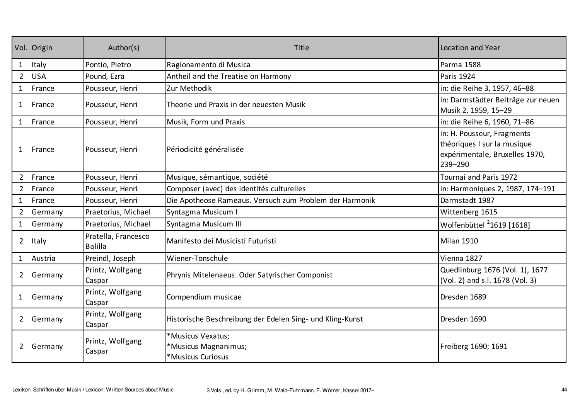|                | Vol. Origin | Author(s)                             | Title                                                          | <b>Location and Year</b>                                                                               |
|----------------|-------------|---------------------------------------|----------------------------------------------------------------|--------------------------------------------------------------------------------------------------------|
| $\mathbf{1}$   | Italy       | Pontio, Pietro                        | Ragionamento di Musica                                         | Parma 1588                                                                                             |
| $\overline{2}$ | <b>USA</b>  | Pound, Ezra                           | Antheil and the Treatise on Harmony                            | Paris 1924                                                                                             |
| $\mathbf{1}$   | France      | Pousseur, Henri                       | Zur Methodik                                                   | in: die Reihe 3, 1957, 46-88                                                                           |
| 1              | France      | Pousseur, Henri                       | Theorie und Praxis in der neuesten Musik                       | in: Darmstädter Beiträge zur neuen<br>Musik 2, 1959, 15-29                                             |
| $\mathbf{1}$   | France      | Pousseur, Henri                       | Musik, Form und Praxis                                         | in: die Reihe 6, 1960, 71-86                                                                           |
| 1              | France      | Pousseur, Henri                       | Périodicité généralisée                                        | in: H. Pousseur, Fragments<br>théoriques I sur la musique<br>expérimentale, Bruxelles 1970,<br>239-290 |
| $\overline{2}$ | France      | Pousseur, Henri                       | Musique, sémantique, société                                   | Tournai and Paris 1972                                                                                 |
| $\overline{2}$ | France      | Pousseur, Henri                       | Composer (avec) des identités culturelles                      | in: Harmoniques 2, 1987, 174-191                                                                       |
| $\mathbf{1}$   | France      | Pousseur, Henri                       | Die Apotheose Rameaus. Versuch zum Problem der Harmonik        | Darmstadt 1987                                                                                         |
| $2^{\circ}$    | Germany     | Praetorius, Michael                   | Syntagma Musicum I                                             | Wittenberg 1615                                                                                        |
| $\mathbf{1}$   | Germany     | Praetorius, Michael                   | Syntagma Musicum III                                           | Wolfenbüttel <sup>2</sup> 1619 [1618]                                                                  |
| $\overline{2}$ | Italy       | Pratella, Francesco<br><b>Balilla</b> | Manifesto dei Musicisti Futuristi                              | <b>Milan 1910</b>                                                                                      |
| $\mathbf{1}$   | Austria     | Preindl, Joseph                       | Wiener-Tonschule                                               | Vienna 1827                                                                                            |
| $\overline{2}$ | Germany     | Printz, Wolfgang<br>Caspar            | Phrynis Mitelenaeus. Oder Satyrischer Componist                | Quedlinburg 1676 (Vol. 1), 1677<br>(Vol. 2) and s.l. 1678 (Vol. 3)                                     |
| $\mathbf{1}$   | Germany     | Printz, Wolfgang<br>Caspar            | Compendium musicae                                             | Dresden 1689                                                                                           |
| $\overline{2}$ | Germany     | Printz, Wolfgang<br>Caspar            | Historische Beschreibung der Edelen Sing- und Kling-Kunst      | Dresden 1690                                                                                           |
| $\overline{2}$ | Germany     | Printz, Wolfgang<br>Caspar            | *Musicus Vexatus;<br>*Musicus Magnanimus;<br>*Musicus Curiosus | Freiberg 1690; 1691                                                                                    |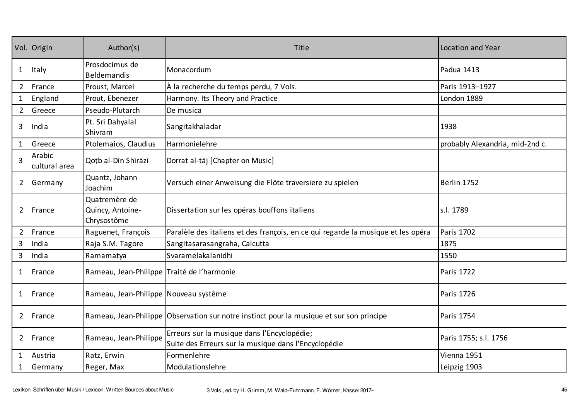|                | Vol. Origin             | Author(s)                                        | Title                                                                                               | Location and Year               |
|----------------|-------------------------|--------------------------------------------------|-----------------------------------------------------------------------------------------------------|---------------------------------|
| $\mathbf{1}$   | Italy                   | Prosdocimus de<br><b>Beldemandis</b>             | Monacordum                                                                                          | Padua 1413                      |
| $\overline{2}$ | France                  | Proust, Marcel                                   | À la recherche du temps perdu, 7 Vols.                                                              | Paris 1913-1927                 |
| $\mathbf{1}$   | England                 | Prout, Ebenezer                                  | Harmony. Its Theory and Practice                                                                    | London 1889                     |
| $\overline{2}$ | Greece                  | Pseudo-Plutarch                                  | De musica                                                                                           |                                 |
| 3              | India                   | Pt. Sri Dahyalal<br>Shivram                      | Sangitakhaladar                                                                                     | 1938                            |
| $\mathbf{1}$   | Greece                  | Ptolemaios, Claudius                             | Harmonielehre                                                                                       | probably Alexandria, mid-2nd c. |
| 3              | Arabic<br>cultural area | Qotb al-Dīn Shīrāzī                              | Dorrat al-tāj [Chapter on Music]                                                                    |                                 |
| $\overline{2}$ | Germany                 | Quantz, Johann<br>Joachim                        | Versuch einer Anweisung die Flöte traversiere zu spielen                                            | Berlin 1752                     |
| $\overline{2}$ | France                  | Quatremère de<br>Quincy, Antoine-<br>Chrysostôme | Dissertation sur les opéras bouffons italiens                                                       | s.l. 1789                       |
| $\overline{2}$ | France                  | Raguenet, François                               | Paralèle des italiens et des françois, en ce qui regarde la musique et les opéra                    | Paris 1702                      |
| $\mathbf{3}$   | India                   | Raja S.M. Tagore                                 | Sangitasarasangraha, Calcutta                                                                       | 1875                            |
| $\overline{3}$ | India                   | Ramamatya                                        | Svaramelakalanidhi                                                                                  | 1550                            |
| $\mathbf{1}$   | France                  | Rameau, Jean-Philippe   Traité de l'harmonie     |                                                                                                     | Paris 1722                      |
| 1              | France                  | Rameau, Jean-Philippe   Nouveau systême          |                                                                                                     | Paris 1726                      |
| $\overline{2}$ | France                  |                                                  | Rameau, Jean-Philippe Observation sur notre instinct pour la musique et sur son principe            | Paris 1754                      |
| $\overline{2}$ | France                  | Rameau, Jean-Philippe                            | Erreurs sur la musique dans l'Encyclopédie;<br>Suite des Erreurs sur la musique dans l'Encyclopédie | Paris 1755; s.l. 1756           |
| $\mathbf{1}$   | Austria                 | Ratz, Erwin                                      | Formenlehre                                                                                         | Vienna 1951                     |
| $\mathbf{1}$   | Germany                 | Reger, Max                                       | Modulationslehre                                                                                    | Leipzig 1903                    |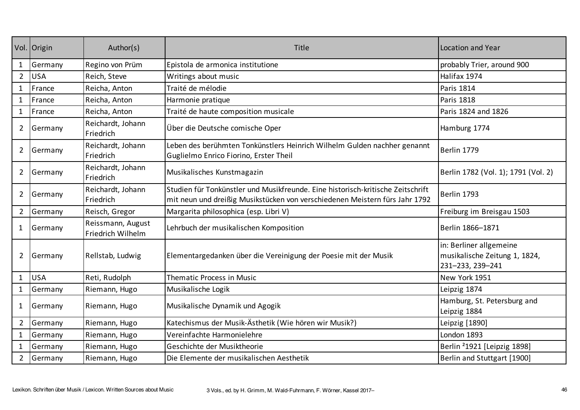|                | Vol. Origin | Author(s)                              | Title                                                                                                                                                          | <b>Location and Year</b>                                                     |
|----------------|-------------|----------------------------------------|----------------------------------------------------------------------------------------------------------------------------------------------------------------|------------------------------------------------------------------------------|
| $\mathbf{1}$   | Germany     | Regino von Prüm                        | Epistola de armonica institutione                                                                                                                              | probably Trier, around 900                                                   |
| $\overline{2}$ | <b>USA</b>  | Reich, Steve                           | Writings about music                                                                                                                                           | Halifax 1974                                                                 |
| $\mathbf{1}$   | France      | Reicha, Anton                          | Traité de mélodie                                                                                                                                              | Paris 1814                                                                   |
| $\mathbf{1}$   | France      | Reicha, Anton                          | Harmonie pratique                                                                                                                                              | <b>Paris 1818</b>                                                            |
| $\mathbf{1}$   | France      | Reicha, Anton                          | Traité de haute composition musicale                                                                                                                           | Paris 1824 and 1826                                                          |
| $\overline{2}$ | Germany     | Reichardt, Johann<br>Friedrich         | Über die Deutsche comische Oper                                                                                                                                | Hamburg 1774                                                                 |
| $\overline{2}$ | Germany     | Reichardt, Johann<br>Friedrich         | Leben des berühmten Tonkünstlers Heinrich Wilhelm Gulden nachher genannt<br>Guglielmo Enrico Fiorino, Erster Theil                                             | Berlin 1779                                                                  |
| $\overline{2}$ | Germany     | Reichardt, Johann<br>Friedrich         | Musikalisches Kunstmagazin                                                                                                                                     | Berlin 1782 (Vol. 1); 1791 (Vol. 2)                                          |
| $\overline{2}$ | Germany     | Reichardt, Johann<br>Friedrich         | Studien für Tonkünstler und Musikfreunde. Eine historisch-kritische Zeitschrift<br>mit neun und dreißig Musikstücken von verschiedenen Meistern fürs Jahr 1792 | Berlin 1793                                                                  |
| $2^{\circ}$    | Germany     | Reisch, Gregor                         | Margarita philosophica (esp. Libri V)                                                                                                                          | Freiburg im Breisgau 1503                                                    |
| $\mathbf{1}$   | Germany     | Reissmann, August<br>Friedrich Wilhelm | Lehrbuch der musikalischen Komposition                                                                                                                         | Berlin 1866-1871                                                             |
| $\overline{2}$ | Germany     | Rellstab, Ludwig                       | Elementargedanken über die Vereinigung der Poesie mit der Musik                                                                                                | in: Berliner allgemeine<br>musikalische Zeitung 1, 1824,<br>231-233, 239-241 |
| $\mathbf{1}$   | <b>USA</b>  | Reti, Rudolph                          | <b>Thematic Process in Music</b>                                                                                                                               | New York 1951                                                                |
| $\mathbf{1}$   | Germany     | Riemann, Hugo                          | Musikalische Logik                                                                                                                                             | Leipzig 1874                                                                 |
| 1              | Germany     | Riemann, Hugo                          | Musikalische Dynamik und Agogik                                                                                                                                | Hamburg, St. Petersburg and<br>Leipzig 1884                                  |
| $2^{\circ}$    | Germany     | Riemann, Hugo                          | Katechismus der Musik-Ästhetik (Wie hören wir Musik?)                                                                                                          | Leipzig [1890]                                                               |
| $\mathbf{1}$   | Germany     | Riemann, Hugo                          | Vereinfachte Harmonielehre                                                                                                                                     | London 1893                                                                  |
| $\mathbf{1}$   | Germany     | Riemann, Hugo                          | Geschichte der Musiktheorie                                                                                                                                    | Berlin <sup>2</sup> 1921 [Leipzig 1898]                                      |
| $2^{\circ}$    | Germany     | Riemann, Hugo                          | Die Elemente der musikalischen Aesthetik                                                                                                                       | Berlin and Stuttgart [1900]                                                  |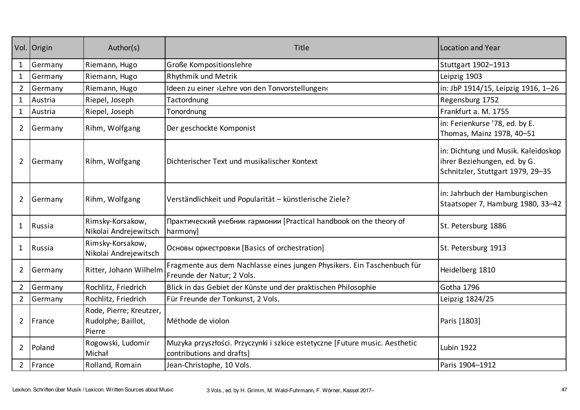|                | Vol. Origin | Author(s)                                               | Title                                                                                                    | Location and Year                                                                                        |
|----------------|-------------|---------------------------------------------------------|----------------------------------------------------------------------------------------------------------|----------------------------------------------------------------------------------------------------------|
| 1              | Germany     | Riemann, Hugo                                           | Große Kompositionslehre                                                                                  | Stuttgart 1902-1913                                                                                      |
| $\mathbf{1}$   | Germany     | Riemann, Hugo                                           | Rhythmik und Metrik                                                                                      | Leipzig 1903                                                                                             |
| $\overline{2}$ | Germany     | Riemann, Hugo                                           | Ideen zu einer >Lehre von den Tonvorstellungen‹                                                          | in: JbP 1914/15, Leipzig 1916, 1-26                                                                      |
| 1              | Austria     | Riepel, Joseph                                          | Tactordnung                                                                                              | Regensburg 1752                                                                                          |
| $\mathbf{1}$   | Austria     | Riepel, Joseph                                          | Tonordnung                                                                                               | Frankfurt a. M. 1755                                                                                     |
| $\overline{2}$ | Germany     | Rihm, Wolfgang                                          | Der geschockte Komponist                                                                                 | in: Ferienkurse '78, ed. by E.<br>Thomas, Mainz 1978, 40-51                                              |
| $\overline{2}$ | Germany     | Rihm, Wolfgang                                          | Dichterischer Text und musikalischer Kontext                                                             | in: Dichtung und Musik. Kaleidoskop<br>ihrer Beziehungen, ed. by G.<br>Schnitzler, Stuttgart 1979, 29-35 |
| $\overline{2}$ | Germany     | Rihm, Wolfgang                                          | Verständlichkeit und Popularität - künstlerische Ziele?                                                  | in: Jahrbuch der Hamburgischen<br>Staatsoper 7, Hamburg 1980, 33-42                                      |
| 1              | Russia      | Rimsky-Korsakow,<br>Nikolai Andrejewitsch               | Практический учебник гармонии [Practical handbook on the theory of<br>harmony]                           | St. Petersburg 1886                                                                                      |
| $\mathbf{1}$   | Russia      | Rimsky-Korsakow,<br>Nikolai Andrejewitsch               | Основы оркестровки [Basics of orchestration]                                                             | St. Petersburg 1913                                                                                      |
| $\overline{2}$ | Germany     | Ritter, Johann Wilhelm                                  | Fragmente aus dem Nachlasse eines jungen Physikers. Ein Taschenbuch für<br>Freunde der Natur; 2 Vols.    | Heidelberg 1810                                                                                          |
| $\overline{2}$ | Germany     | Rochlitz, Friedrich                                     | Blick in das Gebiet der Künste und der praktischen Philosophie                                           | Gotha 1796                                                                                               |
| $\overline{2}$ | Germany     | Rochlitz, Friedrich                                     | Für Freunde der Tonkunst, 2 Vols.                                                                        | Leipzig 1824/25                                                                                          |
| $\overline{2}$ | France      | Rode, Pierre; Kreutzer,<br>Rudolphe; Baillot,<br>Pierre | Méthode de violon                                                                                        | Paris [1803]                                                                                             |
| $\overline{2}$ | Poland      | Rogowski, Ludomir<br>Michał                             | Muzyka przyszłości. Przyczynki i szkice estetyczne [Future music. Aesthetic<br>contributions and drafts] | <b>Lubin 1922</b>                                                                                        |
| $\overline{2}$ | France      | Rolland, Romain                                         | Jean-Christophe, 10 Vols.                                                                                | Paris 1904-1912                                                                                          |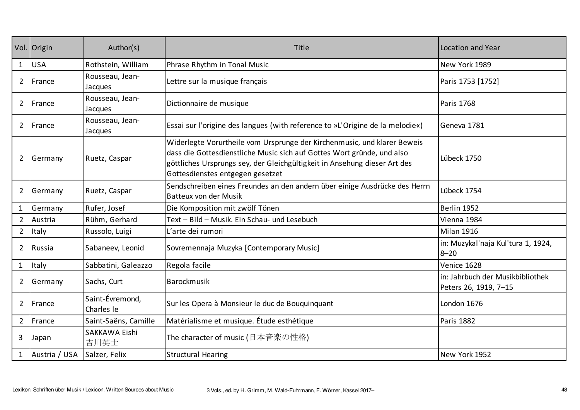|                | Vol. Origin   | Author(s)                     | Title                                                                                                                                                                                                                                                               | Location and Year                                         |
|----------------|---------------|-------------------------------|---------------------------------------------------------------------------------------------------------------------------------------------------------------------------------------------------------------------------------------------------------------------|-----------------------------------------------------------|
| $\mathbf{1}$   | <b>USA</b>    | Rothstein, William            | Phrase Rhythm in Tonal Music                                                                                                                                                                                                                                        | New York 1989                                             |
| $\overline{2}$ | France        | Rousseau, Jean-<br>Jacques    | Lettre sur la musique français                                                                                                                                                                                                                                      | Paris 1753 [1752]                                         |
| $\overline{2}$ | France        | Rousseau, Jean-<br>Jacques    | Dictionnaire de musique                                                                                                                                                                                                                                             | Paris 1768                                                |
| $\overline{2}$ | France        | Rousseau, Jean-<br>Jacques    | Essai sur l'origine des langues (with reference to »L'Origine de la melodie«)                                                                                                                                                                                       | Geneva 1781                                               |
| $\overline{2}$ | Germany       | Ruetz, Caspar                 | Widerlegte Vorurtheile vom Ursprunge der Kirchenmusic, und klarer Beweis<br>dass die Gottesdienstliche Music sich auf Gottes Wort gründe, und also<br>göttliches Ursprungs sey, der Gleichgültigkeit in Ansehung dieser Art des<br>Gottesdienstes entgegen gesetzet | Lübeck 1750                                               |
| 2              | Germany       | Ruetz, Caspar                 | Sendschreiben eines Freundes an den andern über einige Ausdrücke des Herrn<br>Batteux von der Musik                                                                                                                                                                 | Lübeck 1754                                               |
| $\mathbf{1}$   | Germany       | Rufer, Josef                  | Die Komposition mit zwölf Tönen                                                                                                                                                                                                                                     | Berlin 1952                                               |
| $\overline{2}$ | Austria       | Rühm, Gerhard                 | Text – Bild – Musik. Ein Schau- und Lesebuch                                                                                                                                                                                                                        | Vienna 1984                                               |
| $\overline{2}$ | Italy         | Russolo, Luigi                | L'arte dei rumori                                                                                                                                                                                                                                                   | Milan 1916                                                |
| $\overline{2}$ | Russia        | Sabaneev, Leonid              | Sovremennaja Muzyka [Contemporary Music]                                                                                                                                                                                                                            | in: Muzykal'naja Kul'tura 1, 1924,<br>$8 - 20$            |
| $\mathbf{1}$   | Italy         | Sabbatini, Galeazzo           | Regola facile                                                                                                                                                                                                                                                       | Venice 1628                                               |
| $\overline{2}$ | Germany       | Sachs, Curt                   | Barockmusik                                                                                                                                                                                                                                                         | in: Jahrbuch der Musikbibliothek<br>Peters 26, 1919, 7-15 |
| $\overline{2}$ | France        | Saint-Évremond,<br>Charles le | Sur les Opera à Monsieur le duc de Bouquinquant                                                                                                                                                                                                                     | London 1676                                               |
| $2^{\circ}$    | France        | Saint-Saëns, Camille          | Matérialisme et musique. Étude esthétique                                                                                                                                                                                                                           | <b>Paris 1882</b>                                         |
| 3              | Japan         | SAKKAWA Eishi<br>吉川英士         | The character of music (日本音楽の性格)                                                                                                                                                                                                                                    |                                                           |
|                | Austria / USA | Salzer, Felix                 | <b>Structural Hearing</b>                                                                                                                                                                                                                                           | New York 1952                                             |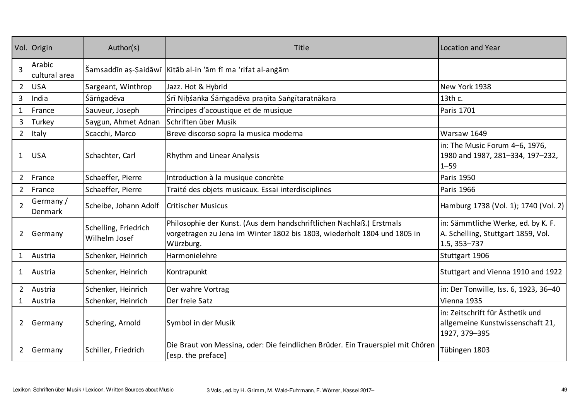|                | Vol. Origin             | Author(s)                             | Title                                                                                                                                                         | Location and Year                                                                        |
|----------------|-------------------------|---------------------------------------|---------------------------------------------------------------------------------------------------------------------------------------------------------------|------------------------------------------------------------------------------------------|
| $\overline{3}$ | Arabic<br>cultural area |                                       | Šamsaddīn aș-Șaidāwī   Kitāb al-in 'ām fī ma 'rifat al-anġām                                                                                                  |                                                                                          |
| $\overline{2}$ | <b>USA</b>              | Sargeant, Winthrop                    | Jazz. Hot & Hybrid                                                                                                                                            | New York 1938                                                                            |
| 3              | India                   | Śārṅgadēva                            | Śrī Niḥśaṅka Śārṅgadēva praṇīta Saṅgītaratnākara                                                                                                              | 13th c.                                                                                  |
| $\mathbf{1}$   | France                  | Sauveur, Joseph                       | Principes d'acoustique et de musique                                                                                                                          | <b>Paris 1701</b>                                                                        |
| $\overline{3}$ | Turkey                  | Saygun, Ahmet Adnan                   | Schriften über Musik                                                                                                                                          |                                                                                          |
| $\overline{2}$ | Italy                   | Scacchi, Marco                        | Breve discorso sopra la musica moderna                                                                                                                        | Warsaw 1649                                                                              |
| 1              | <b>USA</b>              | Schachter, Carl                       | Rhythm and Linear Analysis                                                                                                                                    | in: The Music Forum 4-6, 1976,<br>1980 and 1987, 281-334, 197-232,<br>$1 - 59$           |
| $\overline{2}$ | France                  | Schaeffer, Pierre                     | Introduction à la musique concrète                                                                                                                            | <b>Paris 1950</b>                                                                        |
| $\overline{2}$ | France                  | Schaeffer, Pierre                     | Traité des objets musicaux. Essai interdisciplines                                                                                                            | Paris 1966                                                                               |
| $\overline{2}$ | Germany/<br>Denmark     | Scheibe, Johann Adolf                 | <b>Critischer Musicus</b>                                                                                                                                     | Hamburg 1738 (Vol. 1); 1740 (Vol. 2)                                                     |
| $\overline{2}$ | Germany                 | Schelling, Friedrich<br>Wilhelm Josef | Philosophie der Kunst. (Aus dem handschriftlichen Nachlaß.) Erstmals<br>vorgetragen zu Jena im Winter 1802 bis 1803, wiederholt 1804 und 1805 in<br>Würzburg. | in: Sämmtliche Werke, ed. by K. F.<br>A. Schelling, Stuttgart 1859, Vol.<br>1.5, 353-737 |
| $\mathbf{1}$   | Austria                 | Schenker, Heinrich                    | Harmonielehre                                                                                                                                                 | Stuttgart 1906                                                                           |
| $\mathbf{1}$   | Austria                 | Schenker, Heinrich                    | Kontrapunkt                                                                                                                                                   | Stuttgart and Vienna 1910 and 1922                                                       |
| $\overline{2}$ | Austria                 | Schenker, Heinrich                    | Der wahre Vortrag                                                                                                                                             | in: Der Tonwille, Iss. 6, 1923, 36-40                                                    |
| $\mathbf{1}$   | Austria                 | Schenker, Heinrich                    | Der freie Satz                                                                                                                                                | Vienna 1935                                                                              |
| $\overline{2}$ | Germany                 | Schering, Arnold                      | Symbol in der Musik                                                                                                                                           | in: Zeitschrift für Ästhetik und<br>allgemeine Kunstwissenschaft 21,<br>1927, 379-395    |
| $\overline{2}$ | Germany                 | Schiller, Friedrich                   | Die Braut von Messina, oder: Die feindlichen Brüder. Ein Trauerspiel mit Chören<br>[esp. the preface]                                                         | Tübingen 1803                                                                            |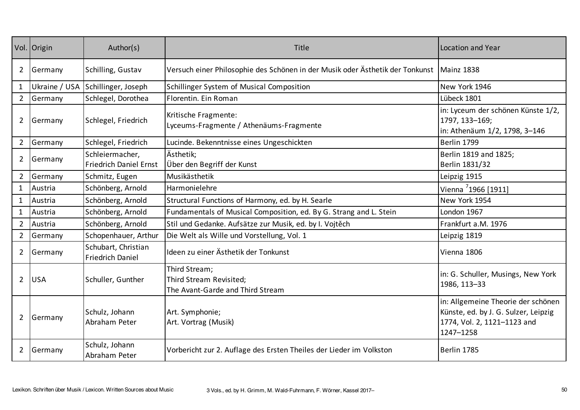|                | Vol. Origin | Author(s)                                        | Title                                                                                      | Location and Year                                                                                                      |
|----------------|-------------|--------------------------------------------------|--------------------------------------------------------------------------------------------|------------------------------------------------------------------------------------------------------------------------|
| $\overline{2}$ | Germany     | Schilling, Gustav                                | Versuch einer Philosophie des Schönen in der Musik oder Ästhetik der Tonkunst   Mainz 1838 |                                                                                                                        |
| $\mathbf{1}$   |             | Ukraine / USA Schillinger, Joseph                | Schillinger System of Musical Composition                                                  | New York 1946                                                                                                          |
| $\overline{2}$ | Germany     | Schlegel, Dorothea                               | Florentin. Ein Roman                                                                       | Lübeck 1801                                                                                                            |
| $\overline{2}$ | Germany     | Schlegel, Friedrich                              | Kritische Fragmente:<br>Lyceums-Fragmente / Athenäums-Fragmente                            | in: Lyceum der schönen Künste 1/2,<br>1797, 133-169;<br>in: Athenäum 1/2, 1798, 3-146                                  |
| $\overline{2}$ | Germany     | Schlegel, Friedrich                              | Lucinde. Bekenntnisse eines Ungeschickten                                                  | Berlin 1799                                                                                                            |
| $\overline{2}$ | Germany     | Schleiermacher,<br><b>Friedrich Daniel Ernst</b> | Ästhetik;<br>Über den Begriff der Kunst                                                    | Berlin 1819 and 1825;<br>Berlin 1831/32                                                                                |
| $\overline{2}$ | Germany     | Schmitz, Eugen                                   | Musikästhetik                                                                              | Leipzig 1915                                                                                                           |
| $\mathbf{1}$   | Austria     | Schönberg, Arnold                                | Harmonielehre                                                                              | Vienna 71966 [1911]                                                                                                    |
| $\mathbf{1}$   | Austria     | Schönberg, Arnold                                | Structural Functions of Harmony, ed. by H. Searle                                          | New York 1954                                                                                                          |
| $\mathbf{1}$   | Austria     | Schönberg, Arnold                                | Fundamentals of Musical Composition, ed. By G. Strang and L. Stein                         | London 1967                                                                                                            |
| $\overline{2}$ | Austria     | Schönberg, Arnold                                | Stil und Gedanke. Aufsätze zur Musik, ed. by I. Vojtěch                                    | Frankfurt a.M. 1976                                                                                                    |
| $\overline{2}$ | Germany     | Schopenhauer, Arthur                             | Die Welt als Wille und Vorstellung, Vol. 1                                                 | Leipzig 1819                                                                                                           |
| $\overline{2}$ | Germany     | Schubart, Christian<br><b>Friedrich Daniel</b>   | Ideen zu einer Ästhetik der Tonkunst                                                       | Vienna 1806                                                                                                            |
| $\overline{2}$ | <b>USA</b>  | Schuller, Gunther                                | Third Stream;<br>Third Stream Revisited;<br>The Avant-Garde and Third Stream               | in: G. Schuller, Musings, New York<br>1986, 113-33                                                                     |
| $\overline{2}$ | Germany     | Schulz, Johann<br>Abraham Peter                  | Art. Symphonie;<br>Art. Vortrag (Musik)                                                    | in: Allgemeine Theorie der schönen<br>Künste, ed. by J. G. Sulzer, Leipzig<br>1774, Vol. 2, 1121-1123 and<br>1247-1258 |
| $\overline{2}$ | Germany     | Schulz, Johann<br>Abraham Peter                  | Vorbericht zur 2. Auflage des Ersten Theiles der Lieder im Volkston                        | Berlin 1785                                                                                                            |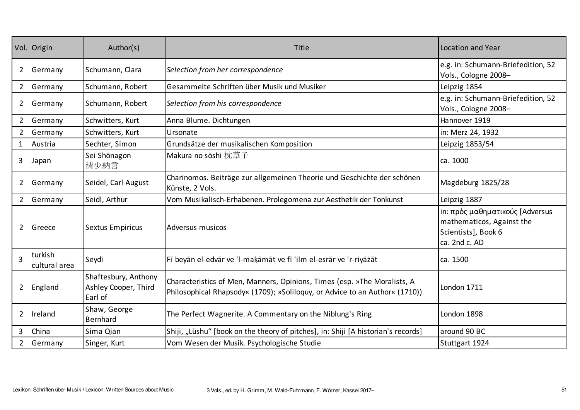|                | Vol. Origin              | Author(s)                                               | Title                                                                                                                                                   | Location and Year                                                                                    |
|----------------|--------------------------|---------------------------------------------------------|---------------------------------------------------------------------------------------------------------------------------------------------------------|------------------------------------------------------------------------------------------------------|
| 2              | Germany                  | Schumann, Clara                                         | Selection from her correspondence                                                                                                                       | e.g. in: Schumann-Briefedition, 52<br>Vols., Cologne 2008-                                           |
| $\overline{2}$ | Germany                  | Schumann, Robert                                        | Gesammelte Schriften über Musik und Musiker                                                                                                             | Leipzig 1854                                                                                         |
| $\overline{2}$ | Germany                  | Schumann, Robert                                        | Selection from his correspondence                                                                                                                       | e.g. in: Schumann-Briefedition, 52<br>Vols., Cologne 2008-                                           |
| $\overline{2}$ | Germany                  | Schwitters, Kurt                                        | Anna Blume. Dichtungen                                                                                                                                  | Hannover 1919                                                                                        |
| $\overline{2}$ | Germany                  | Schwitters, Kurt                                        | Ursonate                                                                                                                                                | in: Merz 24, 1932                                                                                    |
| $\mathbf{1}$   | Austria                  | Sechter, Simon                                          | Grundsätze der musikalischen Komposition                                                                                                                | Leipzig 1853/54                                                                                      |
| 3              | Japan                    | Sei Shōnagon<br>清少納言                                    | Makura no sōshi 枕草子                                                                                                                                     | ca. 1000                                                                                             |
| $\overline{2}$ | Germany                  | Seidel, Carl August                                     | Charinomos. Beiträge zur allgemeinen Theorie und Geschichte der schönen<br>Künste, 2 Vols.                                                              | Magdeburg 1825/28                                                                                    |
| $\overline{2}$ | Germany                  | Seidl, Arthur                                           | Vom Musikalisch-Erhabenen. Prolegomena zur Aesthetik der Tonkunst                                                                                       | Leipzig 1887                                                                                         |
| $\overline{2}$ | Greece                   | <b>Sextus Empiricus</b>                                 | Adversus musicos                                                                                                                                        | in: πρὸς μαθηματικούς [Adversus<br>mathematicos, Against the<br>Scientists], Book 6<br>ca. 2nd c. AD |
| $\overline{3}$ | turkish<br>cultural area | Seydī                                                   | Fī beyān el-edvār ve 'l-maķāmāt ve fī 'ilm el-esrār ve 'r-riyāzāt                                                                                       | ca. 1500                                                                                             |
| $\overline{2}$ | England                  | Shaftesbury, Anthony<br>Ashley Cooper, Third<br>Earl of | Characteristics of Men, Manners, Opinions, Times (esp. »The Moralists, A<br>Philosophical Rhapsody« (1709); »Soliloguy, or Advice to an Author« (1710)) | London 1711                                                                                          |
| $\overline{2}$ | Ireland                  | Shaw, George<br><b>Bernhard</b>                         | The Perfect Wagnerite. A Commentary on the Niblung's Ring                                                                                               | London 1898                                                                                          |
| $\mathbf{3}$   | China                    | Sima Qian                                               | Shiji, "Lüshu" [book on the theory of pitches], in: Shiji [A historian's records]                                                                       | around 90 BC                                                                                         |
| $\overline{2}$ | Germany                  | Singer, Kurt                                            | Vom Wesen der Musik. Psychologische Studie                                                                                                              | Stuttgart 1924                                                                                       |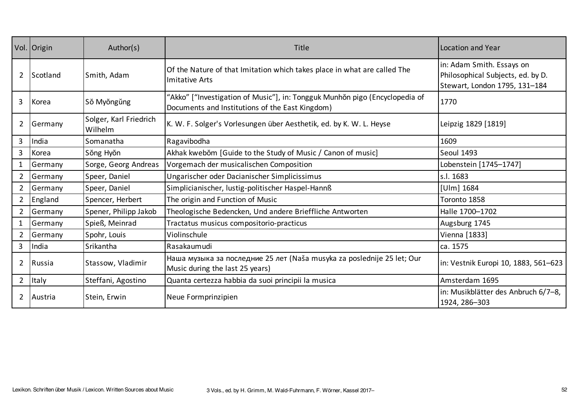|                | Vol. Origin | Author(s)                         | Title                                                                                                                          | Location and Year                                                                               |
|----------------|-------------|-----------------------------------|--------------------------------------------------------------------------------------------------------------------------------|-------------------------------------------------------------------------------------------------|
| $\overline{2}$ | Scotland    | Smith, Adam                       | Of the Nature of that Imitation which takes place in what are called The<br><b>Imitative Arts</b>                              | in: Adam Smith. Essays on<br>Philosophical Subjects, ed. by D.<br>Stewart, London 1795, 131-184 |
| 3              | Korea       | Sŏ Myŏngŭng                       | "Akko" ["Investigation of Music"], in: Tongguk Munhŏn pigo (Encyclopedia of<br>Documents and Institutions of the East Kingdom) | 1770                                                                                            |
| $\overline{2}$ | Germany     | Solger, Karl Friedrich<br>Wilhelm | K. W. F. Solger's Vorlesungen über Aesthetik, ed. by K. W. L. Heyse                                                            | Leipzig 1829 [1819]                                                                             |
| $\mathbf{3}$   | India       | Somanatha                         | Ragavibodha                                                                                                                    | 1609                                                                                            |
| $\mathbf{3}$   | Korea       | Sŏng Hyŏn                         | Akhak kwebom [Guide to the Study of Music / Canon of music]                                                                    | <b>Seoul 1493</b>                                                                               |
|                | Germany     | Sorge, Georg Andreas              | Vorgemach der musicalischen Composition                                                                                        | Lobenstein [1745-1747]                                                                          |
| $2^{\circ}$    | Germany     | Speer, Daniel                     | Ungarischer oder Dacianischer Simplicissimus                                                                                   | s.l. 1683                                                                                       |
| $\overline{2}$ | Germany     | Speer, Daniel                     | Simplicianischer, lustig-politischer Haspel-Hannß                                                                              | [Ulm] 1684                                                                                      |
| $\overline{2}$ | England     | Spencer, Herbert                  | The origin and Function of Music                                                                                               | Toronto 1858                                                                                    |
| $\overline{2}$ | Germany     | Spener, Philipp Jakob             | Theologische Bedencken, Und andere Brieffliche Antworten                                                                       | Halle 1700-1702                                                                                 |
| $\mathbf{1}$   | Germany     | Spieß, Meinrad                    | Tractatus musicus compositorio-practicus                                                                                       | Augsburg 1745                                                                                   |
| $2^{\circ}$    | Germany     | Spohr, Louis                      | Violinschule                                                                                                                   | Vienna [1833]                                                                                   |
| $\mathbf{3}$   | India       | Srikantha                         | Rasakaumudi                                                                                                                    | ca. 1575                                                                                        |
| $\overline{2}$ | Russia      | Stassow, Vladimir                 | Наша музыка за последние 25 лет (Naša musyka za poslednije 25 let; Our<br>Music during the last 25 years)                      | in: Vestnik Europi 10, 1883, 561-623                                                            |
| $\overline{2}$ | Italy       | Steffani, Agostino                | Quanta certezza habbia da suoi principii la musica                                                                             | Amsterdam 1695                                                                                  |
| $\overline{2}$ | Austria     | Stein, Erwin                      | Neue Formprinzipien                                                                                                            | in: Musikblätter des Anbruch 6/7-8,<br>1924, 286-303                                            |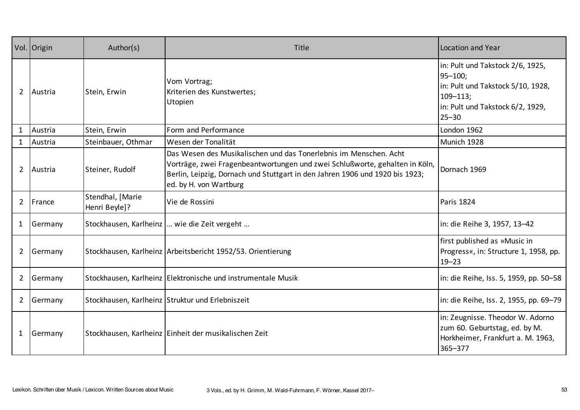|                | Vol. Origin | Author(s)                         | Title                                                                                                                                                                                                                                                      | Location and Year                                                                                                                                      |
|----------------|-------------|-----------------------------------|------------------------------------------------------------------------------------------------------------------------------------------------------------------------------------------------------------------------------------------------------------|--------------------------------------------------------------------------------------------------------------------------------------------------------|
| $\overline{2}$ | Austria     | Stein, Erwin                      | Vom Vortrag;<br>Kriterien des Kunstwertes;<br>Utopien                                                                                                                                                                                                      | in: Pult und Takstock 2/6, 1925,<br>$95 - 100;$<br>in: Pult und Takstock 5/10, 1928,<br>$109 - 113$ ;<br>in: Pult und Takstock 6/2, 1929,<br>$25 - 30$ |
| $\mathbf{1}$   | Austria     | Stein, Erwin                      | Form and Performance                                                                                                                                                                                                                                       | London 1962                                                                                                                                            |
| $\mathbf{1}$   | Austria     | Steinbauer, Othmar                | Wesen der Tonalität                                                                                                                                                                                                                                        | Munich 1928                                                                                                                                            |
| $\overline{2}$ | Austria     | Steiner, Rudolf                   | Das Wesen des Musikalischen und das Tonerlebnis im Menschen. Acht<br>Vorträge, zwei Fragenbeantwortungen und zwei Schlußworte, gehalten in Köln,<br>Berlin, Leipzig, Dornach und Stuttgart in den Jahren 1906 und 1920 bis 1923;<br>ed. by H. von Wartburg | Dornach 1969                                                                                                                                           |
| $\overline{2}$ | France      | Stendhal, [Marie<br>Henri Beyle]? | Vie de Rossini                                                                                                                                                                                                                                             | Paris 1824                                                                                                                                             |
| $\mathbf{1}$   | Germany     |                                   | Stockhausen, Karlheinz   wie die Zeit vergeht                                                                                                                                                                                                              | in: die Reihe 3, 1957, 13-42                                                                                                                           |
| $\overline{2}$ | Germany     |                                   | Stockhausen, Karlheinz Arbeitsbericht 1952/53. Orientierung                                                                                                                                                                                                | first published as »Music in<br>Progress«, in: Structure 1, 1958, pp.<br>$19 - 23$                                                                     |
| $\overline{2}$ | Germany     |                                   | Stockhausen, Karlheinz Elektronische und instrumentale Musik                                                                                                                                                                                               | in: die Reihe, Iss. 5, 1959, pp. 50–58                                                                                                                 |
| $\overline{2}$ | Germany     |                                   | Stockhausen, Karlheinz Struktur und Erlebniszeit                                                                                                                                                                                                           | in: die Reihe, Iss. 2, 1955, pp. 69–79                                                                                                                 |
| $\mathbf{1}$   | Germany     |                                   | Stockhausen, Karlheinz Einheit der musikalischen Zeit                                                                                                                                                                                                      | in: Zeugnisse. Theodor W. Adorno<br>zum 60. Geburtstag, ed. by M.<br>Horkheimer, Frankfurt a. M. 1963,<br>365-377                                      |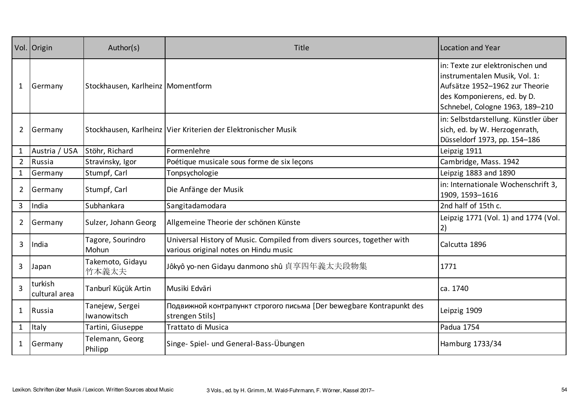|                | Vol. Origin                  | Author(s)                           | Title                                                                                                            | Location and Year                                                                                                                                                     |
|----------------|------------------------------|-------------------------------------|------------------------------------------------------------------------------------------------------------------|-----------------------------------------------------------------------------------------------------------------------------------------------------------------------|
| $\mathbf{1}$   | Germany                      | Stockhausen, Karlheinz   Momentform |                                                                                                                  | in: Texte zur elektronischen und<br>instrumentalen Musik, Vol. 1:<br>Aufsätze 1952-1962 zur Theorie<br>des Komponierens, ed. by D.<br>Schnebel, Cologne 1963, 189-210 |
| $\mathbf{2}$   | Germany                      |                                     | Stockhausen, Karlheinz Vier Kriterien der Elektronischer Musik                                                   | in: Selbstdarstellung. Künstler über<br>sich, ed. by W. Herzogenrath,<br>Düsseldorf 1973, pp. 154-186                                                                 |
| $\mathbf{1}$   | Austria / USA Stöhr, Richard |                                     | Formenlehre                                                                                                      | Leipzig 1911                                                                                                                                                          |
| $2^{\circ}$    | Russia                       | Stravinsky, Igor                    | Poétique musicale sous forme de six leçons                                                                       | Cambridge, Mass. 1942                                                                                                                                                 |
| $\mathbf{1}$   | Germany                      | Stumpf, Carl                        | Tonpsychologie                                                                                                   | Leipzig 1883 and 1890                                                                                                                                                 |
| $\mathbf{2}$   | Germany                      | Stumpf, Carl                        | Die Anfänge der Musik                                                                                            | in: Internationale Wochenschrift 3,<br>1909, 1593-1616                                                                                                                |
| 3 <sup>1</sup> | India                        | Subhankara                          | Sangitadamodara                                                                                                  | 2nd half of 15th c.                                                                                                                                                   |
| $\mathbf{2}$   | Germany                      | Sulzer, Johann Georg                | Allgemeine Theorie der schönen Künste                                                                            | Leipzig 1771 (Vol. 1) and 1774 (Vol.<br>2)                                                                                                                            |
| 3              | India                        | Tagore, Sourindro<br>Mohun          | Universal History of Music. Compiled from divers sources, together with<br>various original notes on Hindu music | Calcutta 1896                                                                                                                                                         |
| 3              | Japan                        | Takemoto, Gidayu<br>竹本義太夫           | Jôkyô yo-nen Gidayu danmono shû 貞享四年義太夫段物集                                                                       | 1771                                                                                                                                                                  |
| $\overline{3}$ | turkish<br>cultural area     | Tanburî Küçük Artin                 | Musiki Edvāri                                                                                                    | ca. 1740                                                                                                                                                              |
| $\mathbf{1}$   | Russia                       | Tanejew, Sergei<br>Iwanowitsch      | Подвижной контрапункт строгого письма [Der bewegbare Kontrapunkt des<br>strengen Stils]                          | Leipzig 1909                                                                                                                                                          |
| $\mathbf{1}$   | <b>Italy</b>                 | Tartini, Giuseppe                   | Trattato di Musica                                                                                               | Padua 1754                                                                                                                                                            |
| 1              | Germany                      | Telemann, Georg<br>Philipp          | Singe- Spiel- und General-Bass-Übungen                                                                           | Hamburg 1733/34                                                                                                                                                       |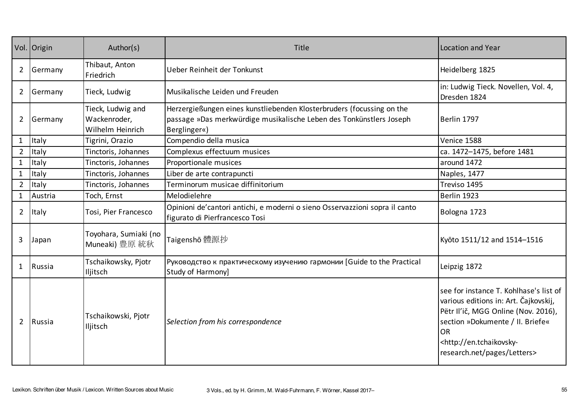|                | Vol. Origin | Author(s)                                             | Title                                                                                                                                                        | Location and Year                                                                                                                                                                                                                              |
|----------------|-------------|-------------------------------------------------------|--------------------------------------------------------------------------------------------------------------------------------------------------------------|------------------------------------------------------------------------------------------------------------------------------------------------------------------------------------------------------------------------------------------------|
| $\overline{2}$ | Germany     | Thibaut, Anton<br>Friedrich                           | Ueber Reinheit der Tonkunst                                                                                                                                  | Heidelberg 1825                                                                                                                                                                                                                                |
| $\overline{2}$ | Germany     | Tieck, Ludwig                                         | Musikalische Leiden und Freuden                                                                                                                              | in: Ludwig Tieck. Novellen, Vol. 4,<br>Dresden 1824                                                                                                                                                                                            |
| $\overline{2}$ | Germany     | Tieck, Ludwig and<br>Wackenroder,<br>Wilhelm Heinrich | Herzergießungen eines kunstliebenden Klosterbruders (focussing on the<br>passage »Das merkwürdige musikalische Leben des Tonkünstlers Joseph<br>Berglinger«) | Berlin 1797                                                                                                                                                                                                                                    |
| $\mathbf{1}$   | Italy       | Tigrini, Orazio                                       | Compendio della musica                                                                                                                                       | Venice 1588                                                                                                                                                                                                                                    |
| $\overline{2}$ | Italy       | Tinctoris, Johannes                                   | Complexus effectuum musices                                                                                                                                  | ca. 1472-1475, before 1481                                                                                                                                                                                                                     |
| $\mathbf{1}$   | Italy       | Tinctoris, Johannes                                   | Proportionale musices                                                                                                                                        | around 1472                                                                                                                                                                                                                                    |
| $\mathbf{1}$   | Italy       | Tinctoris, Johannes                                   | Liber de arte contrapuncti                                                                                                                                   | Naples, 1477                                                                                                                                                                                                                                   |
| $\overline{2}$ | Italy       | Tinctoris, Johannes                                   | Terminorum musicae diffinitorium                                                                                                                             | Treviso 1495                                                                                                                                                                                                                                   |
| $\mathbf{1}$   | Austria     | Toch, Ernst                                           | Melodielehre                                                                                                                                                 | Berlin 1923                                                                                                                                                                                                                                    |
| $\overline{2}$ | Italy       | Tosi, Pier Francesco                                  | Opinioni de'cantori antichi, e moderni o sieno Osservazzioni sopra il canto<br>figurato di Pierfrancesco Tosi                                                | Bologna 1723                                                                                                                                                                                                                                   |
| 3              | Japan       | Toyohara, Sumiaki (no<br>Muneaki) 豊原 統秋               | Taigenshō 體源抄                                                                                                                                                | Kyōto 1511/12 and 1514-1516                                                                                                                                                                                                                    |
| 1              | Russia      | Tschaikowsky, Pjotr<br>Iljitsch                       | Руководство к практическому изучению гармонии [Guide to the Practical<br>Study of Harmony]                                                                   | Leipzig 1872                                                                                                                                                                                                                                   |
| $\overline{2}$ | Russia      | Tschaikowski, Pjotr<br>Iljitsch                       | Selection from his correspondence                                                                                                                            | see for instance T. Kohlhase's list of<br>various editions in: Art. Čajkovskij,<br>Pëtr Il'ič, MGG Online (Nov. 2016),<br>section »Dokumente / II. Briefe«<br><b>OR</b><br><http: en.tchaikovsky-<br="">research.net/pages/Letters&gt;</http:> |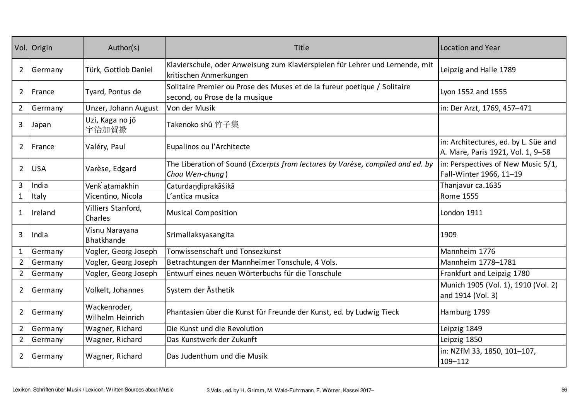|                | Vol. Origin | Author(s)                        | Title                                                                                                       | Location and Year                                                         |
|----------------|-------------|----------------------------------|-------------------------------------------------------------------------------------------------------------|---------------------------------------------------------------------------|
| $\overline{2}$ | Germany     | Türk, Gottlob Daniel             | Klavierschule, oder Anweisung zum Klavierspielen für Lehrer und Lernende, mit<br>kritischen Anmerkungen     | Leipzig and Halle 1789                                                    |
| $\overline{2}$ | France      | Tyard, Pontus de                 | Solitaire Premier ou Prose des Muses et de la fureur poetique / Solitaire<br>second, ou Prose de la musique | Lyon 1552 and 1555                                                        |
| $\overline{2}$ | Germany     | Unzer, Johann August             | Von der Musik                                                                                               | in: Der Arzt, 1769, 457-471                                               |
| 3              | Japan       | Uzi, Kaga no jô<br>宇治加賀掾         | Takenoko shû 竹子集                                                                                            |                                                                           |
| $\overline{2}$ | France      | Valéry, Paul                     | Eupalinos ou l'Architecte                                                                                   | in: Architectures, ed. by L. Süe and<br>A. Mare, Paris 1921, Vol. 1, 9-58 |
| $\overline{2}$ | <b>USA</b>  | Varèse, Edgard                   | The Liberation of Sound (Excerpts from lectures by Varèse, compiled and ed. by<br>Chou Wen-chung)           | in: Perspectives of New Music 5/1,<br>Fall-Winter 1966, 11-19             |
| $\overline{3}$ | India       | Venk atamakhin                   | Caturdandiprakāśikā                                                                                         | Thanjavur ca.1635                                                         |
| $\mathbf{1}$   | Italy       | Vicentino, Nicola                | L'antica musica                                                                                             | <b>Rome 1555</b>                                                          |
| $\mathbf{1}$   | Ireland     | Villiers Stanford,<br>Charles    | <b>Musical Composition</b>                                                                                  | London 1911                                                               |
| 3              | India       | Visnu Narayana<br>Bhatkhande     | Srimallaksyasangita                                                                                         | 1909                                                                      |
| $\mathbf{1}$   | Germany     | Vogler, Georg Joseph             | Tonwissenschaft und Tonsezkunst                                                                             | Mannheim 1776                                                             |
| $\overline{2}$ | Germany     | Vogler, Georg Joseph             | Betrachtungen der Mannheimer Tonschule, 4 Vols.                                                             | Mannheim 1778-1781                                                        |
| $2^{\circ}$    | Germany     | Vogler, Georg Joseph             | Entwurf eines neuen Wörterbuchs für die Tonschule                                                           | Frankfurt and Leipzig 1780                                                |
| $\overline{2}$ | Germany     | Volkelt, Johannes                | System der Ästhetik                                                                                         | Munich 1905 (Vol. 1), 1910 (Vol. 2)<br>and 1914 (Vol. 3)                  |
| $\overline{2}$ | Germany     | Wackenroder,<br>Wilhelm Heinrich | Phantasien über die Kunst für Freunde der Kunst, ed. by Ludwig Tieck                                        | Hamburg 1799                                                              |
| $2^{\circ}$    | Germany     | Wagner, Richard                  | Die Kunst und die Revolution                                                                                | Leipzig 1849                                                              |
| $2^{\circ}$    | Germany     | Wagner, Richard                  | Das Kunstwerk der Zukunft                                                                                   | Leipzig 1850                                                              |
| $\overline{2}$ | Germany     | Wagner, Richard                  | Das Judenthum und die Musik                                                                                 | in: NZfM 33, 1850, 101-107,<br>109-112                                    |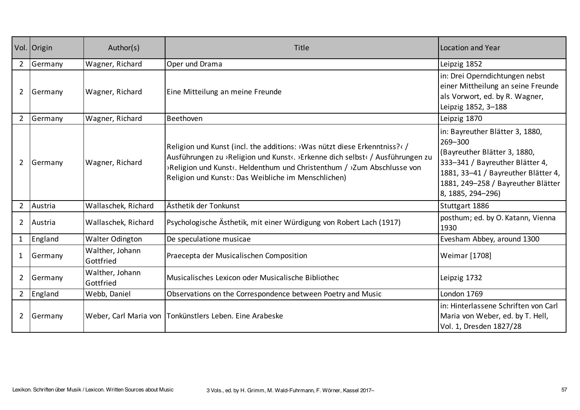|                | Vol. Origin | Author(s)                    | Title                                                                                                                                                                                                                                                                                      | Location and Year                                                                                                                                                                                               |
|----------------|-------------|------------------------------|--------------------------------------------------------------------------------------------------------------------------------------------------------------------------------------------------------------------------------------------------------------------------------------------|-----------------------------------------------------------------------------------------------------------------------------------------------------------------------------------------------------------------|
| $\overline{2}$ | Germany     | Wagner, Richard              | Oper und Drama                                                                                                                                                                                                                                                                             | Leipzig 1852                                                                                                                                                                                                    |
| $\overline{2}$ | Germany     | Wagner, Richard              | Eine Mitteilung an meine Freunde                                                                                                                                                                                                                                                           | in: Drei Operndichtungen nebst<br>einer Mittheilung an seine Freunde<br>als Vorwort, ed. by R. Wagner,<br>Leipzig 1852, 3-188                                                                                   |
| $\overline{2}$ | Germany     | Wagner, Richard              | Beethoven                                                                                                                                                                                                                                                                                  | Leipzig 1870                                                                                                                                                                                                    |
| $\overline{2}$ | Germany     | Wagner, Richard              | Religion und Kunst (incl. the additions: >Was nützt diese Erkenntniss? <br Ausführungen zu ›Religion und Kunst‹. ›Erkenne dich selbst‹ / Ausführungen zu<br>>Religion und Kunst<. Heldenthum und Christenthum / >Zum Abschlusse von<br>Religion und Kunst«: Das Weibliche im Menschlichen) | in: Bayreuther Blätter 3, 1880,<br>269-300<br>(Bayreuther Blätter 3, 1880,<br>333-341 / Bayreuther Blätter 4,<br>1881, 33-41 / Bayreuther Blätter 4,<br>1881, 249-258 / Bayreuther Blätter<br>8, 1885, 294-296) |
| $\overline{2}$ | Austria     | Wallaschek, Richard          | Ästhetik der Tonkunst                                                                                                                                                                                                                                                                      | Stuttgart 1886                                                                                                                                                                                                  |
| $\overline{2}$ | Austria     | Wallaschek, Richard          | Psychologische Ästhetik, mit einer Würdigung von Robert Lach (1917)                                                                                                                                                                                                                        | posthum; ed. by O. Katann, Vienna<br>1930                                                                                                                                                                       |
| $\mathbf{1}$   | England     | <b>Walter Odington</b>       | De speculatione musicae                                                                                                                                                                                                                                                                    | Evesham Abbey, around 1300                                                                                                                                                                                      |
| $\mathbf{1}$   | Germany     | Walther, Johann<br>Gottfried | Praecepta der Musicalischen Composition                                                                                                                                                                                                                                                    | Weimar [1708]                                                                                                                                                                                                   |
| $\overline{2}$ | Germany     | Walther, Johann<br>Gottfried | Musicalisches Lexicon oder Musicalische Bibliothec                                                                                                                                                                                                                                         | Leipzig 1732                                                                                                                                                                                                    |
| $\overline{2}$ | England     | Webb, Daniel                 | Observations on the Correspondence between Poetry and Music                                                                                                                                                                                                                                | London 1769                                                                                                                                                                                                     |
| $\overline{2}$ | Germany     |                              | Weber, Carl Maria von Tonkünstlers Leben. Eine Arabeske                                                                                                                                                                                                                                    | in: Hinterlassene Schriften von Carl<br>Maria von Weber, ed. by T. Hell,<br>Vol. 1, Dresden 1827/28                                                                                                             |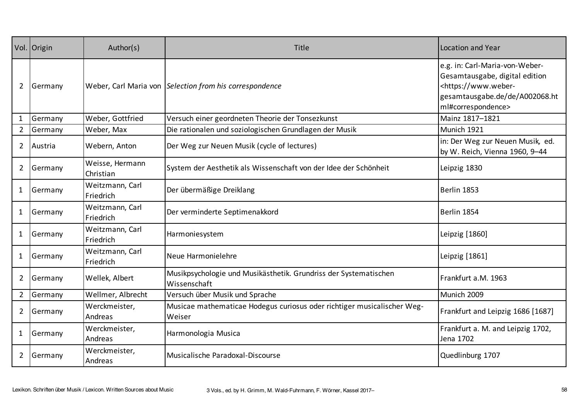|                | Vol. Origin | Author(s)                    | Title                                                                             | Location and Year                                                                                                                                              |
|----------------|-------------|------------------------------|-----------------------------------------------------------------------------------|----------------------------------------------------------------------------------------------------------------------------------------------------------------|
| $\overline{2}$ | Germany     |                              | Weber, Carl Maria von Selection from his correspondence                           | e.g. in: Carl-Maria-von-Weber-<br>Gesamtausgabe, digital edition<br><https: www.weber-<br="">gesamtausgabe.de/de/A002068.ht<br/>ml#correspondence&gt;</https:> |
| $\mathbf{1}$   | Germany     | Weber, Gottfried             | Versuch einer geordneten Theorie der Tonsezkunst                                  | Mainz 1817-1821                                                                                                                                                |
| $\overline{2}$ | Germany     | Weber, Max                   | Die rationalen und soziologischen Grundlagen der Musik                            | Munich 1921                                                                                                                                                    |
| $\overline{2}$ | Austria     | Webern, Anton                | Der Weg zur Neuen Musik (cycle of lectures)                                       | in: Der Weg zur Neuen Musik, ed.<br>by W. Reich, Vienna 1960, 9-44                                                                                             |
| $\overline{2}$ | Germany     | Weisse, Hermann<br>Christian | System der Aesthetik als Wissenschaft von der Idee der Schönheit                  | Leipzig 1830                                                                                                                                                   |
| $\mathbf{1}$   | Germany     | Weitzmann, Carl<br>Friedrich | Der übermäßige Dreiklang                                                          | Berlin 1853                                                                                                                                                    |
| $\mathbf{1}$   | Germany     | Weitzmann, Carl<br>Friedrich | Der verminderte Septimenakkord                                                    | Berlin 1854                                                                                                                                                    |
| $\mathbf{1}$   | Germany     | Weitzmann, Carl<br>Friedrich | Harmoniesystem                                                                    | Leipzig [1860]                                                                                                                                                 |
| $\mathbf{1}$   | Germany     | Weitzmann, Carl<br>Friedrich | Neue Harmonielehre                                                                | Leipzig [1861]                                                                                                                                                 |
| $\overline{2}$ | Germany     | Wellek, Albert               | Musikpsychologie und Musikästhetik. Grundriss der Systematischen<br>Wissenschaft  | Frankfurt a.M. 1963                                                                                                                                            |
| $2^{\circ}$    | Germany     | Wellmer, Albrecht            | Versuch über Musik und Sprache                                                    | Munich 2009                                                                                                                                                    |
| $\overline{2}$ | Germany     | Werckmeister,<br>Andreas     | Musicae mathematicae Hodegus curiosus oder richtiger musicalischer Weg-<br>Weiser | Frankfurt and Leipzig 1686 [1687]                                                                                                                              |
| $\mathbf{1}$   | Germany     | Werckmeister,<br>Andreas     | Harmonologia Musica                                                               | Frankfurt a. M. and Leipzig 1702,<br>Jena 1702                                                                                                                 |
| $\overline{2}$ | Germany     | Werckmeister,<br>Andreas     | Musicalische Paradoxal-Discourse                                                  | Quedlinburg 1707                                                                                                                                               |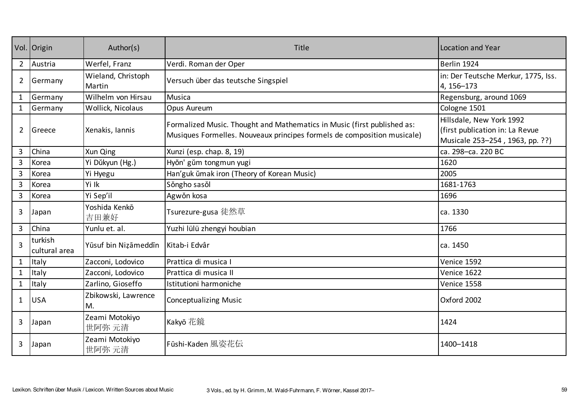|                | Vol. Origin              | Author(s)                    | Title                                                                                                                                              | Location and Year                                                                              |
|----------------|--------------------------|------------------------------|----------------------------------------------------------------------------------------------------------------------------------------------------|------------------------------------------------------------------------------------------------|
| $2^{\circ}$    | Austria                  | Werfel, Franz                | Verdi. Roman der Oper                                                                                                                              | Berlin 1924                                                                                    |
| $\overline{2}$ | Germany                  | Wieland, Christoph<br>Martin | Versuch über das teutsche Singspiel                                                                                                                | in: Der Teutsche Merkur, 1775, Iss.<br>4, 156-173                                              |
| $\mathbf{1}$   | Germany                  | Wilhelm von Hirsau           | Musica                                                                                                                                             | Regensburg, around 1069                                                                        |
| $\mathbf{1}$   | Germany                  | Wollick, Nicolaus            | Opus Aureum                                                                                                                                        | Cologne 1501                                                                                   |
| $\overline{2}$ | Greece                   | Xenakis, Iannis              | Formalized Music. Thought and Mathematics in Music (first published as:<br>Musiques Formelles. Nouveaux principes formels de composition musicale) | Hillsdale, New York 1992<br>(first publication in: La Revue<br>Musicale 253-254, 1963, pp. ??) |
| 3              | China                    | Xun Qing                     | Xunzi (esp. chap. 8, 19)                                                                                                                           | ca. 298-ca. 220 BC                                                                             |
| $\overline{3}$ | Korea                    | Yi Dŭkyun (Hg.)              | Hyŏn' gŭm tongmun yugi                                                                                                                             | 1620                                                                                           |
| 3              | Korea                    | Yi Hyegu                     | Han'guk ŭmak iron (Theory of Korean Music)                                                                                                         | 2005                                                                                           |
| $\overline{3}$ | Korea                    | Yi Ik                        | Sǒngho sasǒl                                                                                                                                       | 1681-1763                                                                                      |
| $\overline{3}$ | Korea                    | Yi Sep'il                    | Agwǒn kosa                                                                                                                                         | 1696                                                                                           |
| 3              | Japan                    | Yoshida Kenkō<br>吉田兼好        | Tsurezure-gusa 徒然草                                                                                                                                 | ca. 1330                                                                                       |
| 3              | China                    | Yunlu et. al.                | Yuzhi lülü zhengyi houbian                                                                                                                         | 1766                                                                                           |
| 3              | turkish<br>cultural area | Yūsuf bin Nizāmeddīn         | Kitab-i Edvâr                                                                                                                                      | ca. 1450                                                                                       |
| $\mathbf{1}$   | Italy                    | Zacconi, Lodovico            | Prattica di musica I                                                                                                                               | Venice 1592                                                                                    |
| $\mathbf{1}$   | Italy                    | Zacconi, Lodovico            | Prattica di musica II                                                                                                                              | Venice 1622                                                                                    |
| $\mathbf{1}$   | Italy                    | Zarlino, Gioseffo            | Istitutioni harmoniche                                                                                                                             | Venice 1558                                                                                    |
| $\mathbf{1}$   | <b>USA</b>               | Zbikowski, Lawrence<br>M.    | <b>Conceptualizing Music</b>                                                                                                                       | Oxford 2002                                                                                    |
| 3              | Japan                    | Zeami Motokiyo<br>世阿弥 元清     | Kakyō 花鏡                                                                                                                                           | 1424                                                                                           |
| 3              | Japan                    | Zeami Motokiyo<br>世阿弥 元清     | Fūshi-Kaden 風姿花伝                                                                                                                                   | 1400-1418                                                                                      |